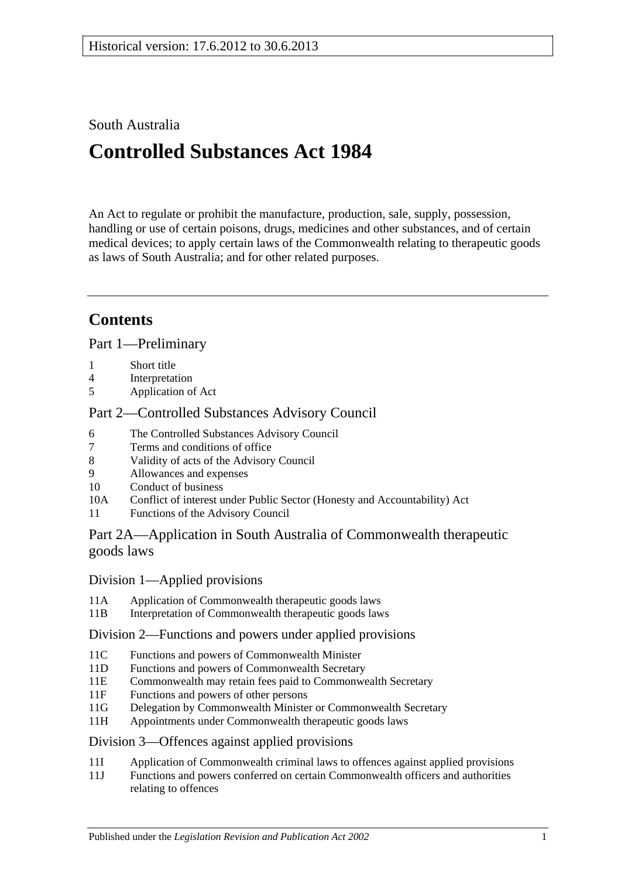## South Australia

# **Controlled Substances Act 1984**

An Act to regulate or prohibit the manufacture, production, sale, supply, possession, handling or use of certain poisons, drugs, medicines and other substances, and of certain medical devices; to apply certain laws of the Commonwealth relating to therapeutic goods as laws of South Australia; and for other related purposes.

## **Contents**

[Part 1—Preliminary](#page-3-0)

- 1 [Short title](#page-3-1)
- 4 [Interpretation](#page-3-2)
- 5 [Application of Act](#page-10-0)

## [Part 2—Controlled Substances Advisory Council](#page-10-1)

- 6 [The Controlled Substances Advisory Council](#page-10-2)
- 7 [Terms and conditions of office](#page-10-3)
- 8 [Validity of acts of the Advisory Council](#page-11-0)
- 9 [Allowances and expenses](#page-11-1)<br>10 Conduct of business
- [Conduct of business](#page-11-2)
- 10A Conflict of interest [under Public Sector \(Honesty and Accountability\) Act](#page-12-0)
- 11 [Functions of the Advisory Council](#page-12-1)

## [Part 2A—Application in South Australia of Commonwealth therapeutic](#page-13-0)  [goods laws](#page-13-0)

## Division [1—Applied provisions](#page-13-1)

- 11A [Application of Commonwealth therapeutic goods laws](#page-13-2)
- 11B [Interpretation of Commonwealth therapeutic goods laws](#page-13-3)

## Division [2—Functions and powers under applied provisions](#page-13-4)

- 11C [Functions and powers of Commonwealth Minister](#page-13-5)<br>11D Functions and powers of Commonwealth Secretary
- [Functions and powers of Commonwealth Secretary](#page-13-6)
- 11E [Commonwealth may retain fees paid to Commonwealth Secretary](#page-14-0)
- 11F [Functions and powers of other persons](#page-14-1)
- 11G [Delegation by Commonwealth Minister or Commonwealth Secretary](#page-14-2)
- 11H [Appointments under Commonwealth therapeutic goods laws](#page-14-3)

## Division [3—Offences against applied provisions](#page-14-4)

- 11I [Application of Commonwealth criminal laws to offences against applied provisions](#page-14-5)
- 11J [Functions and powers conferred on certain Commonwealth officers and authorities](#page-15-0)  [relating to offences](#page-15-0)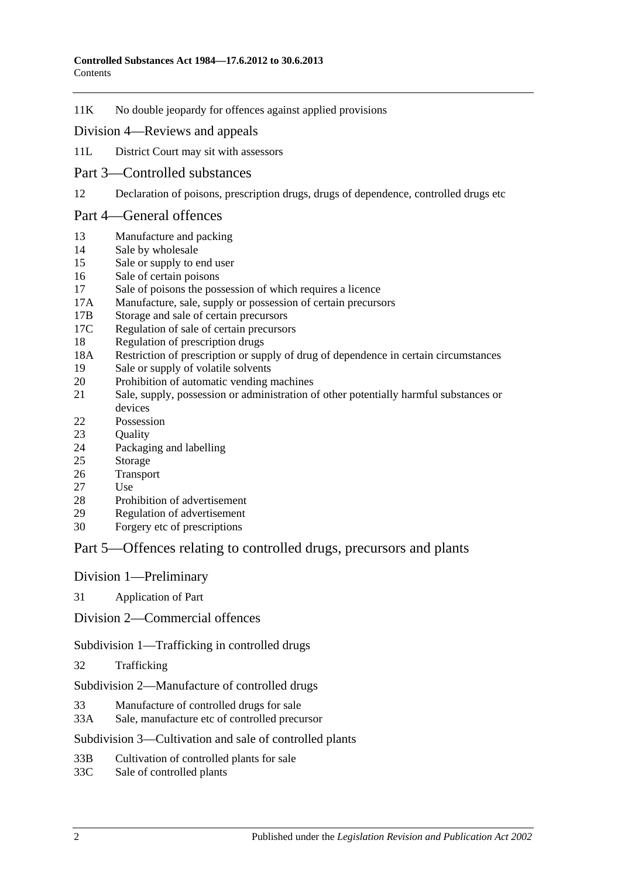11K [No double jeopardy for offences against applied provisions](#page-15-1)

#### Division [4—Reviews and appeals](#page-15-2)

- 11L [District Court may sit with assessors](#page-15-3)
- [Part 3—Controlled substances](#page-16-0)
- 12 [Declaration of poisons, prescription drugs, drugs of dependence, controlled drugs etc](#page-16-1)

#### [Part 4—General offences](#page-16-2)

- 13 [Manufacture and packing](#page-16-3)
- 14 [Sale by wholesale](#page-17-0)
- 15 [Sale or supply to end user](#page-17-1)
- 16 [Sale of certain poisons](#page-18-0)
- 17 [Sale of poisons the possession of which requires a licence](#page-18-1)
- 17A [Manufacture, sale, supply or possession of certain precursors](#page-18-2)
- 17B [Storage and sale of certain precursors](#page-19-0)
- 17C [Regulation of sale of certain precursors](#page-20-0)
- 18 [Regulation of prescription drugs](#page-20-1)
- 18A [Restriction of prescription or supply of drug of dependence in certain circumstances](#page-24-0)
- 19 Sale or [supply of volatile solvents](#page-26-0)
- 20 [Prohibition of automatic vending machines](#page-26-1)
- 21 [Sale, supply, possession or administration of other potentially harmful substances or](#page-27-0)  [devices](#page-27-0)
- 22 [Possession](#page-27-1)
- 23 Ouality
- 24 [Packaging and labelling](#page-27-3)
- 25 [Storage](#page-28-0)
- 26 [Transport](#page-28-1)
- 27 [Use](#page-28-2)
- 28 [Prohibition of advertisement](#page-28-3)
- 29 [Regulation of advertisement](#page-28-4)
- 30 [Forgery etc of prescriptions](#page-28-5)

## [Part 5—Offences relating to controlled drugs, precursors and plants](#page-29-0)

#### [Division 1—Preliminary](#page-29-1)

31 [Application of Part](#page-29-2)

[Division 2—Commercial offences](#page-31-0)

[Subdivision 1—Trafficking in controlled drugs](#page-31-1)

32 [Trafficking](#page-31-2)

[Subdivision 2—Manufacture of controlled drugs](#page-32-0)

- 33 [Manufacture of controlled drugs for sale](#page-32-1)
- 33A [Sale, manufacture etc of controlled precursor](#page-33-0)

#### [Subdivision 3—Cultivation and sale of controlled plants](#page-34-0)

- 33B [Cultivation of controlled plants for sale](#page-34-1)
- 33C [Sale of controlled plants](#page-35-0)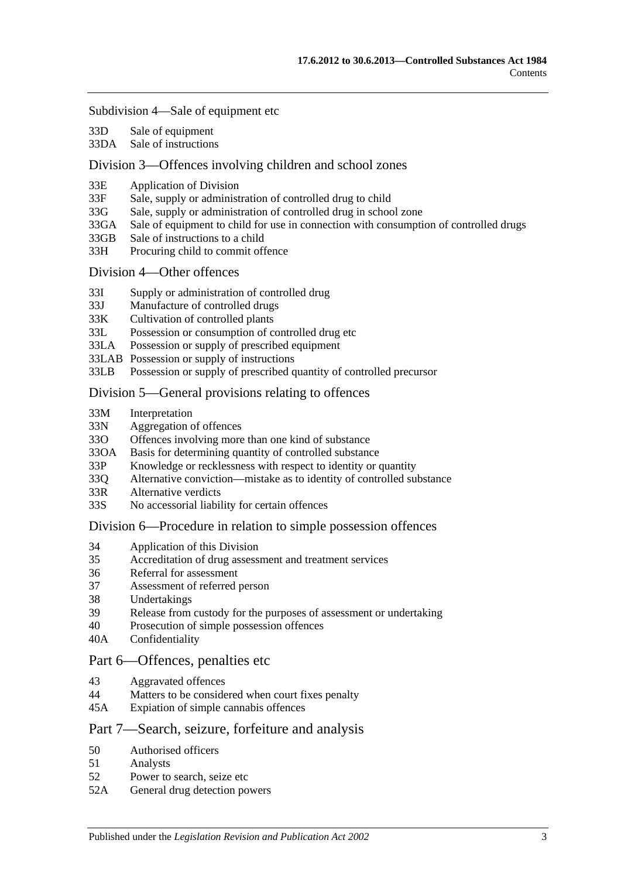#### [Subdivision 4—Sale of equipment etc](#page-36-0)

- 33D [Sale of equipment](#page-36-1)
- 33DA [Sale of instructions](#page-36-2)

#### [Division 3—Offences involving children and school zones](#page-36-3)

- 33E [Application of Division](#page-36-4)
- 33F [Sale, supply or administration of controlled drug to child](#page-37-0)
- 33G [Sale, supply or administration of controlled drug in school zone](#page-37-1)
- 33GA [Sale of equipment to child for use in connection with consumption of controlled drugs](#page-37-2)
- 33GB [Sale of instructions to a child](#page-37-3)
- 33H [Procuring child to commit offence](#page-38-0)

#### [Division 4—Other offences](#page-38-1)

- 33I [Supply or administration of controlled drug](#page-38-2)
- 33J [Manufacture of controlled drugs](#page-38-3)
- 33K [Cultivation of controlled plants](#page-39-0)
- 33L [Possession or consumption of controlled drug etc](#page-39-1)
- 33LA [Possession or supply of prescribed equipment](#page-40-0)
- 33LAB [Possession or supply of instructions](#page-40-1)
- 33LB [Possession or supply of prescribed quantity of controlled](#page-40-2) precursor

#### [Division 5—General provisions relating to offences](#page-41-0)

- 33M [Interpretation](#page-41-1)
- 33N [Aggregation of offences](#page-41-2)
- 33O [Offences involving more than one kind of substance](#page-42-0)
- 33OA [Basis for determining quantity of controlled substance](#page-43-0)
- 33P [Knowledge or recklessness with respect to identity or quantity](#page-43-1)
- 33Q [Alternative conviction—mistake as to identity of controlled substance](#page-44-0)
- 33R [Alternative verdicts](#page-44-1)
- 33S [No accessorial liability for certain offences](#page-44-2)

#### [Division 6—Procedure in relation to simple possession offences](#page-44-3)

- 34 [Application of this Division](#page-44-4)
- 35 [Accreditation of drug assessment and treatment services](#page-44-5)
- 36 [Referral for assessment](#page-45-0)
- 37 [Assessment of referred person](#page-45-1)
- 38 [Undertakings](#page-46-0)
- 39 [Release from custody for the purposes of assessment or undertaking](#page-47-0)
- 40 [Prosecution of simple possession offences](#page-47-1)
- 40A [Confidentiality](#page-47-2)

#### [Part 6—Offences, penalties etc](#page-48-0)

- 43 [Aggravated offences](#page-48-1)
- 44 [Matters to be considered when court fixes penalty](#page-49-0)
- 45A [Expiation of simple cannabis offences](#page-49-1)

#### [Part 7—Search, seizure, forfeiture and analysis](#page-50-0)

- 50 [Authorised officers](#page-50-1)
- 51 [Analysts](#page-50-2)
- 52 [Power to search, seize etc](#page-51-0)
- 52A [General drug detection powers](#page-52-0)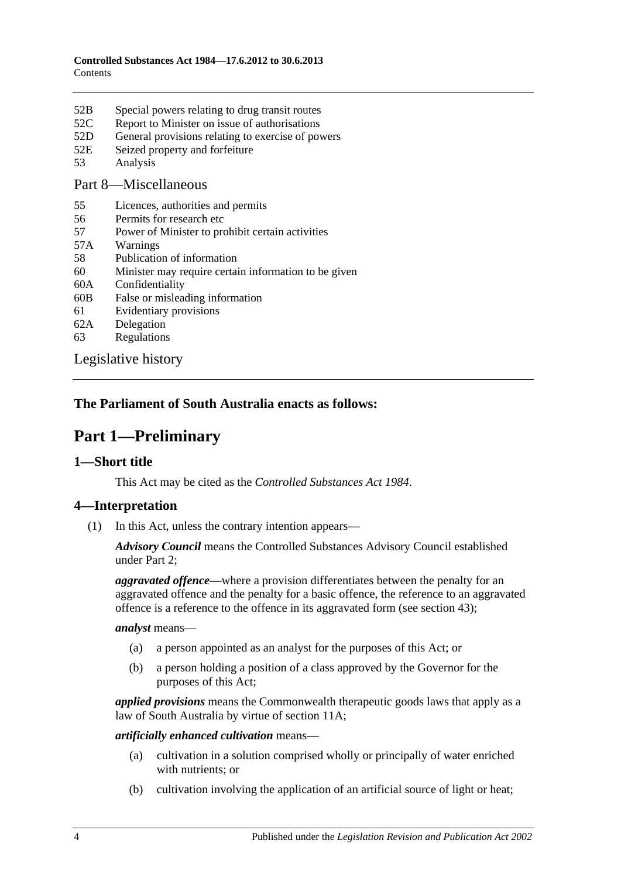- 52B [Special powers relating to drug transit routes](#page-54-0)
- 52C [Report to Minister on issue of authorisations](#page-55-0)
- 52D [General provisions relating to exercise of powers](#page-55-1)
- 52E [Seized property and forfeiture](#page-56-0)
- 53 [Analysis](#page-58-0)

#### [Part 8—Miscellaneous](#page-58-1)

- 55 [Licences, authorities and permits](#page-58-2)
- 56 [Permits for research etc](#page-59-0)
- 57 [Power of Minister to prohibit certain activities](#page-59-1)
- 57A [Warnings](#page-60-0)
- 58 [Publication of information](#page-61-0)
- 60 [Minister may require certain information to be given](#page-61-1)
- 60A [Confidentiality](#page-62-0)
- 60B [False or misleading information](#page-63-0)
- 61 [Evidentiary provisions](#page-63-1)
- 62A [Delegation](#page-63-2)
- 63 [Regulations](#page-64-0)

[Legislative history](#page-66-0)

## <span id="page-3-0"></span>**The Parliament of South Australia enacts as follows:**

## **Part 1—Preliminary**

#### <span id="page-3-1"></span>**1—Short title**

This Act may be cited as the *Controlled Substances Act 1984*.

## <span id="page-3-2"></span>**4—Interpretation**

(1) In this Act, unless the contrary intention appears—

*Advisory Council* means the Controlled Substances Advisory Council established under [Part 2;](#page-10-1)

*aggravated offence*—where a provision differentiates between the penalty for an aggravated offence and the penalty for a basic offence, the reference to an aggravated offence is a reference to the offence in its aggravated form (see [section](#page-48-1) 43);

*analyst* means—

- (a) a person appointed as an analyst for the purposes of this Act; or
- (b) a person holding a position of a class approved by the Governor for the purposes of this Act;

*applied provisions* means the Commonwealth therapeutic goods laws that apply as a law of South Australia by virtue of [section](#page-13-2) 11A;

#### *artificially enhanced cultivation* means—

- (a) cultivation in a solution comprised wholly or principally of water enriched with nutrients; or
- (b) cultivation involving the application of an artificial source of light or heat;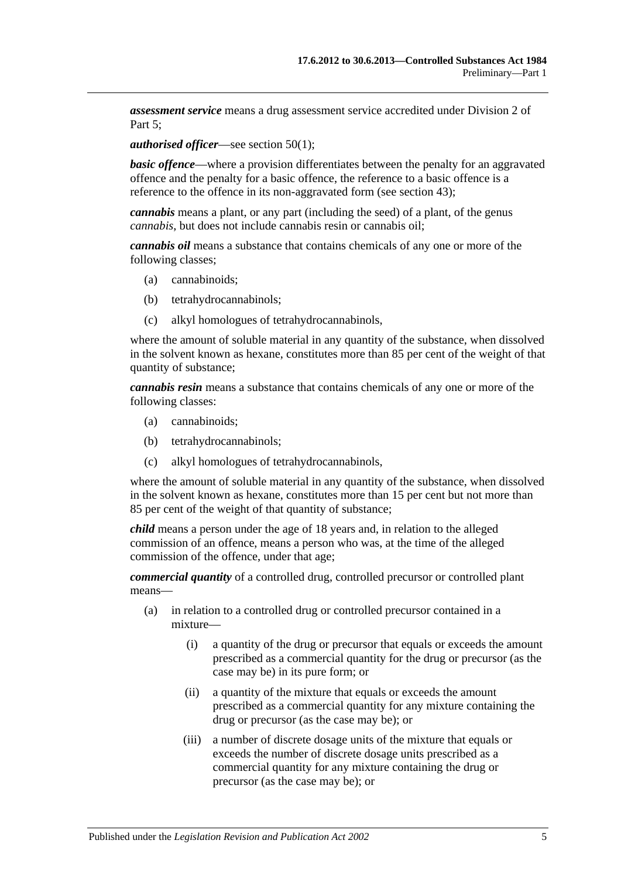*assessment service* means a drug assessment service accredited under [Division](#page-44-3) 2 of Part 5:

*authorised officer*—see [section](#page-50-3) 50(1);

*basic offence***—where a provision differentiates between the penalty for an aggravated** offence and the penalty for a basic offence, the reference to a basic offence is a reference to the offence in its non-aggravated form (see [section](#page-48-1) 43);

*cannabis* means a plant, or any part (including the seed) of a plant, of the genus *cannabis*, but does not include cannabis resin or cannabis oil;

*cannabis oil* means a substance that contains chemicals of any one or more of the following classes;

- (a) cannabinoids;
- (b) tetrahydrocannabinols;
- (c) alkyl homologues of tetrahydrocannabinols,

where the amount of soluble material in any quantity of the substance, when dissolved in the solvent known as hexane, constitutes more than 85 per cent of the weight of that quantity of substance;

*cannabis resin* means a substance that contains chemicals of any one or more of the following classes:

- (a) cannabinoids;
- (b) tetrahydrocannabinols;
- (c) alkyl homologues of tetrahydrocannabinols,

where the amount of soluble material in any quantity of the substance, when dissolved in the solvent known as hexane, constitutes more than 15 per cent but not more than 85 per cent of the weight of that quantity of substance;

*child* means a person under the age of 18 years and, in relation to the alleged commission of an offence, means a person who was, at the time of the alleged commission of the offence, under that age;

*commercial quantity* of a controlled drug, controlled precursor or controlled plant means—

- (a) in relation to a controlled drug or controlled precursor contained in a mixture—
	- (i) a quantity of the drug or precursor that equals or exceeds the amount prescribed as a commercial quantity for the drug or precursor (as the case may be) in its pure form; or
	- (ii) a quantity of the mixture that equals or exceeds the amount prescribed as a commercial quantity for any mixture containing the drug or precursor (as the case may be); or
	- (iii) a number of discrete dosage units of the mixture that equals or exceeds the number of discrete dosage units prescribed as a commercial quantity for any mixture containing the drug or precursor (as the case may be); or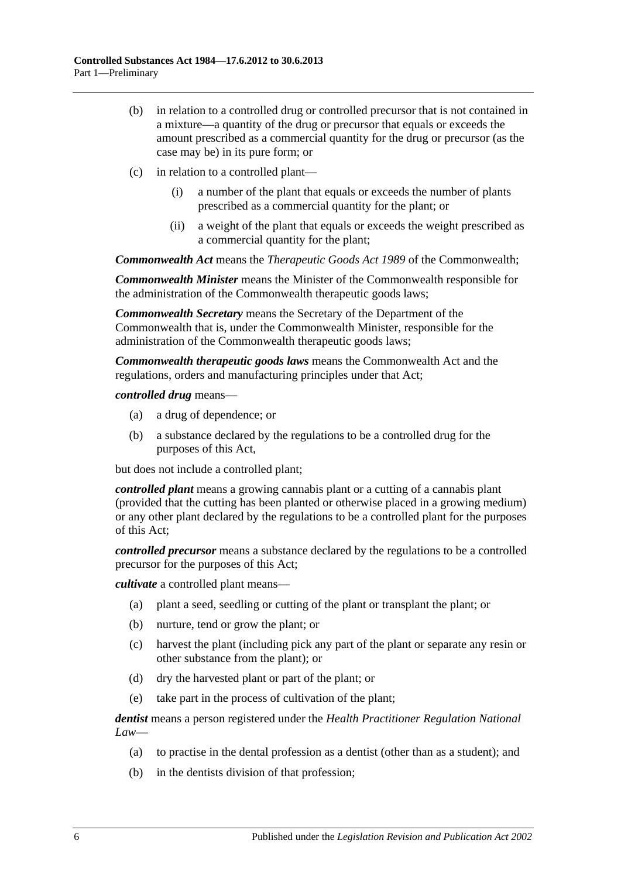- (b) in relation to a controlled drug or controlled precursor that is not contained in a mixture—a quantity of the drug or precursor that equals or exceeds the amount prescribed as a commercial quantity for the drug or precursor (as the case may be) in its pure form; or
- (c) in relation to a controlled plant—
	- (i) a number of the plant that equals or exceeds the number of plants prescribed as a commercial quantity for the plant; or
	- (ii) a weight of the plant that equals or exceeds the weight prescribed as a commercial quantity for the plant;

*Commonwealth Act* means the *Therapeutic Goods Act 1989* of the Commonwealth;

*Commonwealth Minister* means the Minister of the Commonwealth responsible for the administration of the Commonwealth therapeutic goods laws;

*Commonwealth Secretary* means the Secretary of the Department of the Commonwealth that is, under the Commonwealth Minister, responsible for the administration of the Commonwealth therapeutic goods laws;

*Commonwealth therapeutic goods laws* means the Commonwealth Act and the regulations, orders and manufacturing principles under that Act;

*controlled drug* means—

- (a) a drug of dependence; or
- (b) a substance declared by the regulations to be a controlled drug for the purposes of this Act,

but does not include a controlled plant;

*controlled plant* means a growing cannabis plant or a cutting of a cannabis plant (provided that the cutting has been planted or otherwise placed in a growing medium) or any other plant declared by the regulations to be a controlled plant for the purposes of this Act;

*controlled precursor* means a substance declared by the regulations to be a controlled precursor for the purposes of this Act;

*cultivate* a controlled plant means—

- (a) plant a seed, seedling or cutting of the plant or transplant the plant; or
- (b) nurture, tend or grow the plant; or
- (c) harvest the plant (including pick any part of the plant or separate any resin or other substance from the plant); or
- (d) dry the harvested plant or part of the plant; or
- (e) take part in the process of cultivation of the plant;

*dentist* means a person registered under the *Health Practitioner Regulation National Law*—

- (a) to practise in the dental profession as a dentist (other than as a student); and
- (b) in the dentists division of that profession;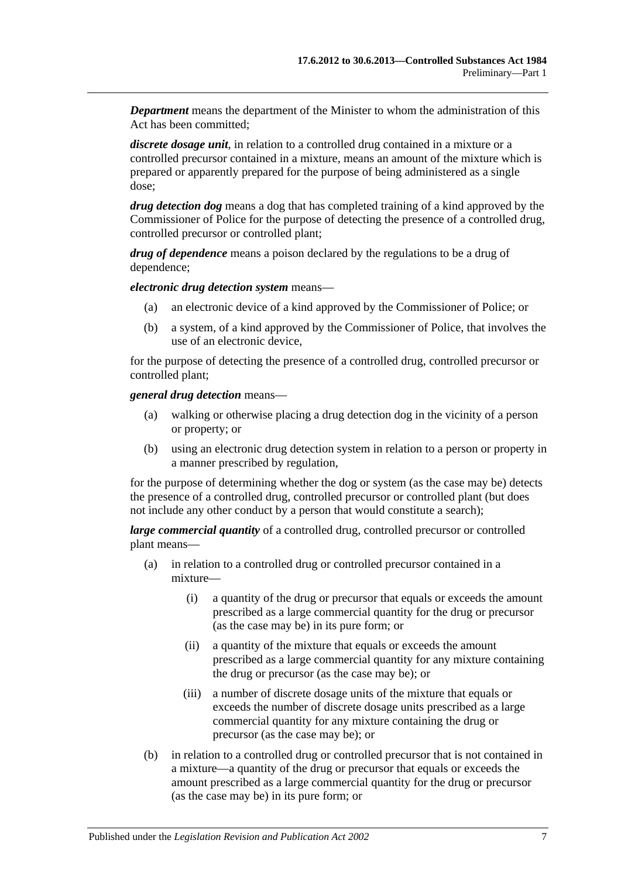*Department* means the department of the Minister to whom the administration of this Act has been committed;

*discrete dosage unit*, in relation to a controlled drug contained in a mixture or a controlled precursor contained in a mixture, means an amount of the mixture which is prepared or apparently prepared for the purpose of being administered as a single dose;

*drug detection dog* means a dog that has completed training of a kind approved by the Commissioner of Police for the purpose of detecting the presence of a controlled drug, controlled precursor or controlled plant;

*drug of dependence* means a poison declared by the regulations to be a drug of dependence;

*electronic drug detection system* means—

- (a) an electronic device of a kind approved by the Commissioner of Police; or
- (b) a system, of a kind approved by the Commissioner of Police, that involves the use of an electronic device,

for the purpose of detecting the presence of a controlled drug, controlled precursor or controlled plant;

*general drug detection* means—

- (a) walking or otherwise placing a drug detection dog in the vicinity of a person or property; or
- (b) using an electronic drug detection system in relation to a person or property in a manner prescribed by regulation,

for the purpose of determining whether the dog or system (as the case may be) detects the presence of a controlled drug, controlled precursor or controlled plant (but does not include any other conduct by a person that would constitute a search);

*large commercial quantity* of a controlled drug, controlled precursor or controlled plant means—

- (a) in relation to a controlled drug or controlled precursor contained in a mixture—
	- (i) a quantity of the drug or precursor that equals or exceeds the amount prescribed as a large commercial quantity for the drug or precursor (as the case may be) in its pure form; or
	- (ii) a quantity of the mixture that equals or exceeds the amount prescribed as a large commercial quantity for any mixture containing the drug or precursor (as the case may be); or
	- (iii) a number of discrete dosage units of the mixture that equals or exceeds the number of discrete dosage units prescribed as a large commercial quantity for any mixture containing the drug or precursor (as the case may be); or
- (b) in relation to a controlled drug or controlled precursor that is not contained in a mixture—a quantity of the drug or precursor that equals or exceeds the amount prescribed as a large commercial quantity for the drug or precursor (as the case may be) in its pure form; or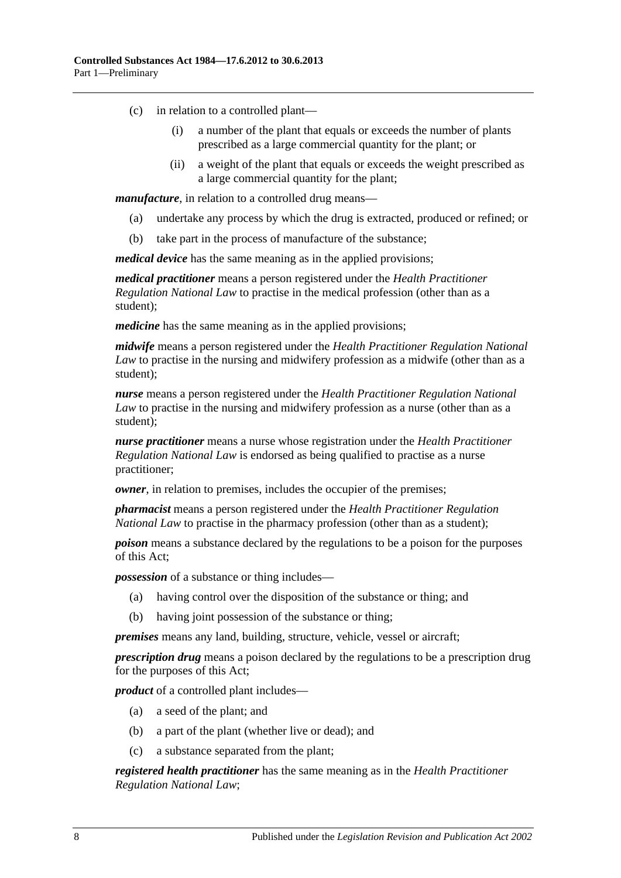- (c) in relation to a controlled plant—
	- (i) a number of the plant that equals or exceeds the number of plants prescribed as a large commercial quantity for the plant; or
	- (ii) a weight of the plant that equals or exceeds the weight prescribed as a large commercial quantity for the plant;

*manufacture*, in relation to a controlled drug means—

- (a) undertake any process by which the drug is extracted, produced or refined; or
- (b) take part in the process of manufacture of the substance;

*medical device* has the same meaning as in the applied provisions;

*medical practitioner* means a person registered under the *Health Practitioner Regulation National Law* to practise in the medical profession (other than as a student);

*medicine* has the same meaning as in the applied provisions;

*midwife* means a person registered under the *Health Practitioner Regulation National Law* to practise in the nursing and midwifery profession as a midwife (other than as a student);

*nurse* means a person registered under the *Health Practitioner Regulation National Law* to practise in the nursing and midwifery profession as a nurse (other than as a student);

*nurse practitioner* means a nurse whose registration under the *Health Practitioner Regulation National Law* is endorsed as being qualified to practise as a nurse practitioner;

*owner*, in relation to premises, includes the occupier of the premises;

*pharmacist* means a person registered under the *Health Practitioner Regulation National Law* to practise in the pharmacy profession (other than as a student);

*poison* means a substance declared by the regulations to be a poison for the purposes of this Act;

*possession* of a substance or thing includes—

- (a) having control over the disposition of the substance or thing; and
- (b) having joint possession of the substance or thing;

*premises* means any land, building, structure, vehicle, vessel or aircraft;

*prescription drug* means a poison declared by the regulations to be a prescription drug for the purposes of this Act;

*product* of a controlled plant includes—

- (a) a seed of the plant; and
- (b) a part of the plant (whether live or dead); and
- (c) a substance separated from the plant;

*registered health practitioner* has the same meaning as in the *Health Practitioner Regulation National Law*;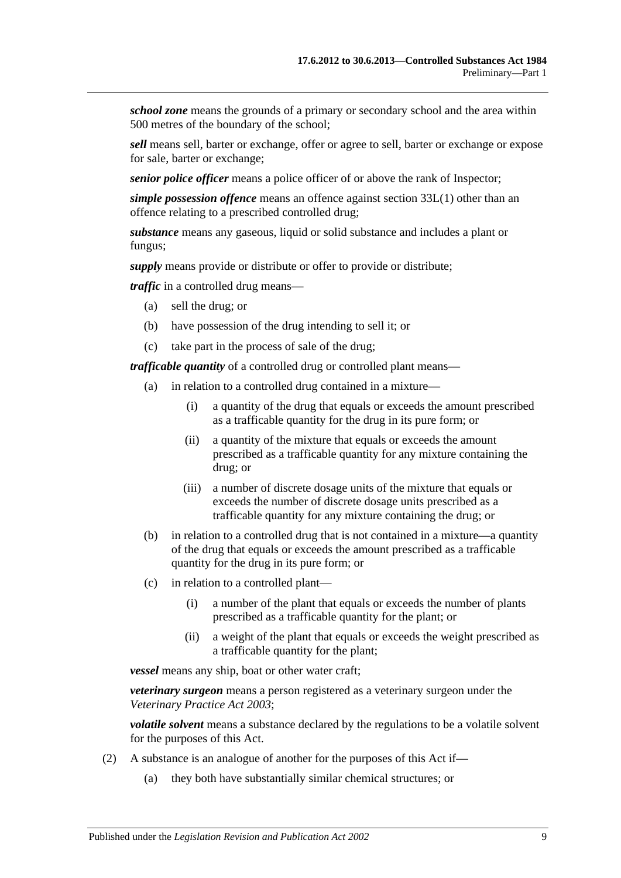*school zone* means the grounds of a primary or secondary school and the area within 500 metres of the boundary of the school;

*sell* means sell, barter or exchange, offer or agree to sell, barter or exchange or expose for sale, barter or exchange;

*senior police officer* means a police officer of or above the rank of Inspector;

*simple possession offence* means an offence against [section](#page-39-2) 33L(1) other than an offence relating to a prescribed controlled drug;

*substance* means any gaseous, liquid or solid substance and includes a plant or fungus;

*supply* means provide or distribute or offer to provide or distribute;

*traffic* in a controlled drug means—

- (a) sell the drug; or
- (b) have possession of the drug intending to sell it; or
- (c) take part in the process of sale of the drug;

*trafficable quantity* of a controlled drug or controlled plant means—

- (a) in relation to a controlled drug contained in a mixture—
	- (i) a quantity of the drug that equals or exceeds the amount prescribed as a trafficable quantity for the drug in its pure form; or
	- (ii) a quantity of the mixture that equals or exceeds the amount prescribed as a trafficable quantity for any mixture containing the drug; or
	- (iii) a number of discrete dosage units of the mixture that equals or exceeds the number of discrete dosage units prescribed as a trafficable quantity for any mixture containing the drug; or
- (b) in relation to a controlled drug that is not contained in a mixture—a quantity of the drug that equals or exceeds the amount prescribed as a trafficable quantity for the drug in its pure form; or
- (c) in relation to a controlled plant—
	- (i) a number of the plant that equals or exceeds the number of plants prescribed as a trafficable quantity for the plant; or
	- (ii) a weight of the plant that equals or exceeds the weight prescribed as a trafficable quantity for the plant;

*vessel* means any ship, boat or other water craft;

*veterinary surgeon* means a person registered as a veterinary surgeon under the *[Veterinary Practice Act](http://www.legislation.sa.gov.au/index.aspx?action=legref&type=act&legtitle=Veterinary%20Practice%20Act%202003) 2003*;

*volatile solvent* means a substance declared by the regulations to be a volatile solvent for the purposes of this Act.

- (2) A substance is an analogue of another for the purposes of this Act if—
	- (a) they both have substantially similar chemical structures; or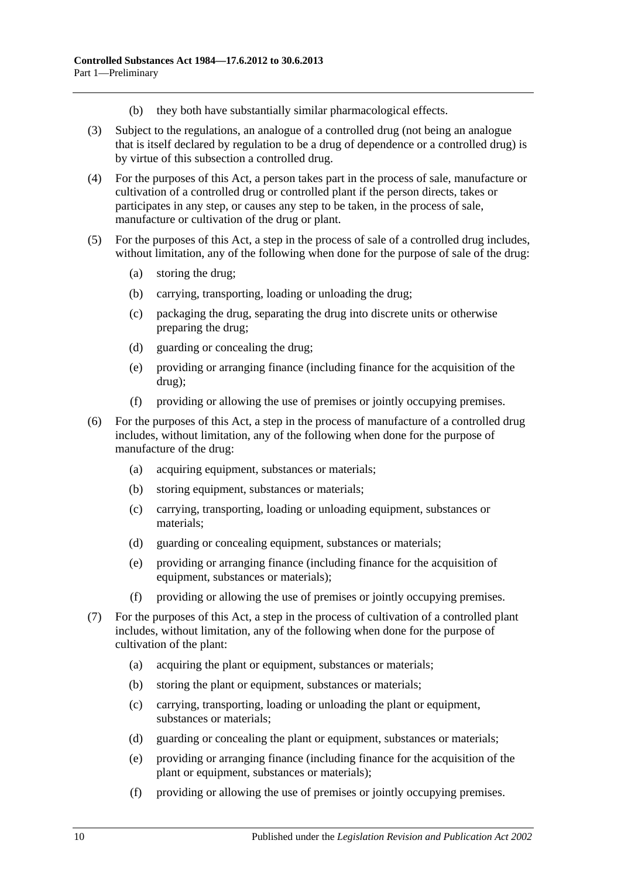- (b) they both have substantially similar pharmacological effects.
- (3) Subject to the regulations, an analogue of a controlled drug (not being an analogue that is itself declared by regulation to be a drug of dependence or a controlled drug) is by virtue of this subsection a controlled drug.
- (4) For the purposes of this Act, a person takes part in the process of sale, manufacture or cultivation of a controlled drug or controlled plant if the person directs, takes or participates in any step, or causes any step to be taken, in the process of sale, manufacture or cultivation of the drug or plant.
- (5) For the purposes of this Act, a step in the process of sale of a controlled drug includes, without limitation, any of the following when done for the purpose of sale of the drug:
	- (a) storing the drug;
	- (b) carrying, transporting, loading or unloading the drug;
	- (c) packaging the drug, separating the drug into discrete units or otherwise preparing the drug;
	- (d) guarding or concealing the drug;
	- (e) providing or arranging finance (including finance for the acquisition of the drug);
	- (f) providing or allowing the use of premises or jointly occupying premises.
- (6) For the purposes of this Act, a step in the process of manufacture of a controlled drug includes, without limitation, any of the following when done for the purpose of manufacture of the drug:
	- (a) acquiring equipment, substances or materials;
	- (b) storing equipment, substances or materials;
	- (c) carrying, transporting, loading or unloading equipment, substances or materials;
	- (d) guarding or concealing equipment, substances or materials;
	- (e) providing or arranging finance (including finance for the acquisition of equipment, substances or materials);
	- (f) providing or allowing the use of premises or jointly occupying premises.
- <span id="page-9-0"></span>(7) For the purposes of this Act, a step in the process of cultivation of a controlled plant includes, without limitation, any of the following when done for the purpose of cultivation of the plant:
	- (a) acquiring the plant or equipment, substances or materials;
	- (b) storing the plant or equipment, substances or materials;
	- (c) carrying, transporting, loading or unloading the plant or equipment, substances or materials;
	- (d) guarding or concealing the plant or equipment, substances or materials;
	- (e) providing or arranging finance (including finance for the acquisition of the plant or equipment, substances or materials);
	- (f) providing or allowing the use of premises or jointly occupying premises.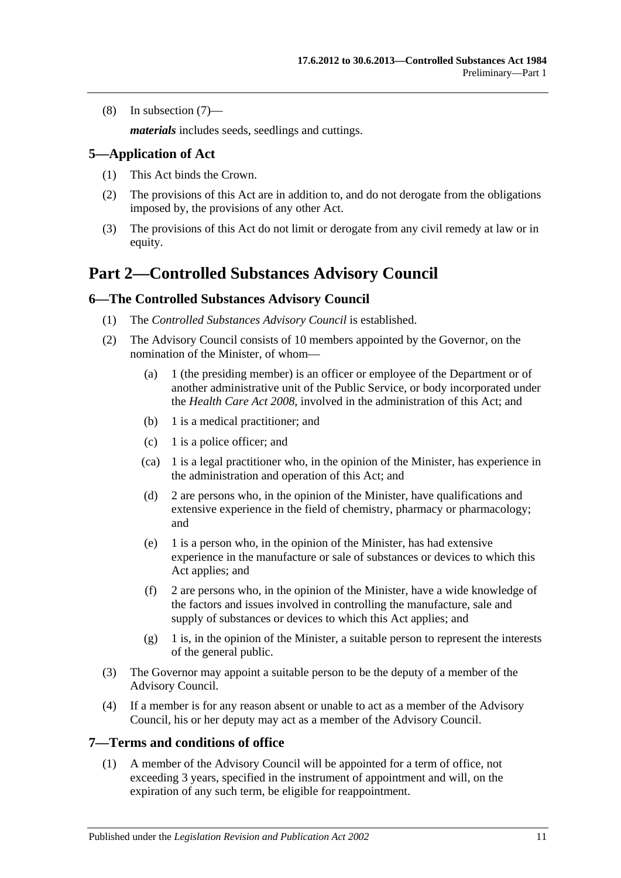(8) In [subsection](#page-9-0) (7)—

*materials* includes seeds, seedlings and cuttings.

## <span id="page-10-0"></span>**5—Application of Act**

- (1) This Act binds the Crown.
- (2) The provisions of this Act are in addition to, and do not derogate from the obligations imposed by, the provisions of any other Act.
- (3) The provisions of this Act do not limit or derogate from any civil remedy at law or in equity.

## <span id="page-10-1"></span>**Part 2—Controlled Substances Advisory Council**

## <span id="page-10-2"></span>**6—The Controlled Substances Advisory Council**

- (1) The *Controlled Substances Advisory Council* is established.
- (2) The Advisory Council consists of 10 members appointed by the Governor, on the nomination of the Minister, of whom—
	- (a) 1 (the presiding member) is an officer or employee of the Department or of another administrative unit of the Public Service, or body incorporated under the *[Health Care Act](http://www.legislation.sa.gov.au/index.aspx?action=legref&type=act&legtitle=Health%20Care%20Act%202008) 2008*, involved in the administration of this Act; and
	- (b) 1 is a medical practitioner; and
	- (c) 1 is a police officer; and
	- (ca) 1 is a legal practitioner who, in the opinion of the Minister, has experience in the administration and operation of this Act; and
	- (d) 2 are persons who, in the opinion of the Minister, have qualifications and extensive experience in the field of chemistry, pharmacy or pharmacology; and
	- (e) 1 is a person who, in the opinion of the Minister, has had extensive experience in the manufacture or sale of substances or devices to which this Act applies; and
	- (f) 2 are persons who, in the opinion of the Minister, have a wide knowledge of the factors and issues involved in controlling the manufacture, sale and supply of substances or devices to which this Act applies; and
	- (g) 1 is, in the opinion of the Minister, a suitable person to represent the interests of the general public.
- (3) The Governor may appoint a suitable person to be the deputy of a member of the Advisory Council.
- (4) If a member is for any reason absent or unable to act as a member of the Advisory Council, his or her deputy may act as a member of the Advisory Council.

#### <span id="page-10-3"></span>**7—Terms and conditions of office**

(1) A member of the Advisory Council will be appointed for a term of office, not exceeding 3 years, specified in the instrument of appointment and will, on the expiration of any such term, be eligible for reappointment.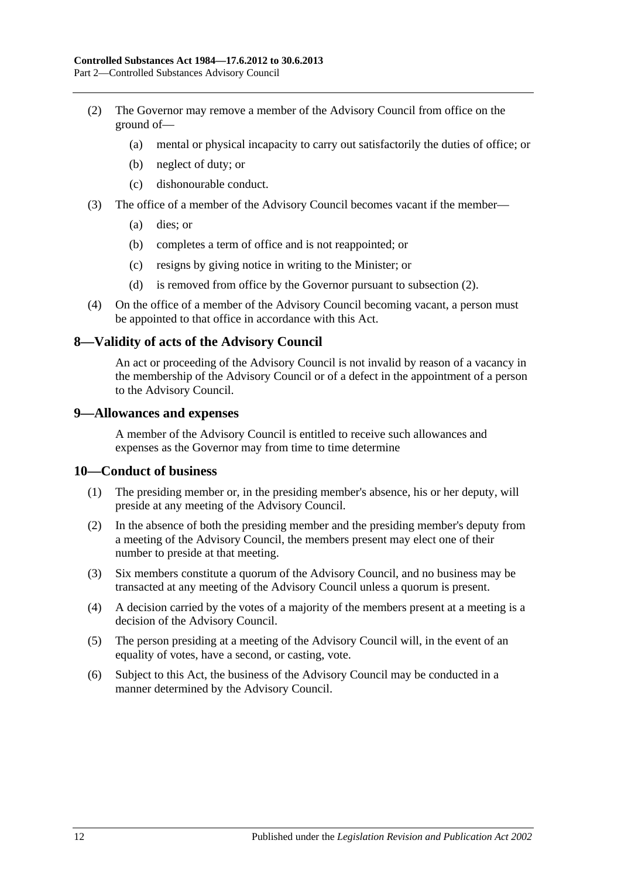- <span id="page-11-3"></span>(2) The Governor may remove a member of the Advisory Council from office on the ground of—
	- (a) mental or physical incapacity to carry out satisfactorily the duties of office; or
	- (b) neglect of duty; or
	- (c) dishonourable conduct.
- (3) The office of a member of the Advisory Council becomes vacant if the member—
	- (a) dies; or
	- (b) completes a term of office and is not reappointed; or
	- (c) resigns by giving notice in writing to the Minister; or
	- (d) is removed from office by the Governor pursuant to [subsection](#page-11-3) (2).
- (4) On the office of a member of the Advisory Council becoming vacant, a person must be appointed to that office in accordance with this Act.

### <span id="page-11-0"></span>**8—Validity of acts of the Advisory Council**

An act or proceeding of the Advisory Council is not invalid by reason of a vacancy in the membership of the Advisory Council or of a defect in the appointment of a person to the Advisory Council.

#### <span id="page-11-1"></span>**9—Allowances and expenses**

A member of the Advisory Council is entitled to receive such allowances and expenses as the Governor may from time to time determine

#### <span id="page-11-2"></span>**10—Conduct of business**

- (1) The presiding member or, in the presiding member's absence, his or her deputy, will preside at any meeting of the Advisory Council.
- (2) In the absence of both the presiding member and the presiding member's deputy from a meeting of the Advisory Council, the members present may elect one of their number to preside at that meeting.
- (3) Six members constitute a quorum of the Advisory Council, and no business may be transacted at any meeting of the Advisory Council unless a quorum is present.
- (4) A decision carried by the votes of a majority of the members present at a meeting is a decision of the Advisory Council.
- (5) The person presiding at a meeting of the Advisory Council will, in the event of an equality of votes, have a second, or casting, vote.
- (6) Subject to this Act, the business of the Advisory Council may be conducted in a manner determined by the Advisory Council.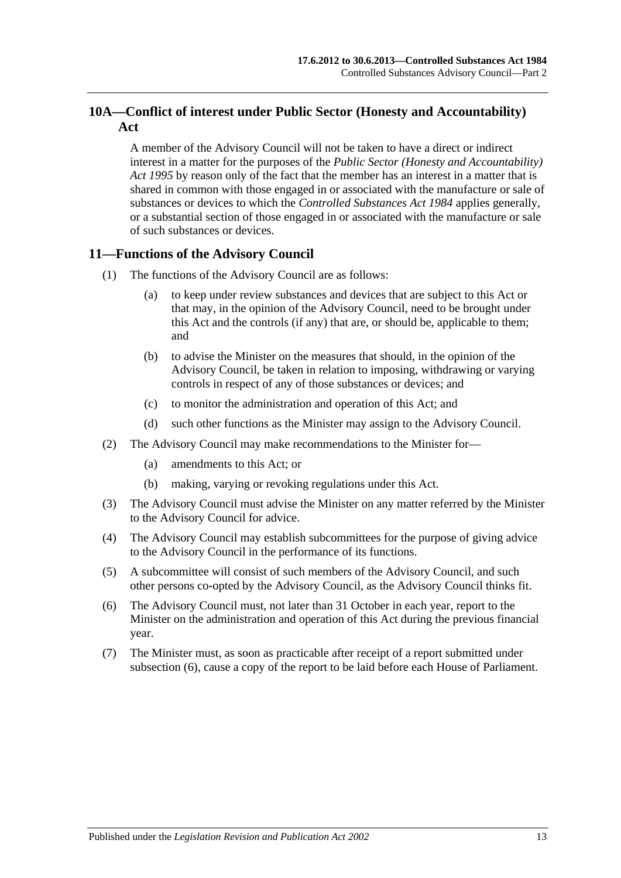## <span id="page-12-0"></span>**10A—Conflict of interest under Public Sector (Honesty and Accountability) Act**

A member of the Advisory Council will not be taken to have a direct or indirect interest in a matter for the purposes of the *[Public Sector \(Honesty and Accountability\)](http://www.legislation.sa.gov.au/index.aspx?action=legref&type=act&legtitle=Public%20Sector%20(Honesty%20and%20Accountability)%20Act%201995)  Act [1995](http://www.legislation.sa.gov.au/index.aspx?action=legref&type=act&legtitle=Public%20Sector%20(Honesty%20and%20Accountability)%20Act%201995)* by reason only of the fact that the member has an interest in a matter that is shared in common with those engaged in or associated with the manufacture or sale of substances or devices to which the *[Controlled Substances Act](http://www.legislation.sa.gov.au/index.aspx?action=legref&type=act&legtitle=Controlled%20Substances%20Act%201984) 1984* applies generally, or a substantial section of those engaged in or associated with the manufacture or sale of such substances or devices.

## <span id="page-12-1"></span>**11—Functions of the Advisory Council**

- (1) The functions of the Advisory Council are as follows:
	- (a) to keep under review substances and devices that are subject to this Act or that may, in the opinion of the Advisory Council, need to be brought under this Act and the controls (if any) that are, or should be, applicable to them; and
	- (b) to advise the Minister on the measures that should, in the opinion of the Advisory Council, be taken in relation to imposing, withdrawing or varying controls in respect of any of those substances or devices; and
	- (c) to monitor the administration and operation of this Act; and
	- (d) such other functions as the Minister may assign to the Advisory Council.
- (2) The Advisory Council may make recommendations to the Minister for—
	- (a) amendments to this Act; or
	- (b) making, varying or revoking regulations under this Act.
- (3) The Advisory Council must advise the Minister on any matter referred by the Minister to the Advisory Council for advice.
- (4) The Advisory Council may establish subcommittees for the purpose of giving advice to the Advisory Council in the performance of its functions.
- (5) A subcommittee will consist of such members of the Advisory Council, and such other persons co-opted by the Advisory Council, as the Advisory Council thinks fit.
- <span id="page-12-2"></span>(6) The Advisory Council must, not later than 31 October in each year, report to the Minister on the administration and operation of this Act during the previous financial year.
- (7) The Minister must, as soon as practicable after receipt of a report submitted under [subsection](#page-12-2) (6), cause a copy of the report to be laid before each House of Parliament.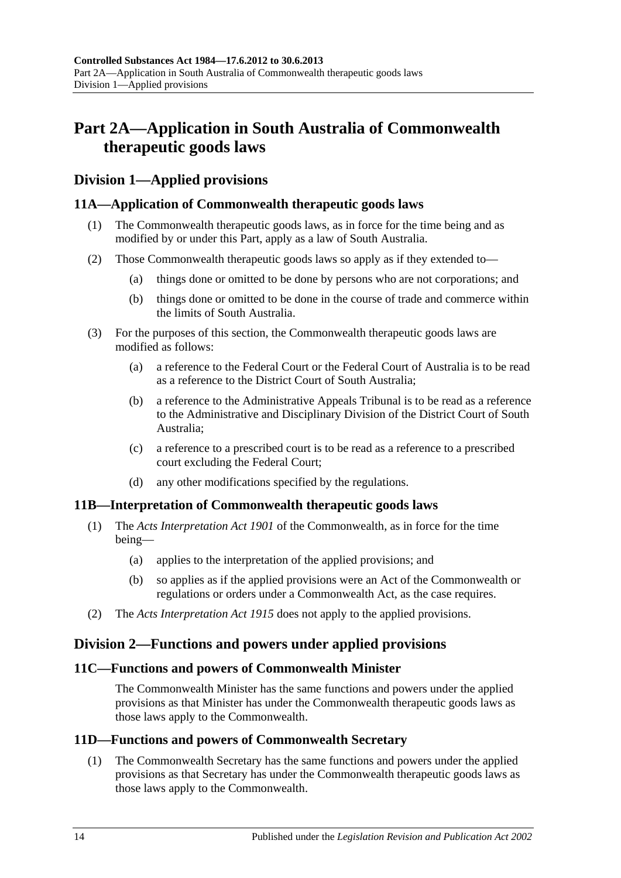## <span id="page-13-0"></span>**Part 2A—Application in South Australia of Commonwealth therapeutic goods laws**

## <span id="page-13-1"></span>**Division 1—Applied provisions**

## <span id="page-13-2"></span>**11A—Application of Commonwealth therapeutic goods laws**

- (1) The Commonwealth therapeutic goods laws, as in force for the time being and as modified by or under this Part, apply as a law of South Australia.
- (2) Those Commonwealth therapeutic goods laws so apply as if they extended to—
	- (a) things done or omitted to be done by persons who are not corporations; and
	- (b) things done or omitted to be done in the course of trade and commerce within the limits of South Australia.
- (3) For the purposes of this section, the Commonwealth therapeutic goods laws are modified as follows:
	- (a) a reference to the Federal Court or the Federal Court of Australia is to be read as a reference to the District Court of South Australia;
	- (b) a reference to the Administrative Appeals Tribunal is to be read as a reference to the Administrative and Disciplinary Division of the District Court of South Australia;
	- (c) a reference to a prescribed court is to be read as a reference to a prescribed court excluding the Federal Court;
	- (d) any other modifications specified by the regulations.

## <span id="page-13-3"></span>**11B—Interpretation of Commonwealth therapeutic goods laws**

- (1) The *Acts Interpretation Act 1901* of the Commonwealth, as in force for the time being—
	- (a) applies to the interpretation of the applied provisions; and
	- (b) so applies as if the applied provisions were an Act of the Commonwealth or regulations or orders under a Commonwealth Act, as the case requires.
- (2) The *[Acts Interpretation Act](http://www.legislation.sa.gov.au/index.aspx?action=legref&type=act&legtitle=Acts%20Interpretation%20Act%201915) 1915* does not apply to the applied provisions.

## <span id="page-13-4"></span>**Division 2—Functions and powers under applied provisions**

## <span id="page-13-5"></span>**11C—Functions and powers of Commonwealth Minister**

The Commonwealth Minister has the same functions and powers under the applied provisions as that Minister has under the Commonwealth therapeutic goods laws as those laws apply to the Commonwealth.

## <span id="page-13-7"></span><span id="page-13-6"></span>**11D—Functions and powers of Commonwealth Secretary**

(1) The Commonwealth Secretary has the same functions and powers under the applied provisions as that Secretary has under the Commonwealth therapeutic goods laws as those laws apply to the Commonwealth.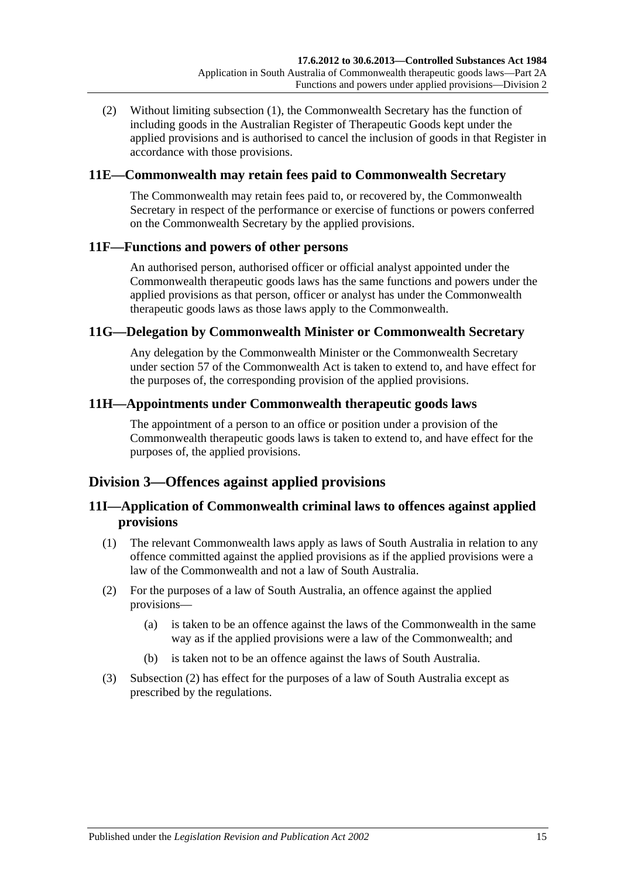(2) Without limiting [subsection](#page-13-7) (1), the Commonwealth Secretary has the function of including goods in the Australian Register of Therapeutic Goods kept under the applied provisions and is authorised to cancel the inclusion of goods in that Register in accordance with those provisions.

## <span id="page-14-0"></span>**11E—Commonwealth may retain fees paid to Commonwealth Secretary**

The Commonwealth may retain fees paid to, or recovered by, the Commonwealth Secretary in respect of the performance or exercise of functions or powers conferred on the Commonwealth Secretary by the applied provisions.

## <span id="page-14-1"></span>**11F—Functions and powers of other persons**

An authorised person, authorised officer or official analyst appointed under the Commonwealth therapeutic goods laws has the same functions and powers under the applied provisions as that person, officer or analyst has under the Commonwealth therapeutic goods laws as those laws apply to the Commonwealth.

### <span id="page-14-2"></span>**11G—Delegation by Commonwealth Minister or Commonwealth Secretary**

Any delegation by the Commonwealth Minister or the Commonwealth Secretary under section 57 of the Commonwealth Act is taken to extend to, and have effect for the purposes of, the corresponding provision of the applied provisions.

### <span id="page-14-3"></span>**11H—Appointments under Commonwealth therapeutic goods laws**

The appointment of a person to an office or position under a provision of the Commonwealth therapeutic goods laws is taken to extend to, and have effect for the purposes of, the applied provisions.

## <span id="page-14-4"></span>**Division 3—Offences against applied provisions**

## <span id="page-14-5"></span>**11I—Application of Commonwealth criminal laws to offences against applied provisions**

- (1) The relevant Commonwealth laws apply as laws of South Australia in relation to any offence committed against the applied provisions as if the applied provisions were a law of the Commonwealth and not a law of South Australia.
- <span id="page-14-6"></span>(2) For the purposes of a law of South Australia, an offence against the applied provisions—
	- (a) is taken to be an offence against the laws of the Commonwealth in the same way as if the applied provisions were a law of the Commonwealth; and
	- (b) is taken not to be an offence against the laws of South Australia.
- (3) [Subsection](#page-14-6) (2) has effect for the purposes of a law of South Australia except as prescribed by the regulations.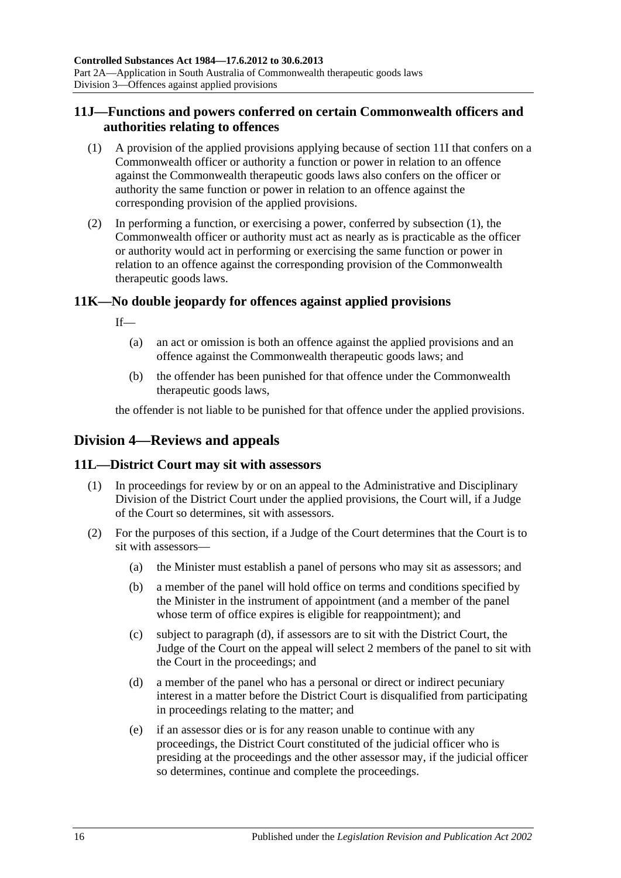## <span id="page-15-0"></span>**11J—Functions and powers conferred on certain Commonwealth officers and authorities relating to offences**

- <span id="page-15-4"></span>(1) A provision of the applied provisions applying because of [section](#page-14-5) 11I that confers on a Commonwealth officer or authority a function or power in relation to an offence against the Commonwealth therapeutic goods laws also confers on the officer or authority the same function or power in relation to an offence against the corresponding provision of the applied provisions.
- (2) In performing a function, or exercising a power, conferred by [subsection](#page-15-4) (1), the Commonwealth officer or authority must act as nearly as is practicable as the officer or authority would act in performing or exercising the same function or power in relation to an offence against the corresponding provision of the Commonwealth therapeutic goods laws.

## <span id="page-15-1"></span>**11K—No double jeopardy for offences against applied provisions**

If—

- (a) an act or omission is both an offence against the applied provisions and an offence against the Commonwealth therapeutic goods laws; and
- (b) the offender has been punished for that offence under the Commonwealth therapeutic goods laws,

the offender is not liable to be punished for that offence under the applied provisions.

## <span id="page-15-2"></span>**Division 4—Reviews and appeals**

## <span id="page-15-3"></span>**11L—District Court may sit with assessors**

- (1) In proceedings for review by or on an appeal to the Administrative and Disciplinary Division of the District Court under the applied provisions, the Court will, if a Judge of the Court so determines, sit with assessors.
- <span id="page-15-5"></span>(2) For the purposes of this section, if a Judge of the Court determines that the Court is to sit with assessors—
	- (a) the Minister must establish a panel of persons who may sit as assessors; and
	- (b) a member of the panel will hold office on terms and conditions specified by the Minister in the instrument of appointment (and a member of the panel whose term of office expires is eligible for reappointment); and
	- (c) subject to [paragraph](#page-15-5) (d), if assessors are to sit with the District Court, the Judge of the Court on the appeal will select 2 members of the panel to sit with the Court in the proceedings; and
	- (d) a member of the panel who has a personal or direct or indirect pecuniary interest in a matter before the District Court is disqualified from participating in proceedings relating to the matter; and
	- (e) if an assessor dies or is for any reason unable to continue with any proceedings, the District Court constituted of the judicial officer who is presiding at the proceedings and the other assessor may, if the judicial officer so determines, continue and complete the proceedings.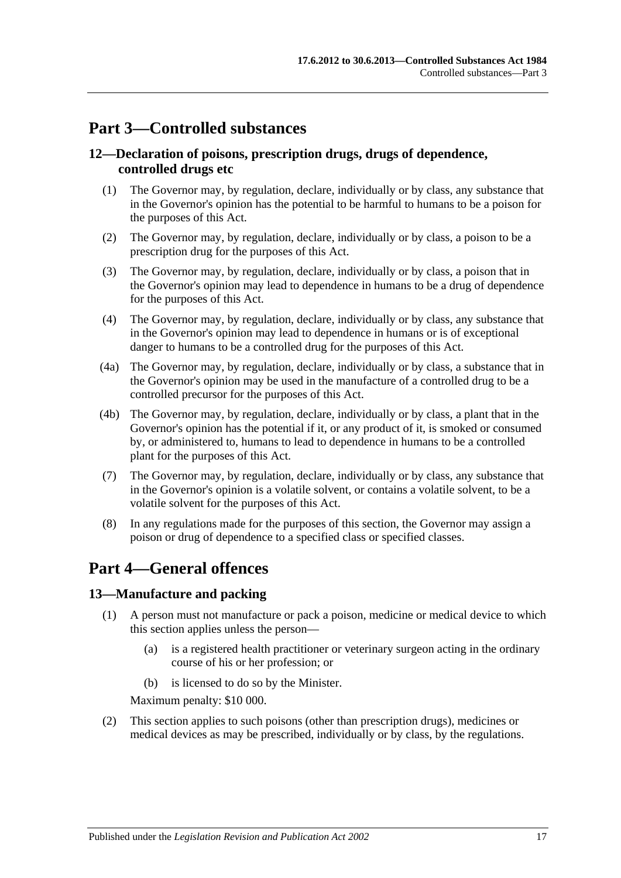## <span id="page-16-0"></span>**Part 3—Controlled substances**

## <span id="page-16-1"></span>**12—Declaration of poisons, prescription drugs, drugs of dependence, controlled drugs etc**

- (1) The Governor may, by regulation, declare, individually or by class, any substance that in the Governor's opinion has the potential to be harmful to humans to be a poison for the purposes of this Act.
- (2) The Governor may, by regulation, declare, individually or by class, a poison to be a prescription drug for the purposes of this Act.
- (3) The Governor may, by regulation, declare, individually or by class, a poison that in the Governor's opinion may lead to dependence in humans to be a drug of dependence for the purposes of this Act.
- (4) The Governor may, by regulation, declare, individually or by class, any substance that in the Governor's opinion may lead to dependence in humans or is of exceptional danger to humans to be a controlled drug for the purposes of this Act.
- (4a) The Governor may, by regulation, declare, individually or by class, a substance that in the Governor's opinion may be used in the manufacture of a controlled drug to be a controlled precursor for the purposes of this Act.
- (4b) The Governor may, by regulation, declare, individually or by class, a plant that in the Governor's opinion has the potential if it, or any product of it, is smoked or consumed by, or administered to, humans to lead to dependence in humans to be a controlled plant for the purposes of this Act.
- (7) The Governor may, by regulation, declare, individually or by class, any substance that in the Governor's opinion is a volatile solvent, or contains a volatile solvent, to be a volatile solvent for the purposes of this Act.
- (8) In any regulations made for the purposes of this section, the Governor may assign a poison or drug of dependence to a specified class or specified classes.

## <span id="page-16-2"></span>**Part 4—General offences**

## <span id="page-16-4"></span><span id="page-16-3"></span>**13—Manufacture and packing**

- (1) A person must not manufacture or pack a poison, medicine or medical device to which this section applies unless the person—
	- (a) is a registered health practitioner or veterinary surgeon acting in the ordinary course of his or her profession; or
	- (b) is licensed to do so by the Minister.

Maximum penalty: \$10 000.

(2) This section applies to such poisons (other than prescription drugs), medicines or medical devices as may be prescribed, individually or by class, by the regulations.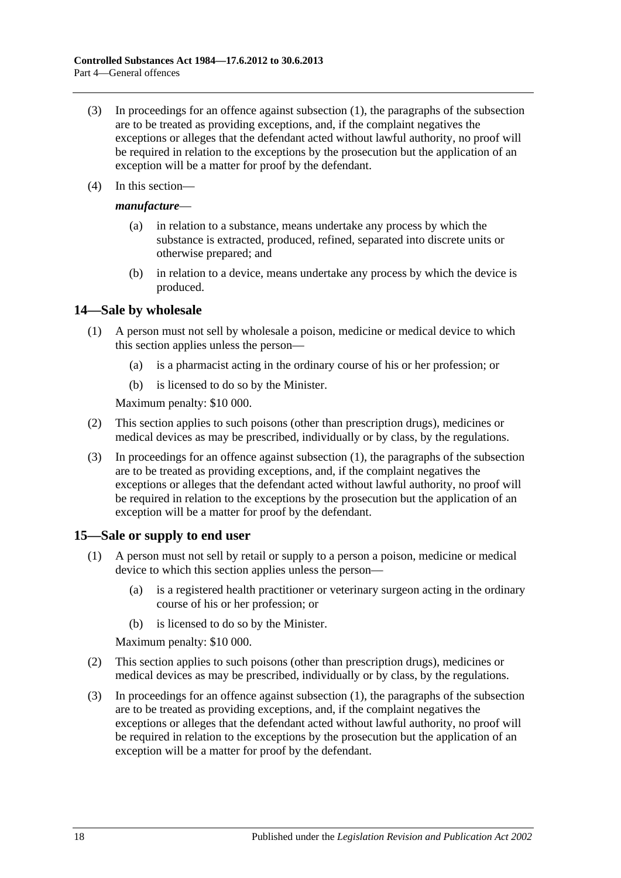- (3) In proceedings for an offence against [subsection](#page-16-4) (1), the paragraphs of the subsection are to be treated as providing exceptions, and, if the complaint negatives the exceptions or alleges that the defendant acted without lawful authority, no proof will be required in relation to the exceptions by the prosecution but the application of an exception will be a matter for proof by the defendant.
- (4) In this section—

#### *manufacture*—

- (a) in relation to a substance, means undertake any process by which the substance is extracted, produced, refined, separated into discrete units or otherwise prepared; and
- (b) in relation to a device, means undertake any process by which the device is produced.

#### <span id="page-17-2"></span><span id="page-17-0"></span>**14—Sale by wholesale**

- (1) A person must not sell by wholesale a poison, medicine or medical device to which this section applies unless the person—
	- (a) is a pharmacist acting in the ordinary course of his or her profession; or
	- (b) is licensed to do so by the Minister.

Maximum penalty: \$10 000.

- (2) This section applies to such poisons (other than prescription drugs), medicines or medical devices as may be prescribed, individually or by class, by the regulations.
- (3) In proceedings for an offence against [subsection](#page-17-2) (1), the paragraphs of the subsection are to be treated as providing exceptions, and, if the complaint negatives the exceptions or alleges that the defendant acted without lawful authority, no proof will be required in relation to the exceptions by the prosecution but the application of an exception will be a matter for proof by the defendant.

## <span id="page-17-3"></span><span id="page-17-1"></span>**15—Sale or supply to end user**

- (1) A person must not sell by retail or supply to a person a poison, medicine or medical device to which this section applies unless the person—
	- (a) is a registered health practitioner or veterinary surgeon acting in the ordinary course of his or her profession; or
	- (b) is licensed to do so by the Minister.

Maximum penalty: \$10 000.

- (2) This section applies to such poisons (other than prescription drugs), medicines or medical devices as may be prescribed, individually or by class, by the regulations.
- (3) In proceedings for an offence against [subsection](#page-17-3) (1), the paragraphs of the subsection are to be treated as providing exceptions, and, if the complaint negatives the exceptions or alleges that the defendant acted without lawful authority, no proof will be required in relation to the exceptions by the prosecution but the application of an exception will be a matter for proof by the defendant.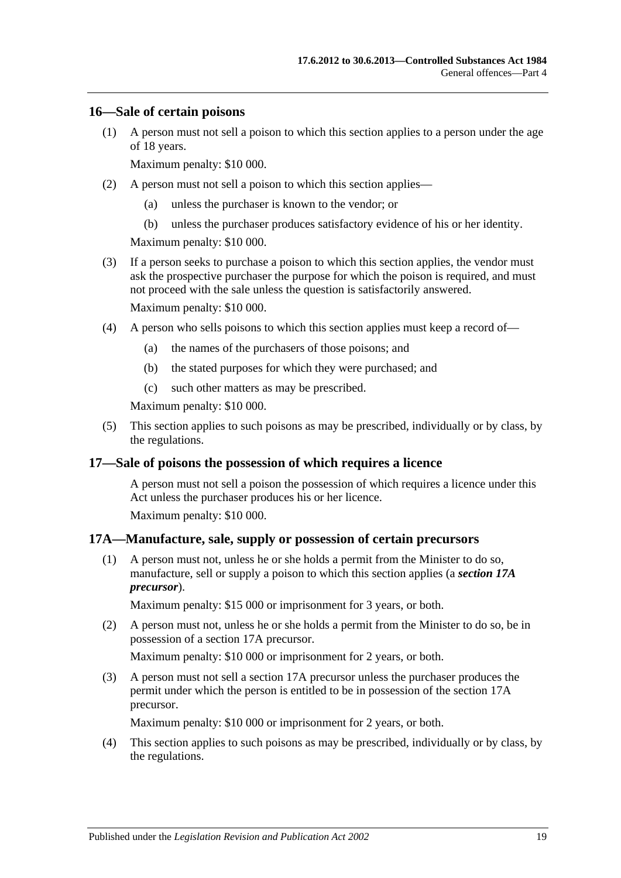#### <span id="page-18-0"></span>**16—Sale of certain poisons**

(1) A person must not sell a poison to which this section applies to a person under the age of 18 years.

Maximum penalty: \$10 000.

- (2) A person must not sell a poison to which this section applies—
	- (a) unless the purchaser is known to the vendor; or
	- (b) unless the purchaser produces satisfactory evidence of his or her identity.

Maximum penalty: \$10 000.

(3) If a person seeks to purchase a poison to which this section applies, the vendor must ask the prospective purchaser the purpose for which the poison is required, and must not proceed with the sale unless the question is satisfactorily answered.

Maximum penalty: \$10 000.

- (4) A person who sells poisons to which this section applies must keep a record of—
	- (a) the names of the purchasers of those poisons; and
	- (b) the stated purposes for which they were purchased; and
	- (c) such other matters as may be prescribed.

Maximum penalty: \$10 000.

(5) This section applies to such poisons as may be prescribed, individually or by class, by the regulations.

#### <span id="page-18-1"></span>**17—Sale of poisons the possession of which requires a licence**

A person must not sell a poison the possession of which requires a licence under this Act unless the purchaser produces his or her licence.

Maximum penalty: \$10 000.

#### <span id="page-18-2"></span>**17A—Manufacture, sale, supply or possession of certain precursors**

(1) A person must not, unless he or she holds a permit from the Minister to do so, manufacture, sell or supply a poison to which this section applies (a *section 17A precursor*).

Maximum penalty: \$15 000 or imprisonment for 3 years, or both.

(2) A person must not, unless he or she holds a permit from the Minister to do so, be in possession of a section 17A precursor.

Maximum penalty: \$10 000 or imprisonment for 2 years, or both.

(3) A person must not sell a section 17A precursor unless the purchaser produces the permit under which the person is entitled to be in possession of the section 17A precursor.

Maximum penalty: \$10 000 or imprisonment for 2 years, or both.

(4) This section applies to such poisons as may be prescribed, individually or by class, by the regulations.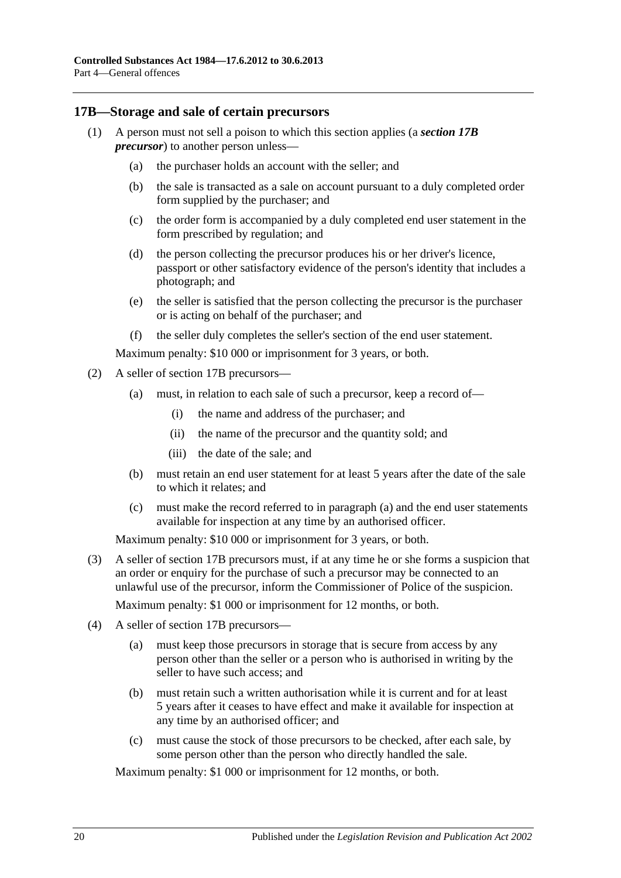#### <span id="page-19-0"></span>**17B—Storage and sale of certain precursors**

- (1) A person must not sell a poison to which this section applies (a *section 17B precursor*) to another person unless—
	- (a) the purchaser holds an account with the seller; and
	- (b) the sale is transacted as a sale on account pursuant to a duly completed order form supplied by the purchaser; and
	- (c) the order form is accompanied by a duly completed end user statement in the form prescribed by regulation; and
	- (d) the person collecting the precursor produces his or her driver's licence, passport or other satisfactory evidence of the person's identity that includes a photograph; and
	- (e) the seller is satisfied that the person collecting the precursor is the purchaser or is acting on behalf of the purchaser; and
	- (f) the seller duly completes the seller's section of the end user statement.

Maximum penalty: \$10 000 or imprisonment for 3 years, or both.

- <span id="page-19-1"></span>(2) A seller of section 17B precursors—
	- (a) must, in relation to each sale of such a precursor, keep a record of—
		- (i) the name and address of the purchaser; and
		- (ii) the name of the precursor and the quantity sold; and
		- (iii) the date of the sale; and
	- (b) must retain an end user statement for at least 5 years after the date of the sale to which it relates; and
	- (c) must make the record referred to in [paragraph](#page-19-1) (a) and the end user statements available for inspection at any time by an authorised officer.

Maximum penalty: \$10 000 or imprisonment for 3 years, or both.

(3) A seller of section 17B precursors must, if at any time he or she forms a suspicion that an order or enquiry for the purchase of such a precursor may be connected to an unlawful use of the precursor, inform the Commissioner of Police of the suspicion.

Maximum penalty: \$1 000 or imprisonment for 12 months, or both.

- (4) A seller of section 17B precursors—
	- (a) must keep those precursors in storage that is secure from access by any person other than the seller or a person who is authorised in writing by the seller to have such access; and
	- (b) must retain such a written authorisation while it is current and for at least 5 years after it ceases to have effect and make it available for inspection at any time by an authorised officer; and
	- (c) must cause the stock of those precursors to be checked, after each sale, by some person other than the person who directly handled the sale.

Maximum penalty: \$1 000 or imprisonment for 12 months, or both.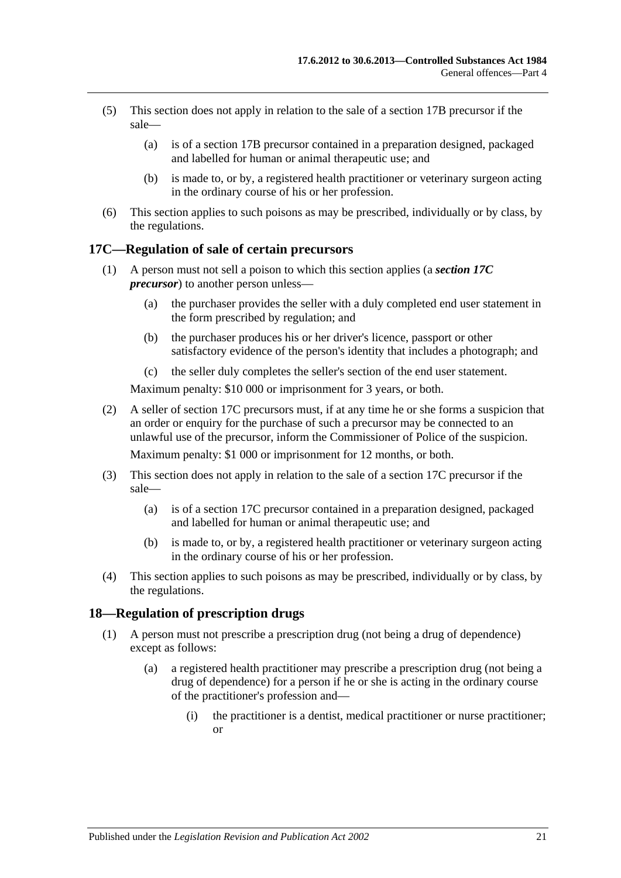- (5) This section does not apply in relation to the sale of a section 17B precursor if the sale—
	- (a) is of a section 17B precursor contained in a preparation designed, packaged and labelled for human or animal therapeutic use; and
	- (b) is made to, or by, a registered health practitioner or veterinary surgeon acting in the ordinary course of his or her profession.
- (6) This section applies to such poisons as may be prescribed, individually or by class, by the regulations.

## <span id="page-20-0"></span>**17C—Regulation of sale of certain precursors**

- (1) A person must not sell a poison to which this section applies (a *section 17C precursor*) to another person unless—
	- (a) the purchaser provides the seller with a duly completed end user statement in the form prescribed by regulation; and
	- (b) the purchaser produces his or her driver's licence, passport or other satisfactory evidence of the person's identity that includes a photograph; and
	- (c) the seller duly completes the seller's section of the end user statement.

Maximum penalty: \$10 000 or imprisonment for 3 years, or both.

(2) A seller of section 17C precursors must, if at any time he or she forms a suspicion that an order or enquiry for the purchase of such a precursor may be connected to an unlawful use of the precursor, inform the Commissioner of Police of the suspicion.

Maximum penalty: \$1 000 or imprisonment for 12 months, or both.

- (3) This section does not apply in relation to the sale of a section 17C precursor if the sale—
	- (a) is of a section 17C precursor contained in a preparation designed, packaged and labelled for human or animal therapeutic use; and
	- (b) is made to, or by, a registered health practitioner or veterinary surgeon acting in the ordinary course of his or her profession.
- (4) This section applies to such poisons as may be prescribed, individually or by class, by the regulations.

#### <span id="page-20-2"></span><span id="page-20-1"></span>**18—Regulation of prescription drugs**

- (1) A person must not prescribe a prescription drug (not being a drug of dependence) except as follows:
	- (a) a registered health practitioner may prescribe a prescription drug (not being a drug of dependence) for a person if he or she is acting in the ordinary course of the practitioner's profession and—
		- (i) the practitioner is a dentist, medical practitioner or nurse practitioner; or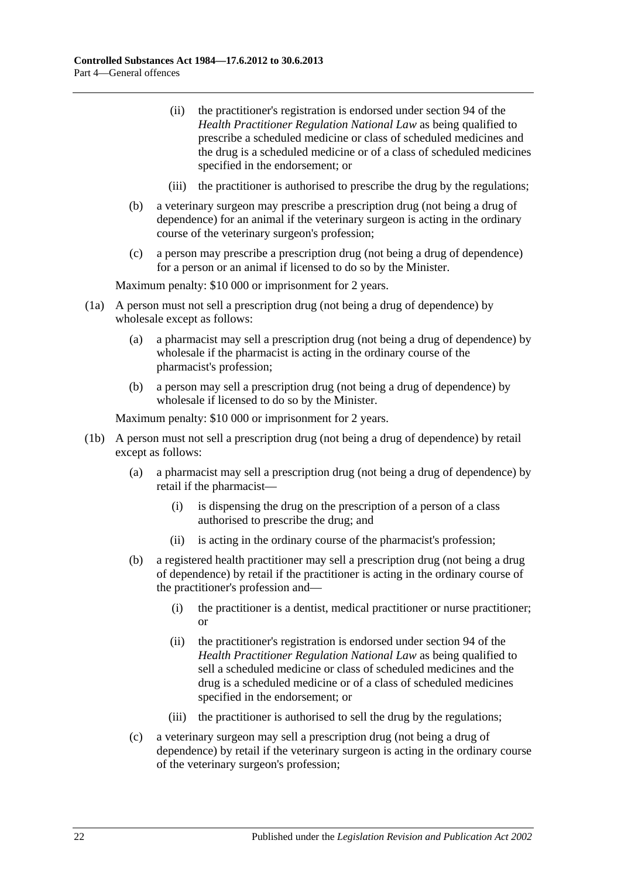- (ii) the practitioner's registration is endorsed under section 94 of the *Health Practitioner Regulation National Law* as being qualified to prescribe a scheduled medicine or class of scheduled medicines and the drug is a scheduled medicine or of a class of scheduled medicines specified in the endorsement; or
- (iii) the practitioner is authorised to prescribe the drug by the regulations;
- (b) a veterinary surgeon may prescribe a prescription drug (not being a drug of dependence) for an animal if the veterinary surgeon is acting in the ordinary course of the veterinary surgeon's profession;
- (c) a person may prescribe a prescription drug (not being a drug of dependence) for a person or an animal if licensed to do so by the Minister.

Maximum penalty: \$10 000 or imprisonment for 2 years.

- (1a) A person must not sell a prescription drug (not being a drug of dependence) by wholesale except as follows:
	- (a) a pharmacist may sell a prescription drug (not being a drug of dependence) by wholesale if the pharmacist is acting in the ordinary course of the pharmacist's profession;
	- (b) a person may sell a prescription drug (not being a drug of dependence) by wholesale if licensed to do so by the Minister.

- (1b) A person must not sell a prescription drug (not being a drug of dependence) by retail except as follows:
	- (a) a pharmacist may sell a prescription drug (not being a drug of dependence) by retail if the pharmacist—
		- (i) is dispensing the drug on the prescription of a person of a class authorised to prescribe the drug; and
		- (ii) is acting in the ordinary course of the pharmacist's profession;
	- (b) a registered health practitioner may sell a prescription drug (not being a drug of dependence) by retail if the practitioner is acting in the ordinary course of the practitioner's profession and—
		- (i) the practitioner is a dentist, medical practitioner or nurse practitioner; or
		- (ii) the practitioner's registration is endorsed under section 94 of the *Health Practitioner Regulation National Law* as being qualified to sell a scheduled medicine or class of scheduled medicines and the drug is a scheduled medicine or of a class of scheduled medicines specified in the endorsement; or
		- (iii) the practitioner is authorised to sell the drug by the regulations;
	- (c) a veterinary surgeon may sell a prescription drug (not being a drug of dependence) by retail if the veterinary surgeon is acting in the ordinary course of the veterinary surgeon's profession;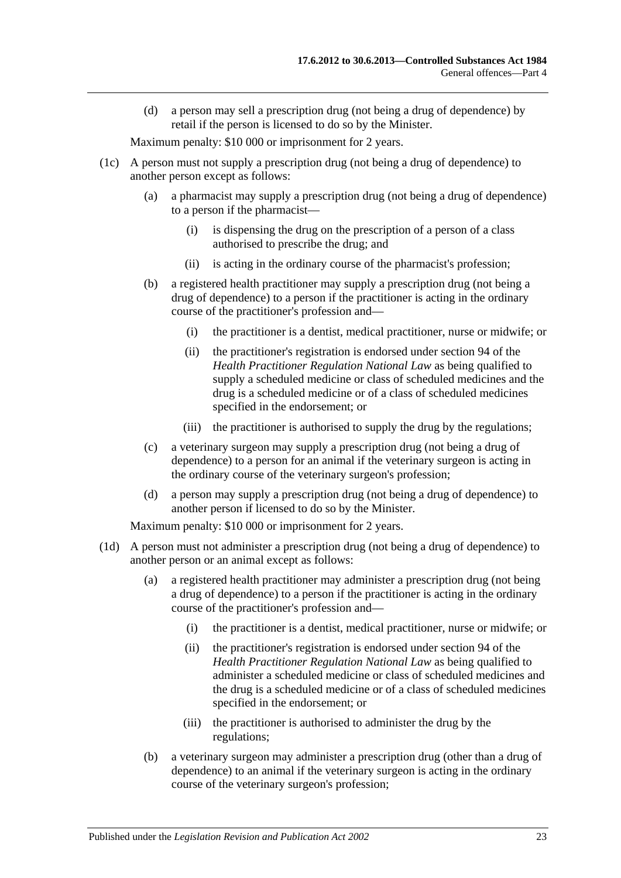(d) a person may sell a prescription drug (not being a drug of dependence) by retail if the person is licensed to do so by the Minister.

Maximum penalty: \$10 000 or imprisonment for 2 years.

- (1c) A person must not supply a prescription drug (not being a drug of dependence) to another person except as follows:
	- (a) a pharmacist may supply a prescription drug (not being a drug of dependence) to a person if the pharmacist—
		- (i) is dispensing the drug on the prescription of a person of a class authorised to prescribe the drug; and
		- (ii) is acting in the ordinary course of the pharmacist's profession;
	- (b) a registered health practitioner may supply a prescription drug (not being a drug of dependence) to a person if the practitioner is acting in the ordinary course of the practitioner's profession and—
		- (i) the practitioner is a dentist, medical practitioner, nurse or midwife; or
		- (ii) the practitioner's registration is endorsed under section 94 of the *Health Practitioner Regulation National Law* as being qualified to supply a scheduled medicine or class of scheduled medicines and the drug is a scheduled medicine or of a class of scheduled medicines specified in the endorsement; or
		- (iii) the practitioner is authorised to supply the drug by the regulations;
	- (c) a veterinary surgeon may supply a prescription drug (not being a drug of dependence) to a person for an animal if the veterinary surgeon is acting in the ordinary course of the veterinary surgeon's profession;
	- (d) a person may supply a prescription drug (not being a drug of dependence) to another person if licensed to do so by the Minister.

- (1d) A person must not administer a prescription drug (not being a drug of dependence) to another person or an animal except as follows:
	- (a) a registered health practitioner may administer a prescription drug (not being a drug of dependence) to a person if the practitioner is acting in the ordinary course of the practitioner's profession and—
		- (i) the practitioner is a dentist, medical practitioner, nurse or midwife; or
		- (ii) the practitioner's registration is endorsed under section 94 of the *Health Practitioner Regulation National Law* as being qualified to administer a scheduled medicine or class of scheduled medicines and the drug is a scheduled medicine or of a class of scheduled medicines specified in the endorsement; or
		- (iii) the practitioner is authorised to administer the drug by the regulations;
	- (b) a veterinary surgeon may administer a prescription drug (other than a drug of dependence) to an animal if the veterinary surgeon is acting in the ordinary course of the veterinary surgeon's profession;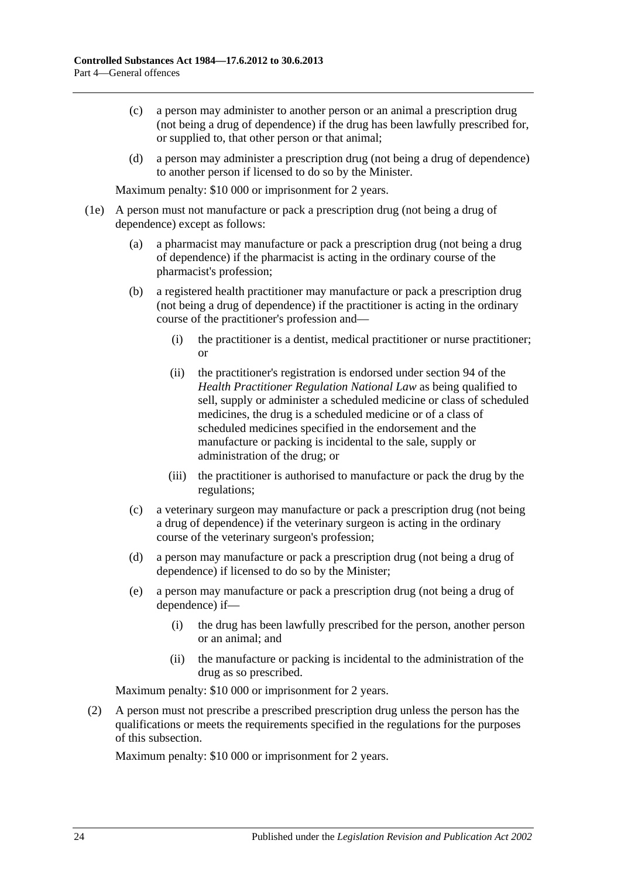- (c) a person may administer to another person or an animal a prescription drug (not being a drug of dependence) if the drug has been lawfully prescribed for, or supplied to, that other person or that animal;
- (d) a person may administer a prescription drug (not being a drug of dependence) to another person if licensed to do so by the Minister.

Maximum penalty: \$10 000 or imprisonment for 2 years.

- (1e) A person must not manufacture or pack a prescription drug (not being a drug of dependence) except as follows:
	- (a) a pharmacist may manufacture or pack a prescription drug (not being a drug of dependence) if the pharmacist is acting in the ordinary course of the pharmacist's profession;
	- (b) a registered health practitioner may manufacture or pack a prescription drug (not being a drug of dependence) if the practitioner is acting in the ordinary course of the practitioner's profession and—
		- (i) the practitioner is a dentist, medical practitioner or nurse practitioner; or
		- (ii) the practitioner's registration is endorsed under section 94 of the *Health Practitioner Regulation National Law* as being qualified to sell, supply or administer a scheduled medicine or class of scheduled medicines, the drug is a scheduled medicine or of a class of scheduled medicines specified in the endorsement and the manufacture or packing is incidental to the sale, supply or administration of the drug; or
		- (iii) the practitioner is authorised to manufacture or pack the drug by the regulations;
	- (c) a veterinary surgeon may manufacture or pack a prescription drug (not being a drug of dependence) if the veterinary surgeon is acting in the ordinary course of the veterinary surgeon's profession;
	- (d) a person may manufacture or pack a prescription drug (not being a drug of dependence) if licensed to do so by the Minister;
	- (e) a person may manufacture or pack a prescription drug (not being a drug of dependence) if—
		- (i) the drug has been lawfully prescribed for the person, another person or an animal; and
		- (ii) the manufacture or packing is incidental to the administration of the drug as so prescribed.

Maximum penalty: \$10 000 or imprisonment for 2 years.

(2) A person must not prescribe a prescribed prescription drug unless the person has the qualifications or meets the requirements specified in the regulations for the purposes of this subsection.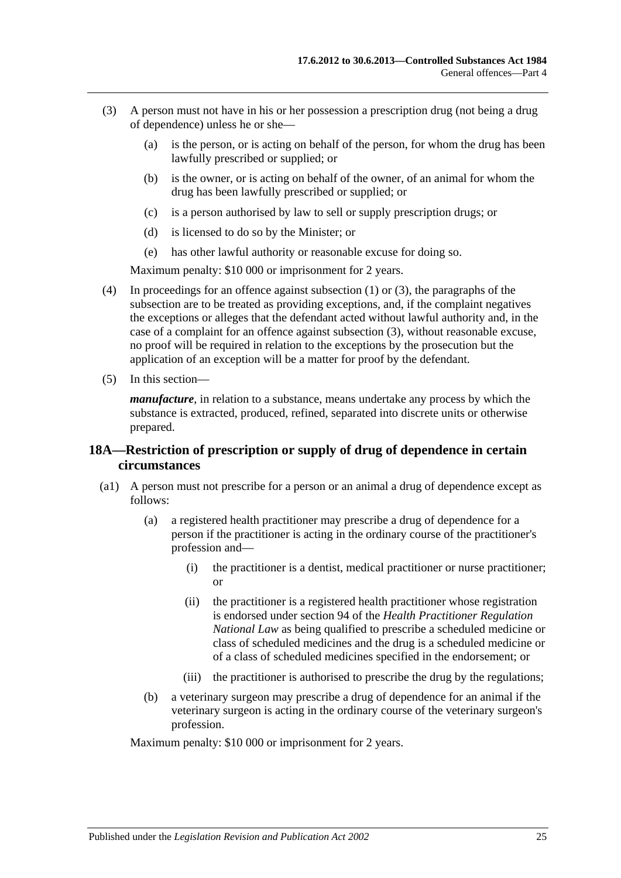- <span id="page-24-1"></span>(3) A person must not have in his or her possession a prescription drug (not being a drug of dependence) unless he or she—
	- (a) is the person, or is acting on behalf of the person, for whom the drug has been lawfully prescribed or supplied; or
	- (b) is the owner, or is acting on behalf of the owner, of an animal for whom the drug has been lawfully prescribed or supplied; or
	- (c) is a person authorised by law to sell or supply prescription drugs; or
	- (d) is licensed to do so by the Minister; or
	- (e) has other lawful authority or reasonable excuse for doing so.

Maximum penalty: \$10 000 or imprisonment for 2 years.

- (4) In proceedings for an offence against [subsection](#page-20-2) (1) or [\(3\),](#page-24-1) the paragraphs of the subsection are to be treated as providing exceptions, and, if the complaint negatives the exceptions or alleges that the defendant acted without lawful authority and, in the case of a complaint for an offence against [subsection](#page-24-1) (3), without reasonable excuse, no proof will be required in relation to the exceptions by the prosecution but the application of an exception will be a matter for proof by the defendant.
- (5) In this section—

*manufacture*, in relation to a substance, means undertake any process by which the substance is extracted, produced, refined, separated into discrete units or otherwise prepared.

### <span id="page-24-0"></span>**18A—Restriction of prescription or supply of drug of dependence in certain circumstances**

- (a1) A person must not prescribe for a person or an animal a drug of dependence except as follows:
	- (a) a registered health practitioner may prescribe a drug of dependence for a person if the practitioner is acting in the ordinary course of the practitioner's profession and—
		- (i) the practitioner is a dentist, medical practitioner or nurse practitioner; or
		- (ii) the practitioner is a registered health practitioner whose registration is endorsed under section 94 of the *Health Practitioner Regulation National Law* as being qualified to prescribe a scheduled medicine or class of scheduled medicines and the drug is a scheduled medicine or of a class of scheduled medicines specified in the endorsement; or
		- (iii) the practitioner is authorised to prescribe the drug by the regulations;
	- (b) a veterinary surgeon may prescribe a drug of dependence for an animal if the veterinary surgeon is acting in the ordinary course of the veterinary surgeon's profession.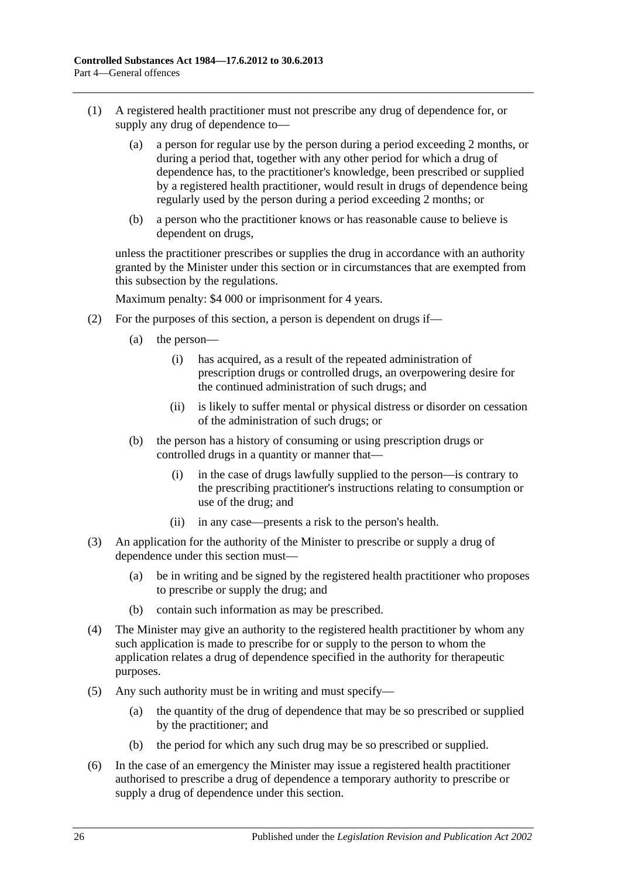- (1) A registered health practitioner must not prescribe any drug of dependence for, or supply any drug of dependence to—
	- (a) a person for regular use by the person during a period exceeding 2 months, or during a period that, together with any other period for which a drug of dependence has, to the practitioner's knowledge, been prescribed or supplied by a registered health practitioner, would result in drugs of dependence being regularly used by the person during a period exceeding 2 months; or
	- (b) a person who the practitioner knows or has reasonable cause to believe is dependent on drugs,

unless the practitioner prescribes or supplies the drug in accordance with an authority granted by the Minister under this section or in circumstances that are exempted from this subsection by the regulations.

- (2) For the purposes of this section, a person is dependent on drugs if—
	- (a) the person—
		- (i) has acquired, as a result of the repeated administration of prescription drugs or controlled drugs, an overpowering desire for the continued administration of such drugs; and
		- (ii) is likely to suffer mental or physical distress or disorder on cessation of the administration of such drugs; or
	- (b) the person has a history of consuming or using prescription drugs or controlled drugs in a quantity or manner that—
		- (i) in the case of drugs lawfully supplied to the person—is contrary to the prescribing practitioner's instructions relating to consumption or use of the drug; and
		- (ii) in any case—presents a risk to the person's health.
- (3) An application for the authority of the Minister to prescribe or supply a drug of dependence under this section must—
	- (a) be in writing and be signed by the registered health practitioner who proposes to prescribe or supply the drug; and
	- (b) contain such information as may be prescribed.
- (4) The Minister may give an authority to the registered health practitioner by whom any such application is made to prescribe for or supply to the person to whom the application relates a drug of dependence specified in the authority for therapeutic purposes.
- (5) Any such authority must be in writing and must specify—
	- (a) the quantity of the drug of dependence that may be so prescribed or supplied by the practitioner; and
	- (b) the period for which any such drug may be so prescribed or supplied.
- (6) In the case of an emergency the Minister may issue a registered health practitioner authorised to prescribe a drug of dependence a temporary authority to prescribe or supply a drug of dependence under this section.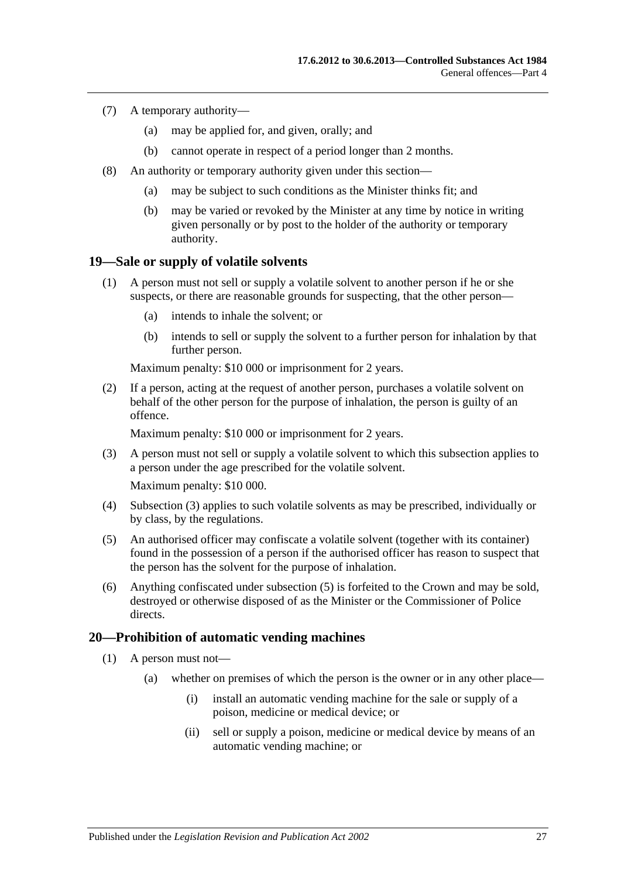- (7) A temporary authority—
	- (a) may be applied for, and given, orally; and
	- (b) cannot operate in respect of a period longer than 2 months.
- (8) An authority or temporary authority given under this section—
	- (a) may be subject to such conditions as the Minister thinks fit; and
	- (b) may be varied or revoked by the Minister at any time by notice in writing given personally or by post to the holder of the authority or temporary authority.

### <span id="page-26-0"></span>**19—Sale or supply of volatile solvents**

- (1) A person must not sell or supply a volatile solvent to another person if he or she suspects, or there are reasonable grounds for suspecting, that the other person—
	- (a) intends to inhale the solvent; or
	- (b) intends to sell or supply the solvent to a further person for inhalation by that further person.

Maximum penalty: \$10 000 or imprisonment for 2 years.

(2) If a person, acting at the request of another person, purchases a volatile solvent on behalf of the other person for the purpose of inhalation, the person is guilty of an offence.

Maximum penalty: \$10 000 or imprisonment for 2 years.

- <span id="page-26-2"></span>(3) A person must not sell or supply a volatile solvent to which this subsection applies to a person under the age prescribed for the volatile solvent. Maximum penalty: \$10 000.
- (4) [Subsection](#page-26-2) (3) applies to such volatile solvents as may be prescribed, individually or by class, by the regulations.
- <span id="page-26-3"></span>(5) An authorised officer may confiscate a volatile solvent (together with its container) found in the possession of a person if the authorised officer has reason to suspect that the person has the solvent for the purpose of inhalation.
- (6) Anything confiscated under [subsection](#page-26-3) (5) is forfeited to the Crown and may be sold, destroyed or otherwise disposed of as the Minister or the Commissioner of Police directs.

#### <span id="page-26-1"></span>**20—Prohibition of automatic vending machines**

- (1) A person must not—
	- (a) whether on premises of which the person is the owner or in any other place—
		- (i) install an automatic vending machine for the sale or supply of a poison, medicine or medical device; or
		- (ii) sell or supply a poison, medicine or medical device by means of an automatic vending machine; or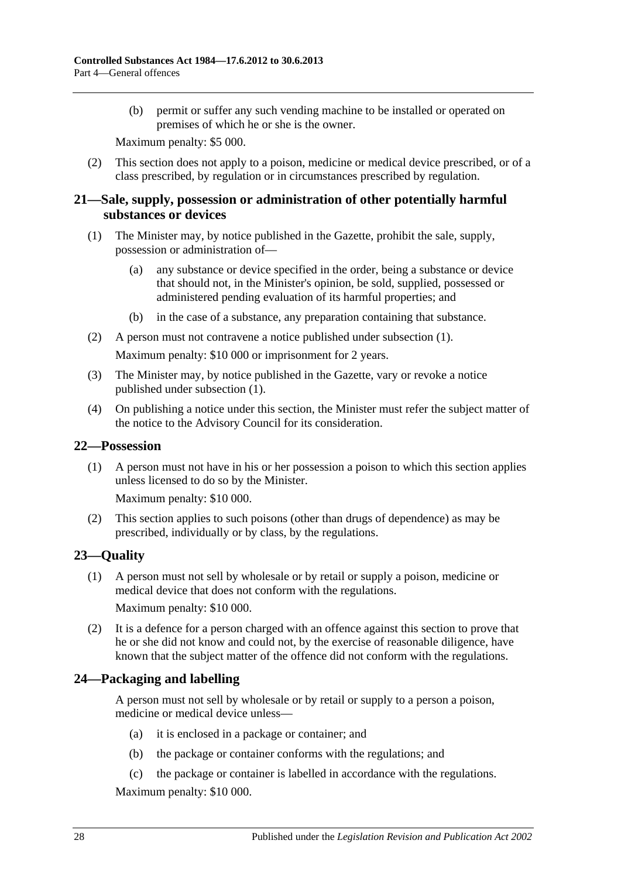(b) permit or suffer any such vending machine to be installed or operated on premises of which he or she is the owner.

Maximum penalty: \$5 000.

(2) This section does not apply to a poison, medicine or medical device prescribed, or of a class prescribed, by regulation or in circumstances prescribed by regulation.

### <span id="page-27-0"></span>**21—Sale, supply, possession or administration of other potentially harmful substances or devices**

- <span id="page-27-4"></span>(1) The Minister may, by notice published in the Gazette, prohibit the sale, supply, possession or administration of—
	- (a) any substance or device specified in the order, being a substance or device that should not, in the Minister's opinion, be sold, supplied, possessed or administered pending evaluation of its harmful properties; and
	- (b) in the case of a substance, any preparation containing that substance.
- (2) A person must not contravene a notice published under [subsection](#page-27-4) (1).

Maximum penalty: \$10 000 or imprisonment for 2 years.

- (3) The Minister may, by notice published in the Gazette, vary or revoke a notice published under [subsection](#page-27-4) (1).
- (4) On publishing a notice under this section, the Minister must refer the subject matter of the notice to the Advisory Council for its consideration.

#### <span id="page-27-1"></span>**22—Possession**

(1) A person must not have in his or her possession a poison to which this section applies unless licensed to do so by the Minister.

Maximum penalty: \$10 000.

(2) This section applies to such poisons (other than drugs of dependence) as may be prescribed, individually or by class, by the regulations.

## <span id="page-27-2"></span>**23—Quality**

(1) A person must not sell by wholesale or by retail or supply a poison, medicine or medical device that does not conform with the regulations. Maximum penalty: \$10 000.

(2) It is a defence for a person charged with an offence against this section to prove that he or she did not know and could not, by the exercise of reasonable diligence, have known that the subject matter of the offence did not conform with the regulations.

## <span id="page-27-3"></span>**24—Packaging and labelling**

A person must not sell by wholesale or by retail or supply to a person a poison, medicine or medical device unless—

- (a) it is enclosed in a package or container; and
- (b) the package or container conforms with the regulations; and
- (c) the package or container is labelled in accordance with the regulations.

Maximum penalty: \$10 000.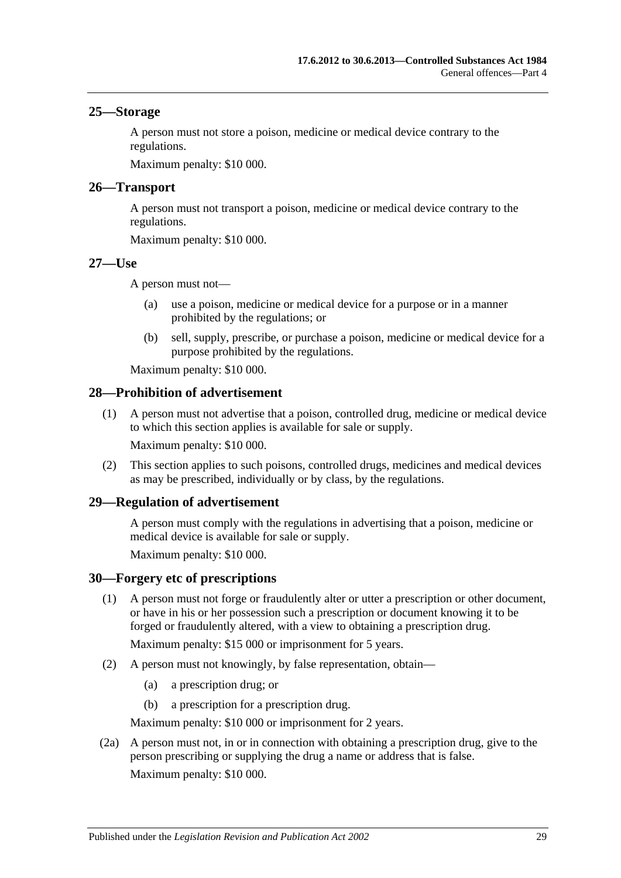#### <span id="page-28-0"></span>**25—Storage**

A person must not store a poison, medicine or medical device contrary to the regulations.

Maximum penalty: \$10 000.

#### <span id="page-28-1"></span>**26—Transport**

A person must not transport a poison, medicine or medical device contrary to the regulations.

Maximum penalty: \$10 000.

#### <span id="page-28-2"></span>**27—Use**

A person must not—

- (a) use a poison, medicine or medical device for a purpose or in a manner prohibited by the regulations; or
- (b) sell, supply, prescribe, or purchase a poison, medicine or medical device for a purpose prohibited by the regulations.

Maximum penalty: \$10 000.

#### <span id="page-28-3"></span>**28—Prohibition of advertisement**

(1) A person must not advertise that a poison, controlled drug, medicine or medical device to which this section applies is available for sale or supply. Maximum penalty: \$10 000.

(2) This section applies to such poisons, controlled drugs, medicines and medical devices as may be prescribed, individually or by class, by the regulations.

#### <span id="page-28-4"></span>**29—Regulation of advertisement**

A person must comply with the regulations in advertising that a poison, medicine or medical device is available for sale or supply.

Maximum penalty: \$10 000.

#### <span id="page-28-5"></span>**30—Forgery etc of prescriptions**

(1) A person must not forge or fraudulently alter or utter a prescription or other document, or have in his or her possession such a prescription or document knowing it to be forged or fraudulently altered, with a view to obtaining a prescription drug.

Maximum penalty: \$15 000 or imprisonment for 5 years.

- (2) A person must not knowingly, by false representation, obtain—
	- (a) a prescription drug; or
	- (b) a prescription for a prescription drug.

Maximum penalty: \$10 000 or imprisonment for 2 years.

(2a) A person must not, in or in connection with obtaining a prescription drug, give to the person prescribing or supplying the drug a name or address that is false. Maximum penalty: \$10 000.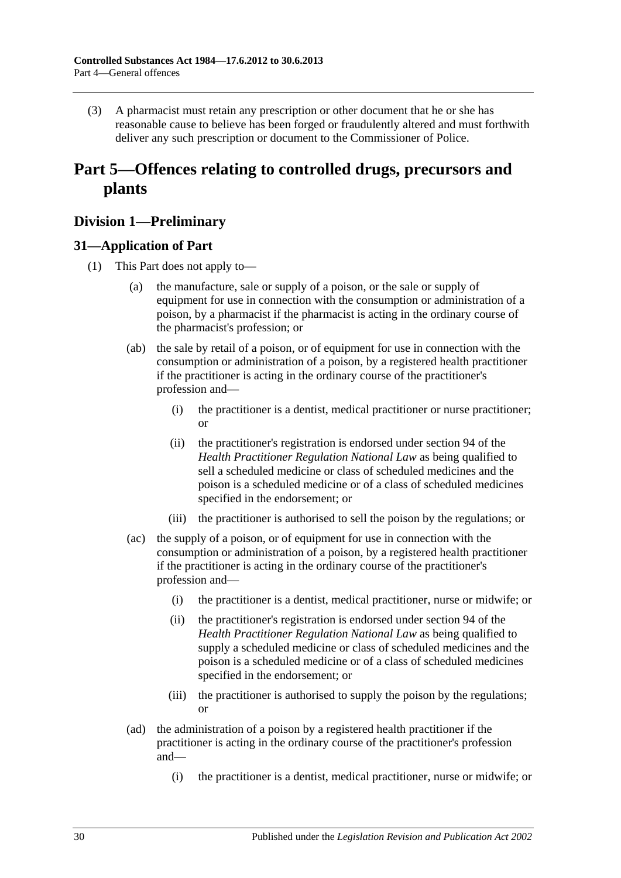(3) A pharmacist must retain any prescription or other document that he or she has reasonable cause to believe has been forged or fraudulently altered and must forthwith deliver any such prescription or document to the Commissioner of Police.

## <span id="page-29-0"></span>**Part 5—Offences relating to controlled drugs, precursors and plants**

## <span id="page-29-1"></span>**Division 1—Preliminary**

## <span id="page-29-3"></span><span id="page-29-2"></span>**31—Application of Part**

- (1) This Part does not apply to—
	- (a) the manufacture, sale or supply of a poison, or the sale or supply of equipment for use in connection with the consumption or administration of a poison, by a pharmacist if the pharmacist is acting in the ordinary course of the pharmacist's profession; or
	- (ab) the sale by retail of a poison, or of equipment for use in connection with the consumption or administration of a poison, by a registered health practitioner if the practitioner is acting in the ordinary course of the practitioner's profession and—
		- (i) the practitioner is a dentist, medical practitioner or nurse practitioner; or
		- (ii) the practitioner's registration is endorsed under section 94 of the *Health Practitioner Regulation National Law* as being qualified to sell a scheduled medicine or class of scheduled medicines and the poison is a scheduled medicine or of a class of scheduled medicines specified in the endorsement; or
		- (iii) the practitioner is authorised to sell the poison by the regulations; or
	- (ac) the supply of a poison, or of equipment for use in connection with the consumption or administration of a poison, by a registered health practitioner if the practitioner is acting in the ordinary course of the practitioner's profession and—
		- (i) the practitioner is a dentist, medical practitioner, nurse or midwife; or
		- (ii) the practitioner's registration is endorsed under section 94 of the *Health Practitioner Regulation National Law* as being qualified to supply a scheduled medicine or class of scheduled medicines and the poison is a scheduled medicine or of a class of scheduled medicines specified in the endorsement; or
		- (iii) the practitioner is authorised to supply the poison by the regulations; or
	- (ad) the administration of a poison by a registered health practitioner if the practitioner is acting in the ordinary course of the practitioner's profession and—
		- (i) the practitioner is a dentist, medical practitioner, nurse or midwife; or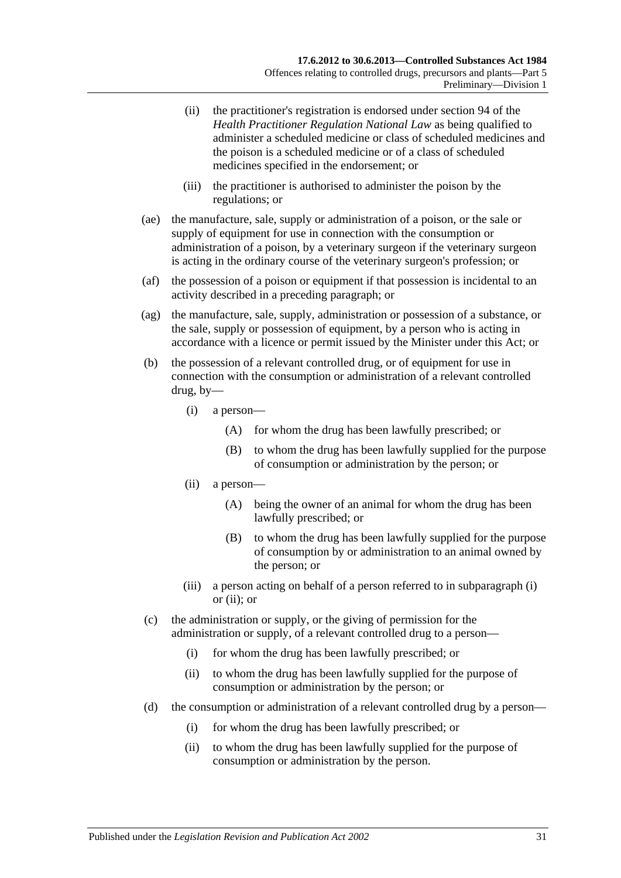- (ii) the practitioner's registration is endorsed under section 94 of the *Health Practitioner Regulation National Law* as being qualified to administer a scheduled medicine or class of scheduled medicines and the poison is a scheduled medicine or of a class of scheduled medicines specified in the endorsement; or
- (iii) the practitioner is authorised to administer the poison by the regulations; or
- (ae) the manufacture, sale, supply or administration of a poison, or the sale or supply of equipment for use in connection with the consumption or administration of a poison, by a veterinary surgeon if the veterinary surgeon is acting in the ordinary course of the veterinary surgeon's profession; or
- (af) the possession of a poison or equipment if that possession is incidental to an activity described in a preceding paragraph; or
- (ag) the manufacture, sale, supply, administration or possession of a substance, or the sale, supply or possession of equipment, by a person who is acting in accordance with a licence or permit issued by the Minister under this Act; or
- <span id="page-30-1"></span><span id="page-30-0"></span>(b) the possession of a relevant controlled drug, or of equipment for use in connection with the consumption or administration of a relevant controlled drug, by—
	- (i) a person—
		- (A) for whom the drug has been lawfully prescribed; or
		- (B) to whom the drug has been lawfully supplied for the purpose of consumption or administration by the person; or
	- (ii) a person—
		- (A) being the owner of an animal for whom the drug has been lawfully prescribed; or
		- (B) to whom the drug has been lawfully supplied for the purpose of consumption by or administration to an animal owned by the person; or
	- (iii) a person acting on behalf of a person referred to in [subparagraph](#page-30-0) (i) or [\(ii\);](#page-30-1) or
- (c) the administration or supply, or the giving of permission for the administration or supply, of a relevant controlled drug to a person—
	- (i) for whom the drug has been lawfully prescribed; or
	- (ii) to whom the drug has been lawfully supplied for the purpose of consumption or administration by the person; or
- (d) the consumption or administration of a relevant controlled drug by a person—
	- (i) for whom the drug has been lawfully prescribed; or
	- (ii) to whom the drug has been lawfully supplied for the purpose of consumption or administration by the person.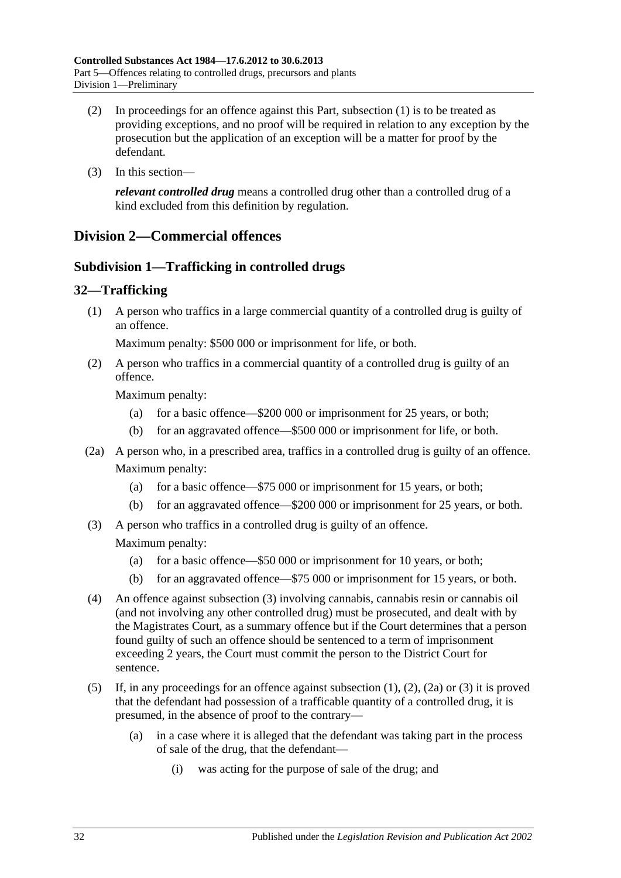- (2) In proceedings for an offence against this Part, [subsection](#page-29-3) (1) is to be treated as providing exceptions, and no proof will be required in relation to any exception by the prosecution but the application of an exception will be a matter for proof by the defendant.
- (3) In this section—

*relevant controlled drug* means a controlled drug other than a controlled drug of a kind excluded from this definition by regulation.

## <span id="page-31-1"></span><span id="page-31-0"></span>**Division 2—Commercial offences**

## **Subdivision 1—Trafficking in controlled drugs**

## <span id="page-31-4"></span><span id="page-31-2"></span>**32—Trafficking**

(1) A person who traffics in a large commercial quantity of a controlled drug is guilty of an offence.

Maximum penalty: \$500 000 or imprisonment for life, or both.

<span id="page-31-5"></span>(2) A person who traffics in a commercial quantity of a controlled drug is guilty of an offence.

Maximum penalty:

- (a) for a basic offence—\$200 000 or imprisonment for 25 years, or both;
- (b) for an aggravated offence—\$500 000 or imprisonment for life, or both.
- <span id="page-31-6"></span>(2a) A person who, in a prescribed area, traffics in a controlled drug is guilty of an offence. Maximum penalty:
	- (a) for a basic offence—\$75 000 or imprisonment for 15 years, or both;
	- (b) for an aggravated offence—\$200 000 or imprisonment for 25 years, or both.
- <span id="page-31-3"></span>(3) A person who traffics in a controlled drug is guilty of an offence.

Maximum penalty:

- (a) for a basic offence—\$50 000 or imprisonment for 10 years, or both;
- (b) for an aggravated offence—\$75 000 or imprisonment for 15 years, or both.
- (4) An offence against [subsection](#page-31-3) (3) involving cannabis, cannabis resin or cannabis oil (and not involving any other controlled drug) must be prosecuted, and dealt with by the Magistrates Court, as a summary offence but if the Court determines that a person found guilty of such an offence should be sentenced to a term of imprisonment exceeding 2 years, the Court must commit the person to the District Court for sentence.
- (5) If, in any proceedings for an offence against [subsection](#page-31-4) (1), [\(2\),](#page-31-5) [\(2a\)](#page-31-6) or [\(3\)](#page-31-3) it is proved that the defendant had possession of a trafficable quantity of a controlled drug, it is presumed, in the absence of proof to the contrary—
	- (a) in a case where it is alleged that the defendant was taking part in the process of sale of the drug, that the defendant—
		- (i) was acting for the purpose of sale of the drug; and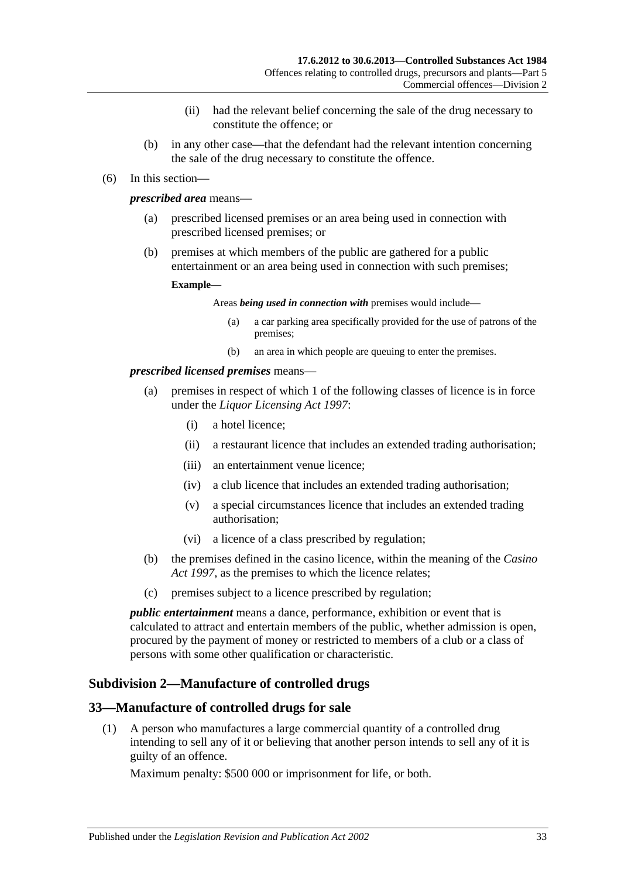- (ii) had the relevant belief concerning the sale of the drug necessary to constitute the offence; or
- (b) in any other case—that the defendant had the relevant intention concerning the sale of the drug necessary to constitute the offence.
- (6) In this section—

#### *prescribed area* means—

- (a) prescribed licensed premises or an area being used in connection with prescribed licensed premises; or
- (b) premises at which members of the public are gathered for a public entertainment or an area being used in connection with such premises;

#### **Example—**

Areas *being used in connection with* premises would include—

- (a) a car parking area specifically provided for the use of patrons of the premises;
- (b) an area in which people are queuing to enter the premises.

#### *prescribed licensed premises* means—

- (a) premises in respect of which 1 of the following classes of licence is in force under the *[Liquor Licensing Act](http://www.legislation.sa.gov.au/index.aspx?action=legref&type=act&legtitle=Liquor%20Licensing%20Act%201997) 1997*:
	- (i) a hotel licence;
	- (ii) a restaurant licence that includes an extended trading authorisation;
	- (iii) an entertainment venue licence;
	- (iv) a club licence that includes an extended trading authorisation;
	- (v) a special circumstances licence that includes an extended trading authorisation;
	- (vi) a licence of a class prescribed by regulation;
- (b) the premises defined in the casino licence, within the meaning of the *[Casino](http://www.legislation.sa.gov.au/index.aspx?action=legref&type=act&legtitle=Casino%20Act%201997)  Act [1997](http://www.legislation.sa.gov.au/index.aspx?action=legref&type=act&legtitle=Casino%20Act%201997)*, as the premises to which the licence relates;
- (c) premises subject to a licence prescribed by regulation;

*public entertainment* means a dance, performance, exhibition or event that is calculated to attract and entertain members of the public, whether admission is open, procured by the payment of money or restricted to members of a club or a class of persons with some other qualification or characteristic.

## <span id="page-32-0"></span>**Subdivision 2—Manufacture of controlled drugs**

#### <span id="page-32-2"></span><span id="page-32-1"></span>**33—Manufacture of controlled drugs for sale**

(1) A person who manufactures a large commercial quantity of a controlled drug intending to sell any of it or believing that another person intends to sell any of it is guilty of an offence.

Maximum penalty: \$500 000 or imprisonment for life, or both.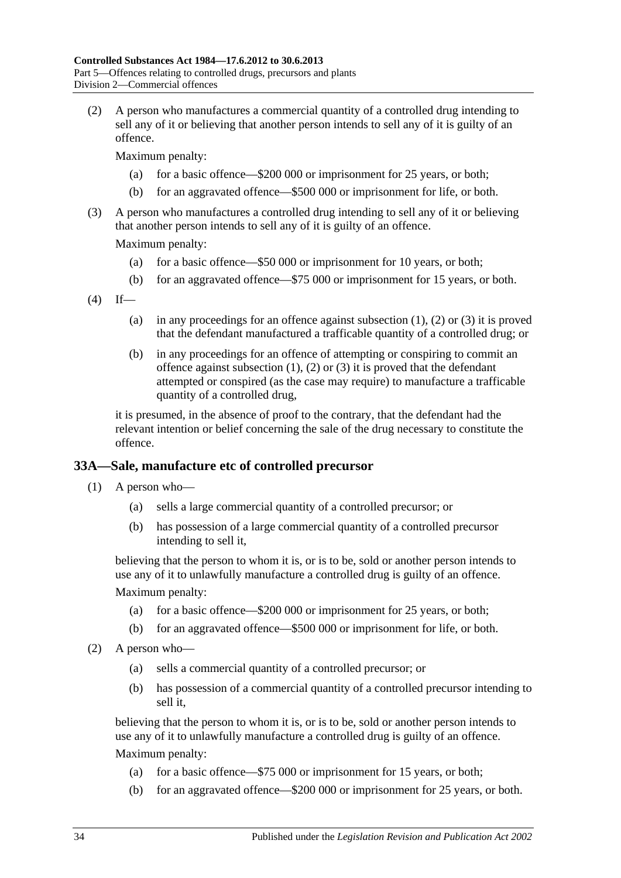<span id="page-33-1"></span>(2) A person who manufactures a commercial quantity of a controlled drug intending to sell any of it or believing that another person intends to sell any of it is guilty of an offence.

Maximum penalty:

- (a) for a basic offence—\$200 000 or imprisonment for 25 years, or both;
- (b) for an aggravated offence—\$500 000 or imprisonment for life, or both.
- <span id="page-33-2"></span>(3) A person who manufactures a controlled drug intending to sell any of it or believing that another person intends to sell any of it is guilty of an offence.

Maximum penalty:

- (a) for a basic offence—\$50 000 or imprisonment for 10 years, or both;
- (b) for an aggravated offence—\$75 000 or imprisonment for 15 years, or both.
- $(4)$  If
	- (a) in any proceedings for an offence against [subsection](#page-32-2)  $(1)$ ,  $(2)$  or  $(3)$  it is proved that the defendant manufactured a trafficable quantity of a controlled drug; or
	- (b) in any proceedings for an offence of attempting or conspiring to commit an offence against [subsection](#page-32-2)  $(1)$ ,  $(2)$  or  $(3)$  it is proved that the defendant attempted or conspired (as the case may require) to manufacture a trafficable quantity of a controlled drug,

it is presumed, in the absence of proof to the contrary, that the defendant had the relevant intention or belief concerning the sale of the drug necessary to constitute the offence.

#### <span id="page-33-0"></span>**33A—Sale, manufacture etc of controlled precursor**

- (1) A person who—
	- (a) sells a large commercial quantity of a controlled precursor; or
	- (b) has possession of a large commercial quantity of a controlled precursor intending to sell it,

believing that the person to whom it is, or is to be, sold or another person intends to use any of it to unlawfully manufacture a controlled drug is guilty of an offence.

Maximum penalty:

- (a) for a basic offence—\$200 000 or imprisonment for 25 years, or both;
- (b) for an aggravated offence—\$500 000 or imprisonment for life, or both.
- (2) A person who—
	- (a) sells a commercial quantity of a controlled precursor; or
	- (b) has possession of a commercial quantity of a controlled precursor intending to sell it,

believing that the person to whom it is, or is to be, sold or another person intends to use any of it to unlawfully manufacture a controlled drug is guilty of an offence. Maximum penalty:

- (a) for a basic offence—\$75 000 or imprisonment for 15 years, or both;
- (b) for an aggravated offence—\$200 000 or imprisonment for 25 years, or both.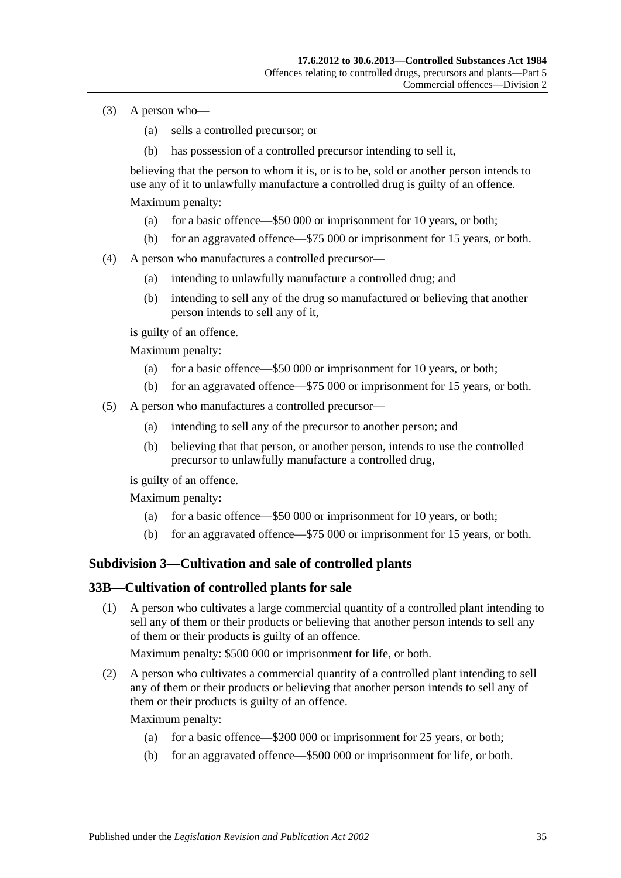- (3) A person who—
	- (a) sells a controlled precursor; or
	- (b) has possession of a controlled precursor intending to sell it,

believing that the person to whom it is, or is to be, sold or another person intends to use any of it to unlawfully manufacture a controlled drug is guilty of an offence. Maximum penalty:

- (a) for a basic offence—\$50 000 or imprisonment for 10 years, or both;
- (b) for an aggravated offence—\$75 000 or imprisonment for 15 years, or both.
- (4) A person who manufactures a controlled precursor—
	- (a) intending to unlawfully manufacture a controlled drug; and
	- (b) intending to sell any of the drug so manufactured or believing that another person intends to sell any of it,

is guilty of an offence.

Maximum penalty:

- (a) for a basic offence—\$50 000 or imprisonment for 10 years, or both;
- (b) for an aggravated offence—\$75 000 or imprisonment for 15 years, or both.
- (5) A person who manufactures a controlled precursor—
	- (a) intending to sell any of the precursor to another person; and
	- (b) believing that that person, or another person, intends to use the controlled precursor to unlawfully manufacture a controlled drug,

is guilty of an offence.

Maximum penalty:

- (a) for a basic offence—\$50 000 or imprisonment for 10 years, or both;
- (b) for an aggravated offence—\$75 000 or imprisonment for 15 years, or both.

## <span id="page-34-0"></span>**Subdivision 3—Cultivation and sale of controlled plants**

#### <span id="page-34-2"></span><span id="page-34-1"></span>**33B—Cultivation of controlled plants for sale**

(1) A person who cultivates a large commercial quantity of a controlled plant intending to sell any of them or their products or believing that another person intends to sell any of them or their products is guilty of an offence.

Maximum penalty: \$500 000 or imprisonment for life, or both.

<span id="page-34-3"></span>(2) A person who cultivates a commercial quantity of a controlled plant intending to sell any of them or their products or believing that another person intends to sell any of them or their products is guilty of an offence.

Maximum penalty:

- (a) for a basic offence—\$200 000 or imprisonment for 25 years, or both;
- (b) for an aggravated offence—\$500 000 or imprisonment for life, or both.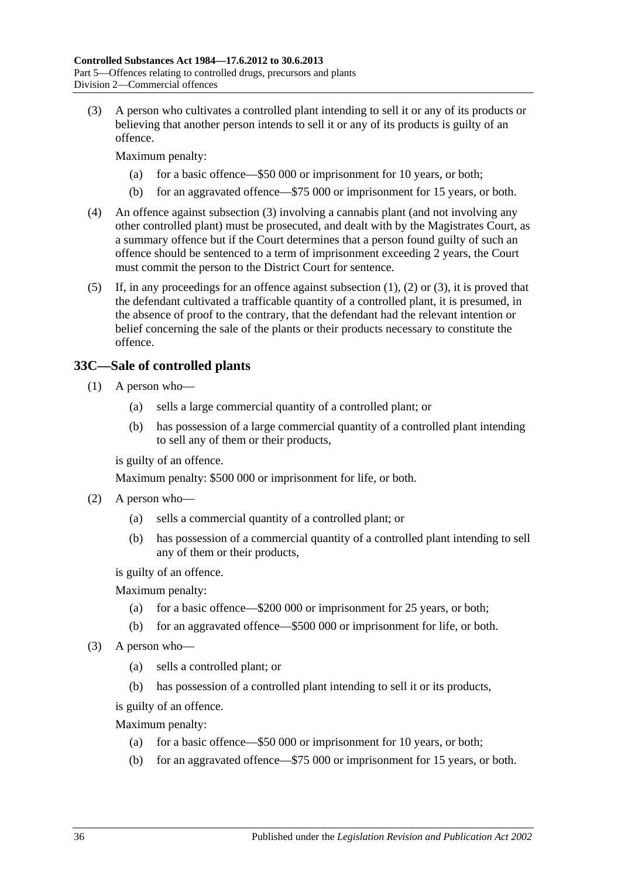<span id="page-35-1"></span>(3) A person who cultivates a controlled plant intending to sell it or any of its products or believing that another person intends to sell it or any of its products is guilty of an offence.

Maximum penalty:

- (a) for a basic offence—\$50 000 or imprisonment for 10 years, or both;
- (b) for an aggravated offence—\$75 000 or imprisonment for 15 years, or both.
- (4) An offence against [subsection](#page-35-1) (3) involving a cannabis plant (and not involving any other controlled plant) must be prosecuted, and dealt with by the Magistrates Court, as a summary offence but if the Court determines that a person found guilty of such an offence should be sentenced to a term of imprisonment exceeding 2 years, the Court must commit the person to the District Court for sentence.
- (5) If, in any proceedings for an offence against [subsection](#page-34-2) (1), [\(2\)](#page-34-3) or [\(3\),](#page-35-1) it is proved that the defendant cultivated a trafficable quantity of a controlled plant, it is presumed, in the absence of proof to the contrary, that the defendant had the relevant intention or belief concerning the sale of the plants or their products necessary to constitute the offence.

## <span id="page-35-0"></span>**33C—Sale of controlled plants**

- (1) A person who—
	- (a) sells a large commercial quantity of a controlled plant; or
	- (b) has possession of a large commercial quantity of a controlled plant intending to sell any of them or their products,

is guilty of an offence.

Maximum penalty: \$500 000 or imprisonment for life, or both.

- (2) A person who—
	- (a) sells a commercial quantity of a controlled plant; or
	- (b) has possession of a commercial quantity of a controlled plant intending to sell any of them or their products,

is guilty of an offence.

Maximum penalty:

- (a) for a basic offence—\$200 000 or imprisonment for 25 years, or both;
- (b) for an aggravated offence—\$500 000 or imprisonment for life, or both.
- (3) A person who—
	- (a) sells a controlled plant; or
	- (b) has possession of a controlled plant intending to sell it or its products,

is guilty of an offence.

Maximum penalty:

- (a) for a basic offence—\$50 000 or imprisonment for 10 years, or both;
- (b) for an aggravated offence—\$75 000 or imprisonment for 15 years, or both.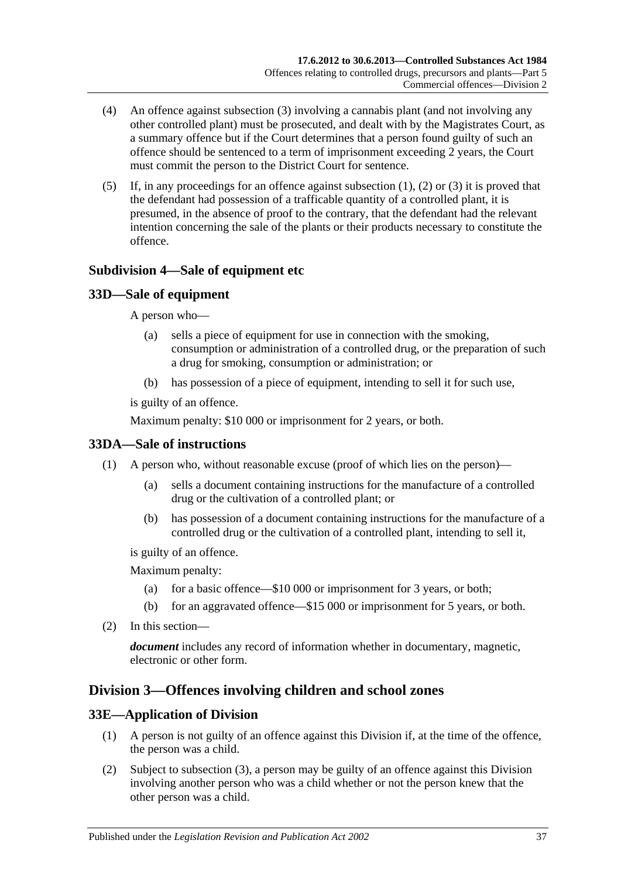- (4) An offence against [subsection](#page-35-0) (3) involving a cannabis plant (and not involving any other controlled plant) must be prosecuted, and dealt with by the Magistrates Court, as a summary offence but if the Court determines that a person found guilty of such an offence should be sentenced to a term of imprisonment exceeding 2 years, the Court must commit the person to the District Court for sentence.
- (5) If, in any proceedings for an offence against [subsection](#page-35-1) (1), [\(2\)](#page-35-2) or [\(3\)](#page-35-0) it is proved that the defendant had possession of a trafficable quantity of a controlled plant, it is presumed, in the absence of proof to the contrary, that the defendant had the relevant intention concerning the sale of the plants or their products necessary to constitute the offence.

## **Subdivision 4—Sale of equipment etc**

## **33D—Sale of equipment**

A person who—

- (a) sells a piece of equipment for use in connection with the smoking, consumption or administration of a controlled drug, or the preparation of such a drug for smoking, consumption or administration; or
- (b) has possession of a piece of equipment, intending to sell it for such use,

is guilty of an offence.

Maximum penalty: \$10 000 or imprisonment for 2 years, or both.

## **33DA—Sale of instructions**

- (1) A person who, without reasonable excuse (proof of which lies on the person)—
	- (a) sells a document containing instructions for the manufacture of a controlled drug or the cultivation of a controlled plant; or
	- (b) has possession of a document containing instructions for the manufacture of a controlled drug or the cultivation of a controlled plant, intending to sell it,

is guilty of an offence.

Maximum penalty:

- (a) for a basic offence—\$10 000 or imprisonment for 3 years, or both;
- (b) for an aggravated offence—\$15 000 or imprisonment for 5 years, or both.
- (2) In this section—

*document* includes any record of information whether in documentary, magnetic, electronic or other form.

## <span id="page-36-0"></span>**Division 3—Offences involving children and school zones**

## **33E—Application of Division**

- (1) A person is not guilty of an offence against this Division if, at the time of the offence, the person was a child.
- (2) Subject to [subsection](#page-37-0) (3), a person may be guilty of an offence against this Division involving another person who was a child whether or not the person knew that the other person was a child.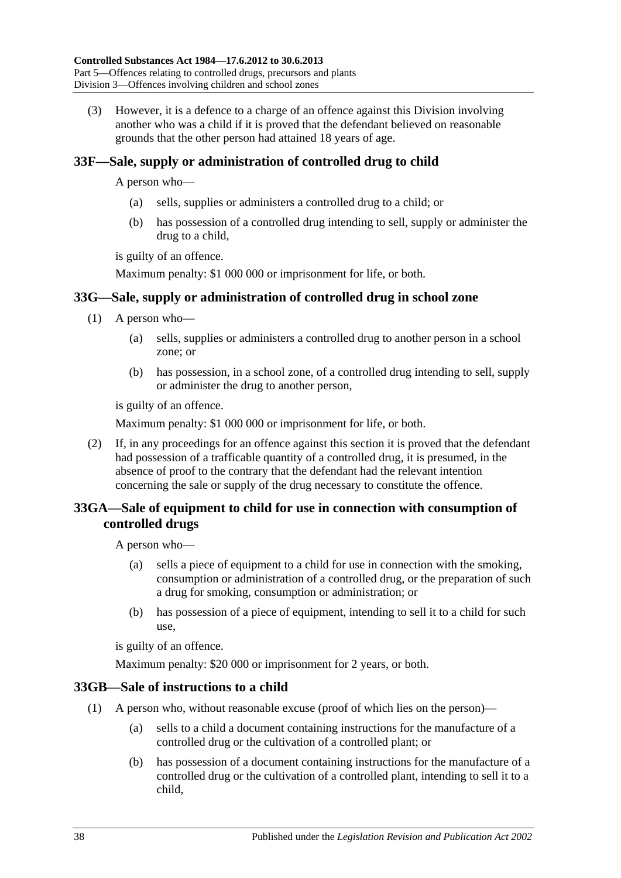<span id="page-37-0"></span>(3) However, it is a defence to a charge of an offence against this Division involving another who was a child if it is proved that the defendant believed on reasonable grounds that the other person had attained 18 years of age.

## <span id="page-37-1"></span>**33F—Sale, supply or administration of controlled drug to child**

A person who—

- (a) sells, supplies or administers a controlled drug to a child; or
- (b) has possession of a controlled drug intending to sell, supply or administer the drug to a child,

is guilty of an offence.

Maximum penalty: \$1 000 000 or imprisonment for life, or both.

## **33G—Sale, supply or administration of controlled drug in school zone**

- (1) A person who—
	- (a) sells, supplies or administers a controlled drug to another person in a school zone; or
	- (b) has possession, in a school zone, of a controlled drug intending to sell, supply or administer the drug to another person,

is guilty of an offence.

Maximum penalty: \$1 000 000 or imprisonment for life, or both.

(2) If, in any proceedings for an offence against this section it is proved that the defendant had possession of a trafficable quantity of a controlled drug, it is presumed, in the absence of proof to the contrary that the defendant had the relevant intention concerning the sale or supply of the drug necessary to constitute the offence.

## **33GA—Sale of equipment to child for use in connection with consumption of controlled drugs**

A person who—

- (a) sells a piece of equipment to a child for use in connection with the smoking, consumption or administration of a controlled drug, or the preparation of such a drug for smoking, consumption or administration; or
- (b) has possession of a piece of equipment, intending to sell it to a child for such use,

is guilty of an offence.

Maximum penalty: \$20 000 or imprisonment for 2 years, or both.

## **33GB—Sale of instructions to a child**

- (1) A person who, without reasonable excuse (proof of which lies on the person)—
	- (a) sells to a child a document containing instructions for the manufacture of a controlled drug or the cultivation of a controlled plant; or
	- (b) has possession of a document containing instructions for the manufacture of a controlled drug or the cultivation of a controlled plant, intending to sell it to a child,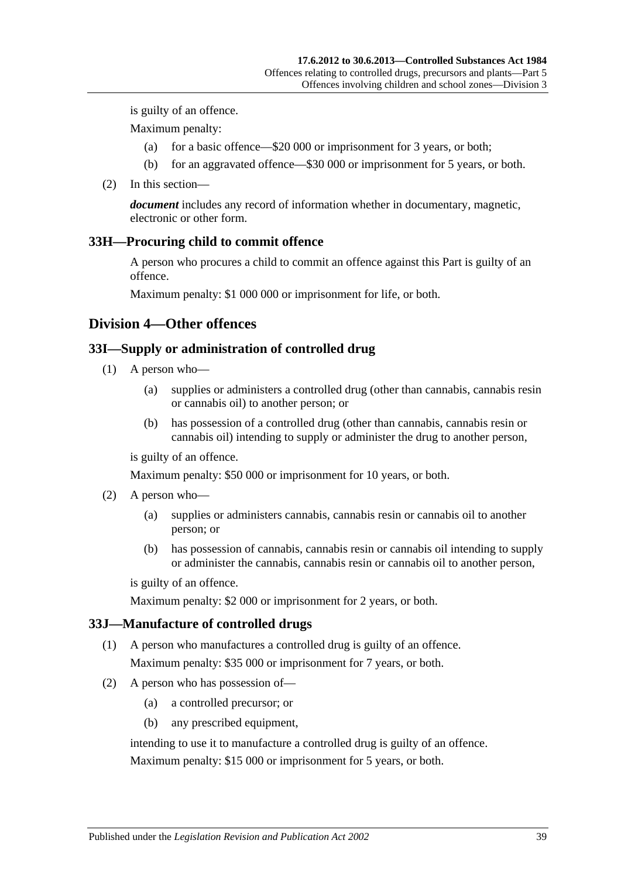is guilty of an offence.

Maximum penalty:

- (a) for a basic offence—\$20 000 or imprisonment for 3 years, or both;
- (b) for an aggravated offence—\$30 000 or imprisonment for 5 years, or both.
- (2) In this section—

*document* includes any record of information whether in documentary, magnetic, electronic or other form.

#### <span id="page-38-0"></span>**33H—Procuring child to commit offence**

A person who procures a child to commit an offence against this Part is guilty of an offence.

Maximum penalty: \$1 000 000 or imprisonment for life, or both.

#### **Division 4—Other offences**

#### <span id="page-38-1"></span>**33I—Supply or administration of controlled drug**

- (1) A person who—
	- (a) supplies or administers a controlled drug (other than cannabis, cannabis resin or cannabis oil) to another person; or
	- (b) has possession of a controlled drug (other than cannabis, cannabis resin or cannabis oil) intending to supply or administer the drug to another person,

is guilty of an offence.

Maximum penalty: \$50 000 or imprisonment for 10 years, or both.

- (2) A person who—
	- (a) supplies or administers cannabis, cannabis resin or cannabis oil to another person; or
	- (b) has possession of cannabis, cannabis resin or cannabis oil intending to supply or administer the cannabis, cannabis resin or cannabis oil to another person,

is guilty of an offence.

Maximum penalty: \$2 000 or imprisonment for 2 years, or both.

#### **33J—Manufacture of controlled drugs**

- (1) A person who manufactures a controlled drug is guilty of an offence. Maximum penalty: \$35 000 or imprisonment for 7 years, or both.
- (2) A person who has possession of—
	- (a) a controlled precursor; or
	- (b) any prescribed equipment,

intending to use it to manufacture a controlled drug is guilty of an offence.

Maximum penalty: \$15 000 or imprisonment for 5 years, or both.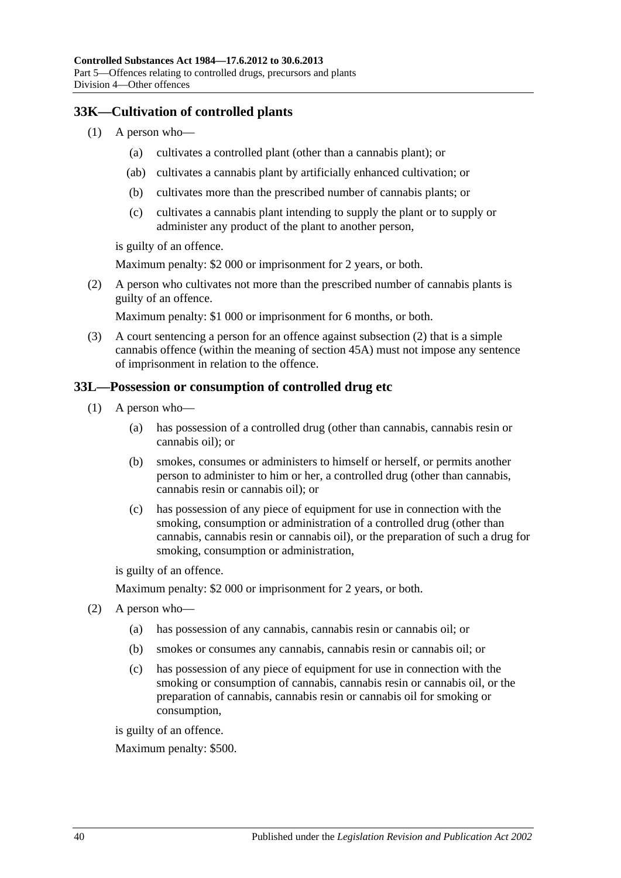## **33K—Cultivation of controlled plants**

- (1) A person who—
	- (a) cultivates a controlled plant (other than a cannabis plant); or
	- (ab) cultivates a cannabis plant by artificially enhanced cultivation; or
	- (b) cultivates more than the prescribed number of cannabis plants; or
	- (c) cultivates a cannabis plant intending to supply the plant or to supply or administer any product of the plant to another person,

is guilty of an offence.

Maximum penalty: \$2 000 or imprisonment for 2 years, or both.

<span id="page-39-0"></span>(2) A person who cultivates not more than the prescribed number of cannabis plants is guilty of an offence.

Maximum penalty: \$1 000 or imprisonment for 6 months, or both.

(3) A court sentencing a person for an offence against [subsection](#page-39-0) (2) that is a simple cannabis offence (within the meaning of [section](#page-49-0) 45A) must not impose any sentence of imprisonment in relation to the offence.

#### **33L—Possession or consumption of controlled drug etc**

- (1) A person who—
	- (a) has possession of a controlled drug (other than cannabis, cannabis resin or cannabis oil); or
	- (b) smokes, consumes or administers to himself or herself, or permits another person to administer to him or her, a controlled drug (other than cannabis, cannabis resin or cannabis oil); or
	- (c) has possession of any piece of equipment for use in connection with the smoking, consumption or administration of a controlled drug (other than cannabis, cannabis resin or cannabis oil), or the preparation of such a drug for smoking, consumption or administration,

is guilty of an offence.

Maximum penalty: \$2 000 or imprisonment for 2 years, or both.

- <span id="page-39-3"></span><span id="page-39-2"></span><span id="page-39-1"></span>(2) A person who—
	- (a) has possession of any cannabis, cannabis resin or cannabis oil; or
	- (b) smokes or consumes any cannabis, cannabis resin or cannabis oil; or
	- (c) has possession of any piece of equipment for use in connection with the smoking or consumption of cannabis, cannabis resin or cannabis oil, or the preparation of cannabis, cannabis resin or cannabis oil for smoking or consumption,

is guilty of an offence.

Maximum penalty: \$500.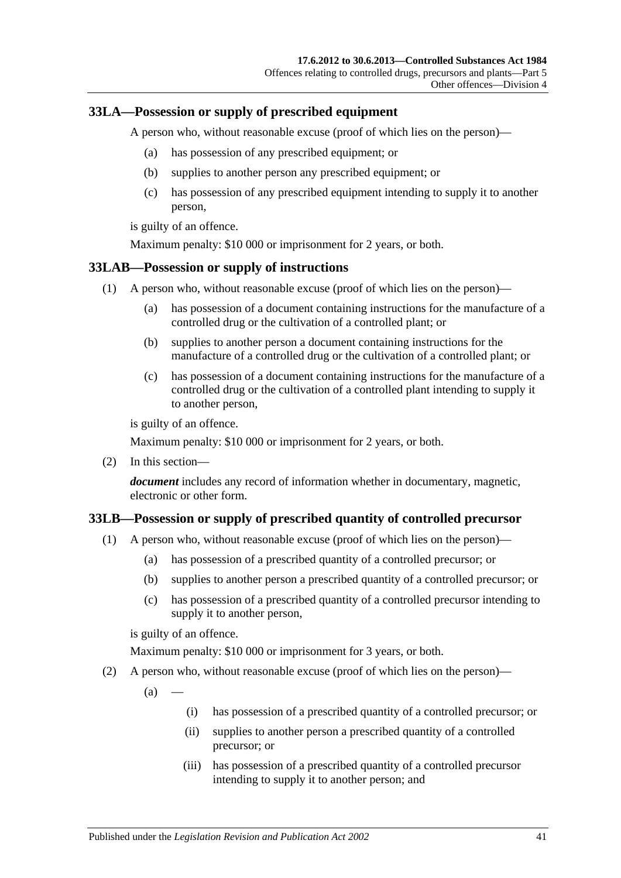### <span id="page-40-1"></span>**33LA—Possession or supply of prescribed equipment**

A person who, without reasonable excuse (proof of which lies on the person)—

- (a) has possession of any prescribed equipment; or
- (b) supplies to another person any prescribed equipment; or
- (c) has possession of any prescribed equipment intending to supply it to another person,

is guilty of an offence.

Maximum penalty: \$10 000 or imprisonment for 2 years, or both.

#### **33LAB—Possession or supply of instructions**

- (1) A person who, without reasonable excuse (proof of which lies on the person)—
	- (a) has possession of a document containing instructions for the manufacture of a controlled drug or the cultivation of a controlled plant; or
	- (b) supplies to another person a document containing instructions for the manufacture of a controlled drug or the cultivation of a controlled plant; or
	- (c) has possession of a document containing instructions for the manufacture of a controlled drug or the cultivation of a controlled plant intending to supply it to another person,

is guilty of an offence.

Maximum penalty: \$10 000 or imprisonment for 2 years, or both.

(2) In this section—

*document* includes any record of information whether in documentary, magnetic, electronic or other form.

## <span id="page-40-0"></span>**33LB—Possession or supply of prescribed quantity of controlled precursor**

- (1) A person who, without reasonable excuse (proof of which lies on the person)—
	- (a) has possession of a prescribed quantity of a controlled precursor; or
	- (b) supplies to another person a prescribed quantity of a controlled precursor; or
	- (c) has possession of a prescribed quantity of a controlled precursor intending to supply it to another person,

is guilty of an offence.

Maximum penalty: \$10 000 or imprisonment for 3 years, or both.

(2) A person who, without reasonable excuse (proof of which lies on the person)—

 $(a)$ 

- (i) has possession of a prescribed quantity of a controlled precursor; or
- (ii) supplies to another person a prescribed quantity of a controlled precursor; or
- (iii) has possession of a prescribed quantity of a controlled precursor intending to supply it to another person; and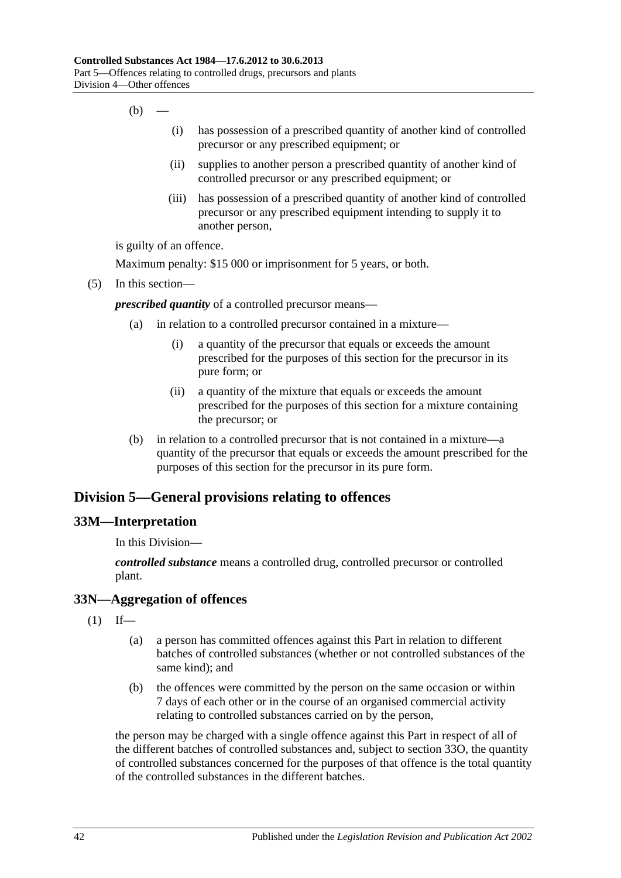- $(b)$ 
	- (i) has possession of a prescribed quantity of another kind of controlled precursor or any prescribed equipment; or
	- (ii) supplies to another person a prescribed quantity of another kind of controlled precursor or any prescribed equipment; or
	- (iii) has possession of a prescribed quantity of another kind of controlled precursor or any prescribed equipment intending to supply it to another person,

is guilty of an offence.

Maximum penalty: \$15 000 or imprisonment for 5 years, or both.

(5) In this section—

*prescribed quantity* of a controlled precursor means—

- (a) in relation to a controlled precursor contained in a mixture—
	- (i) a quantity of the precursor that equals or exceeds the amount prescribed for the purposes of this section for the precursor in its pure form; or
	- (ii) a quantity of the mixture that equals or exceeds the amount prescribed for the purposes of this section for a mixture containing the precursor; or
- (b) in relation to a controlled precursor that is not contained in a mixture—a quantity of the precursor that equals or exceeds the amount prescribed for the purposes of this section for the precursor in its pure form.

## **Division 5—General provisions relating to offences**

#### **33M—Interpretation**

In this Division—

*controlled substance* means a controlled drug, controlled precursor or controlled plant.

## **33N—Aggregation of offences**

- $(1)$  If—
	- (a) a person has committed offences against this Part in relation to different batches of controlled substances (whether or not controlled substances of the same kind); and
	- (b) the offences were committed by the person on the same occasion or within 7 days of each other or in the course of an organised commercial activity relating to controlled substances carried on by the person,

the person may be charged with a single offence against this Part in respect of all of the different batches of controlled substances and, subject to [section](#page-42-0) 33O, the quantity of controlled substances concerned for the purposes of that offence is the total quantity of the controlled substances in the different batches.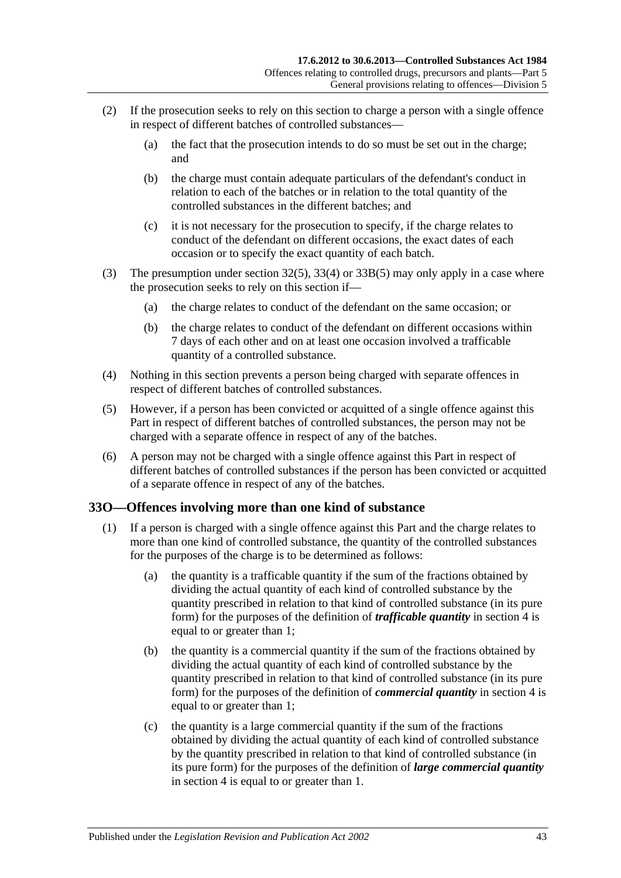- (2) If the prosecution seeks to rely on this section to charge a person with a single offence in respect of different batches of controlled substances—
	- (a) the fact that the prosecution intends to do so must be set out in the charge; and
	- (b) the charge must contain adequate particulars of the defendant's conduct in relation to each of the batches or in relation to the total quantity of the controlled substances in the different batches; and
	- (c) it is not necessary for the prosecution to specify, if the charge relates to conduct of the defendant on different occasions, the exact dates of each occasion or to specify the exact quantity of each batch.
- (3) The presumption under [section](#page-31-0) 32(5), [33\(4\)](#page-33-0) or [33B\(5\)](#page-35-3) may only apply in a case where the prosecution seeks to rely on this section if—
	- (a) the charge relates to conduct of the defendant on the same occasion; or
	- (b) the charge relates to conduct of the defendant on different occasions within 7 days of each other and on at least one occasion involved a trafficable quantity of a controlled substance.
- (4) Nothing in this section prevents a person being charged with separate offences in respect of different batches of controlled substances.
- (5) However, if a person has been convicted or acquitted of a single offence against this Part in respect of different batches of controlled substances, the person may not be charged with a separate offence in respect of any of the batches.
- (6) A person may not be charged with a single offence against this Part in respect of different batches of controlled substances if the person has been convicted or acquitted of a separate offence in respect of any of the batches.

## <span id="page-42-0"></span>**33O—Offences involving more than one kind of substance**

- (1) If a person is charged with a single offence against this Part and the charge relates to more than one kind of controlled substance, the quantity of the controlled substances for the purposes of the charge is to be determined as follows:
	- (a) the quantity is a trafficable quantity if the sum of the fractions obtained by dividing the actual quantity of each kind of controlled substance by the quantity prescribed in relation to that kind of controlled substance (in its pure form) for the purposes of the definition of *trafficable quantity* in [section](#page-3-0) 4 is equal to or greater than 1;
	- (b) the quantity is a commercial quantity if the sum of the fractions obtained by dividing the actual quantity of each kind of controlled substance by the quantity prescribed in relation to that kind of controlled substance (in its pure form) for the purposes of the definition of *commercial quantity* in [section](#page-3-0) 4 is equal to or greater than 1;
	- (c) the quantity is a large commercial quantity if the sum of the fractions obtained by dividing the actual quantity of each kind of controlled substance by the quantity prescribed in relation to that kind of controlled substance (in its pure form) for the purposes of the definition of *large commercial quantity* in [section](#page-3-0) 4 is equal to or greater than 1.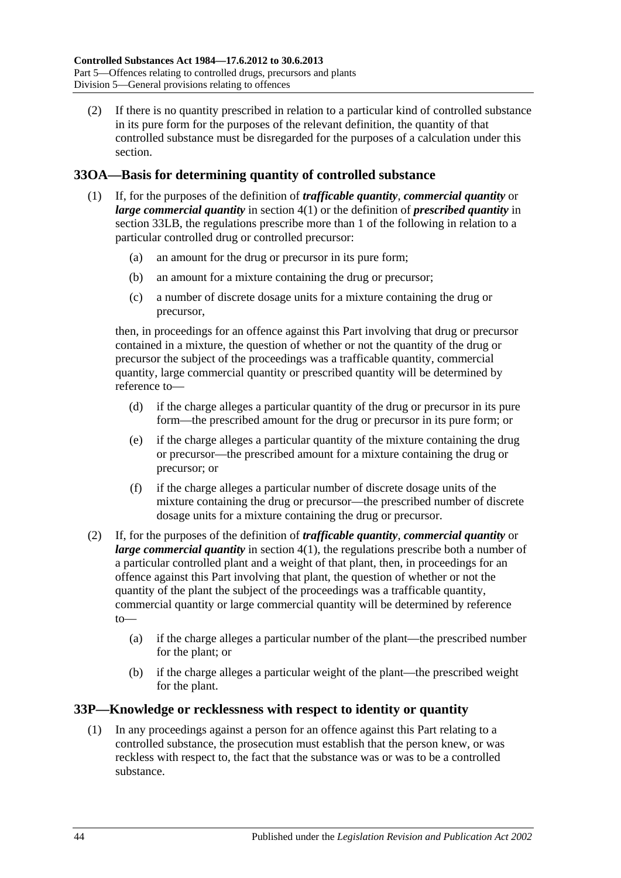(2) If there is no quantity prescribed in relation to a particular kind of controlled substance in its pure form for the purposes of the relevant definition, the quantity of that controlled substance must be disregarded for the purposes of a calculation under this section.

## **33OA—Basis for determining quantity of controlled substance**

- (1) If, for the purposes of the definition of *trafficable quantity*, *commercial quantity* or *large commercial quantity* in [section](#page-3-1) 4(1) or the definition of *prescribed quantity* in [section](#page-40-0) 33LB, the regulations prescribe more than 1 of the following in relation to a particular controlled drug or controlled precursor:
	- (a) an amount for the drug or precursor in its pure form;
	- (b) an amount for a mixture containing the drug or precursor;
	- (c) a number of discrete dosage units for a mixture containing the drug or precursor,

then, in proceedings for an offence against this Part involving that drug or precursor contained in a mixture, the question of whether or not the quantity of the drug or precursor the subject of the proceedings was a trafficable quantity, commercial quantity, large commercial quantity or prescribed quantity will be determined by reference to—

- (d) if the charge alleges a particular quantity of the drug or precursor in its pure form—the prescribed amount for the drug or precursor in its pure form; or
- (e) if the charge alleges a particular quantity of the mixture containing the drug or precursor—the prescribed amount for a mixture containing the drug or precursor; or
- (f) if the charge alleges a particular number of discrete dosage units of the mixture containing the drug or precursor—the prescribed number of discrete dosage units for a mixture containing the drug or precursor.
- (2) If, for the purposes of the definition of *trafficable quantity*, *commercial quantity* or *large commercial quantity* in [section](#page-3-1) 4(1), the regulations prescribe both a number of a particular controlled plant and a weight of that plant, then, in proceedings for an offence against this Part involving that plant, the question of whether or not the quantity of the plant the subject of the proceedings was a trafficable quantity, commercial quantity or large commercial quantity will be determined by reference  $t_0$ 
	- (a) if the charge alleges a particular number of the plant—the prescribed number for the plant; or
	- (b) if the charge alleges a particular weight of the plant—the prescribed weight for the plant.

## **33P—Knowledge or recklessness with respect to identity or quantity**

(1) In any proceedings against a person for an offence against this Part relating to a controlled substance, the prosecution must establish that the person knew, or was reckless with respect to, the fact that the substance was or was to be a controlled substance.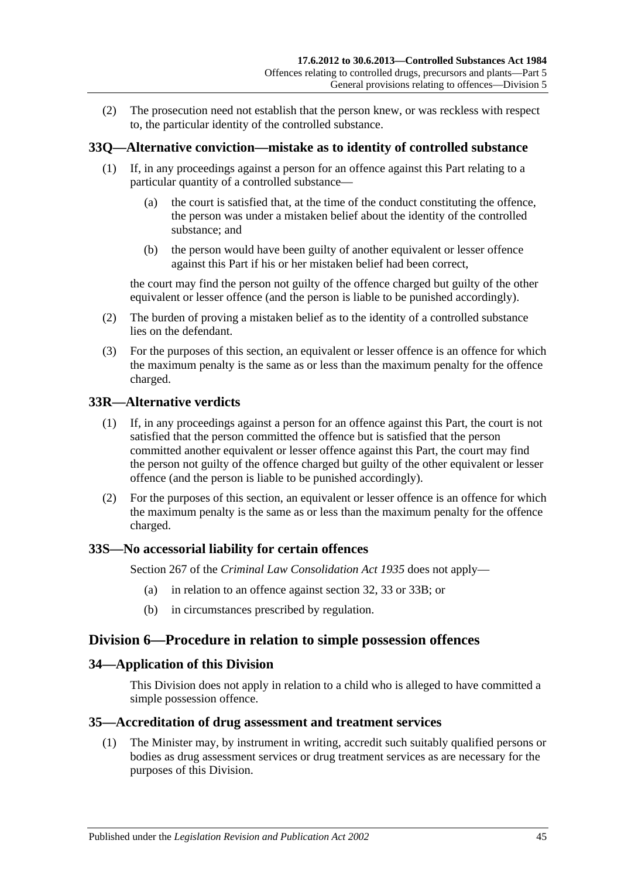(2) The prosecution need not establish that the person knew, or was reckless with respect to, the particular identity of the controlled substance.

## **33Q—Alternative conviction—mistake as to identity of controlled substance**

- (1) If, in any proceedings against a person for an offence against this Part relating to a particular quantity of a controlled substance—
	- (a) the court is satisfied that, at the time of the conduct constituting the offence, the person was under a mistaken belief about the identity of the controlled substance; and
	- (b) the person would have been guilty of another equivalent or lesser offence against this Part if his or her mistaken belief had been correct,

the court may find the person not guilty of the offence charged but guilty of the other equivalent or lesser offence (and the person is liable to be punished accordingly).

- (2) The burden of proving a mistaken belief as to the identity of a controlled substance lies on the defendant.
- (3) For the purposes of this section, an equivalent or lesser offence is an offence for which the maximum penalty is the same as or less than the maximum penalty for the offence charged.

## **33R—Alternative verdicts**

- (1) If, in any proceedings against a person for an offence against this Part, the court is not satisfied that the person committed the offence but is satisfied that the person committed another equivalent or lesser offence against this Part, the court may find the person not guilty of the offence charged but guilty of the other equivalent or lesser offence (and the person is liable to be punished accordingly).
- (2) For the purposes of this section, an equivalent or lesser offence is an offence for which the maximum penalty is the same as or less than the maximum penalty for the offence charged.

#### **33S—No accessorial liability for certain offences**

Section 267 of the *[Criminal Law Consolidation Act](http://www.legislation.sa.gov.au/index.aspx?action=legref&type=act&legtitle=Criminal%20Law%20Consolidation%20Act%201935) 1935* does not apply—

- (a) in relation to an offence against [section](#page-31-1) 32, [33](#page-32-0) or [33B;](#page-34-0) or
- (b) in circumstances prescribed by regulation.

## **Division 6—Procedure in relation to simple possession offences**

#### **34—Application of this Division**

This Division does not apply in relation to a child who is alleged to have committed a simple possession offence.

#### <span id="page-44-0"></span>**35—Accreditation of drug assessment and treatment services**

(1) The Minister may, by instrument in writing, accredit such suitably qualified persons or bodies as drug assessment services or drug treatment services as are necessary for the purposes of this Division.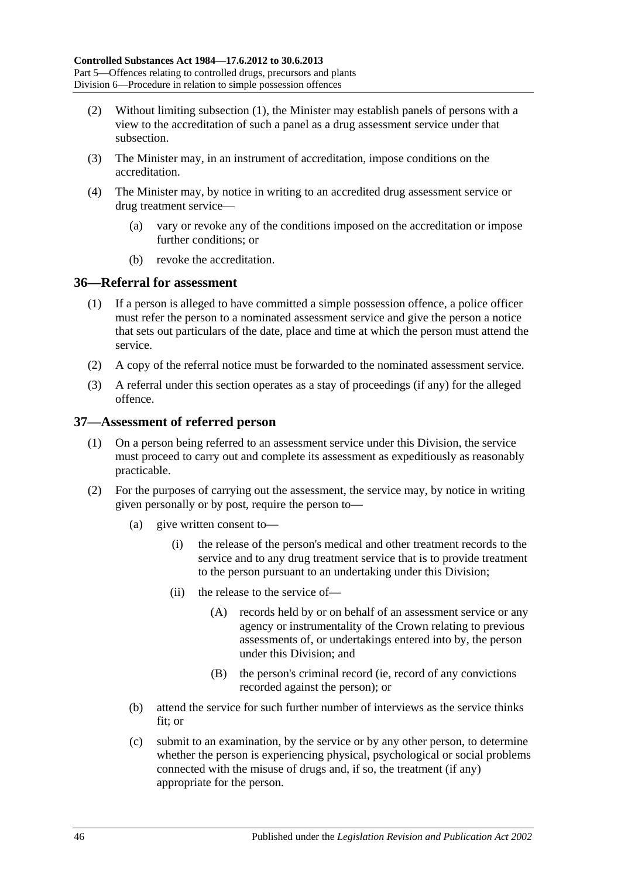- (2) Without limiting [subsection](#page-44-0) (1), the Minister may establish panels of persons with a view to the accreditation of such a panel as a drug assessment service under that subsection.
- (3) The Minister may, in an instrument of accreditation, impose conditions on the accreditation.
- (4) The Minister may, by notice in writing to an accredited drug assessment service or drug treatment service—
	- (a) vary or revoke any of the conditions imposed on the accreditation or impose further conditions; or
	- (b) revoke the accreditation.

#### **36—Referral for assessment**

- (1) If a person is alleged to have committed a simple possession offence, a police officer must refer the person to a nominated assessment service and give the person a notice that sets out particulars of the date, place and time at which the person must attend the service.
- (2) A copy of the referral notice must be forwarded to the nominated assessment service.
- (3) A referral under this section operates as a stay of proceedings (if any) for the alleged offence.

#### **37—Assessment of referred person**

- (1) On a person being referred to an assessment service under this Division, the service must proceed to carry out and complete its assessment as expeditiously as reasonably practicable.
- (2) For the purposes of carrying out the assessment, the service may, by notice in writing given personally or by post, require the person to—
	- (a) give written consent to—
		- (i) the release of the person's medical and other treatment records to the service and to any drug treatment service that is to provide treatment to the person pursuant to an undertaking under this Division;
		- (ii) the release to the service of—
			- (A) records held by or on behalf of an assessment service or any agency or instrumentality of the Crown relating to previous assessments of, or undertakings entered into by, the person under this Division; and
			- (B) the person's criminal record (ie, record of any convictions recorded against the person); or
	- (b) attend the service for such further number of interviews as the service thinks fit; or
	- (c) submit to an examination, by the service or by any other person, to determine whether the person is experiencing physical, psychological or social problems connected with the misuse of drugs and, if so, the treatment (if any) appropriate for the person.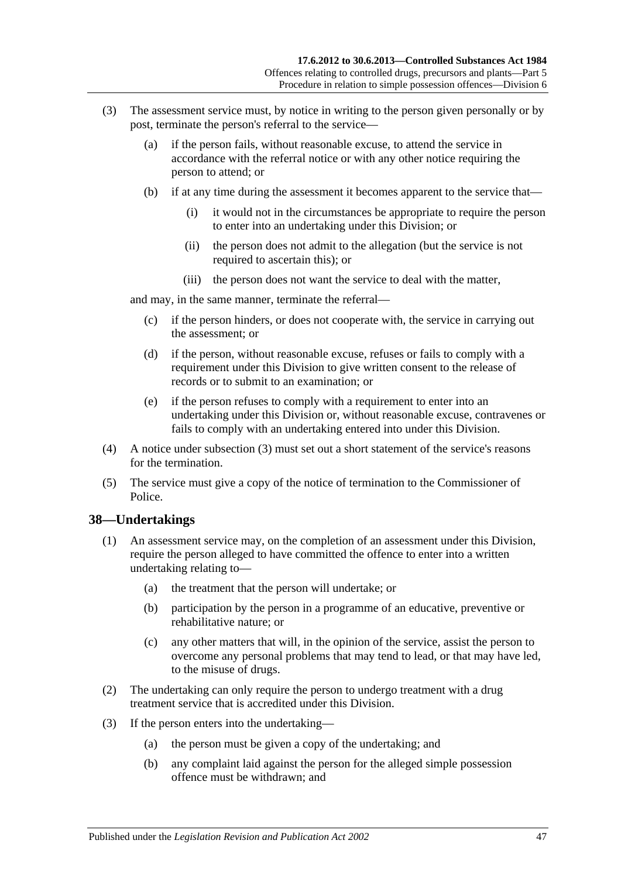- <span id="page-46-0"></span>(3) The assessment service must, by notice in writing to the person given personally or by post, terminate the person's referral to the service—
	- (a) if the person fails, without reasonable excuse, to attend the service in accordance with the referral notice or with any other notice requiring the person to attend; or
	- (b) if at any time during the assessment it becomes apparent to the service that—
		- (i) it would not in the circumstances be appropriate to require the person to enter into an undertaking under this Division; or
		- (ii) the person does not admit to the allegation (but the service is not required to ascertain this); or
		- (iii) the person does not want the service to deal with the matter,

and may, in the same manner, terminate the referral—

- (c) if the person hinders, or does not cooperate with, the service in carrying out the assessment; or
- (d) if the person, without reasonable excuse, refuses or fails to comply with a requirement under this Division to give written consent to the release of records or to submit to an examination; or
- (e) if the person refuses to comply with a requirement to enter into an undertaking under this Division or, without reasonable excuse, contravenes or fails to comply with an undertaking entered into under this Division.
- (4) A notice under [subsection](#page-46-0) (3) must set out a short statement of the service's reasons for the termination.
- (5) The service must give a copy of the notice of termination to the Commissioner of Police.

#### **38—Undertakings**

- (1) An assessment service may, on the completion of an assessment under this Division, require the person alleged to have committed the offence to enter into a written undertaking relating to—
	- (a) the treatment that the person will undertake; or
	- (b) participation by the person in a programme of an educative, preventive or rehabilitative nature; or
	- (c) any other matters that will, in the opinion of the service, assist the person to overcome any personal problems that may tend to lead, or that may have led, to the misuse of drugs.
- (2) The undertaking can only require the person to undergo treatment with a drug treatment service that is accredited under this Division.
- (3) If the person enters into the undertaking—
	- (a) the person must be given a copy of the undertaking; and
	- (b) any complaint laid against the person for the alleged simple possession offence must be withdrawn; and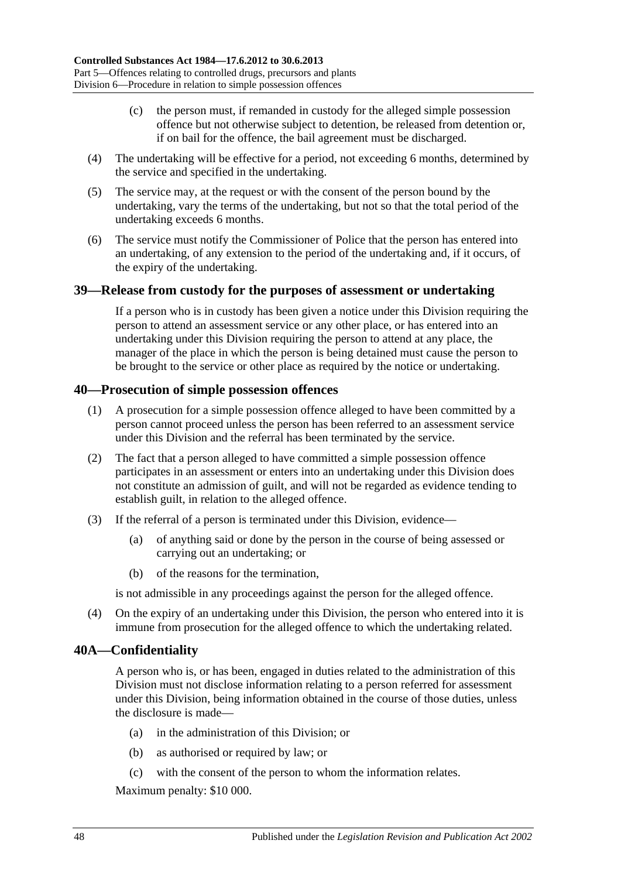- (c) the person must, if remanded in custody for the alleged simple possession offence but not otherwise subject to detention, be released from detention or, if on bail for the offence, the bail agreement must be discharged.
- (4) The undertaking will be effective for a period, not exceeding 6 months, determined by the service and specified in the undertaking.
- (5) The service may, at the request or with the consent of the person bound by the undertaking, vary the terms of the undertaking, but not so that the total period of the undertaking exceeds 6 months.
- (6) The service must notify the Commissioner of Police that the person has entered into an undertaking, of any extension to the period of the undertaking and, if it occurs, of the expiry of the undertaking.

#### **39—Release from custody for the purposes of assessment or undertaking**

If a person who is in custody has been given a notice under this Division requiring the person to attend an assessment service or any other place, or has entered into an undertaking under this Division requiring the person to attend at any place, the manager of the place in which the person is being detained must cause the person to be brought to the service or other place as required by the notice or undertaking.

#### **40—Prosecution of simple possession offences**

- (1) A prosecution for a simple possession offence alleged to have been committed by a person cannot proceed unless the person has been referred to an assessment service under this Division and the referral has been terminated by the service.
- (2) The fact that a person alleged to have committed a simple possession offence participates in an assessment or enters into an undertaking under this Division does not constitute an admission of guilt, and will not be regarded as evidence tending to establish guilt, in relation to the alleged offence.
- (3) If the referral of a person is terminated under this Division, evidence—
	- (a) of anything said or done by the person in the course of being assessed or carrying out an undertaking; or
	- (b) of the reasons for the termination,

is not admissible in any proceedings against the person for the alleged offence.

(4) On the expiry of an undertaking under this Division, the person who entered into it is immune from prosecution for the alleged offence to which the undertaking related.

## **40A—Confidentiality**

A person who is, or has been, engaged in duties related to the administration of this Division must not disclose information relating to a person referred for assessment under this Division, being information obtained in the course of those duties, unless the disclosure is made—

- (a) in the administration of this Division; or
- (b) as authorised or required by law; or
- (c) with the consent of the person to whom the information relates.

Maximum penalty: \$10 000.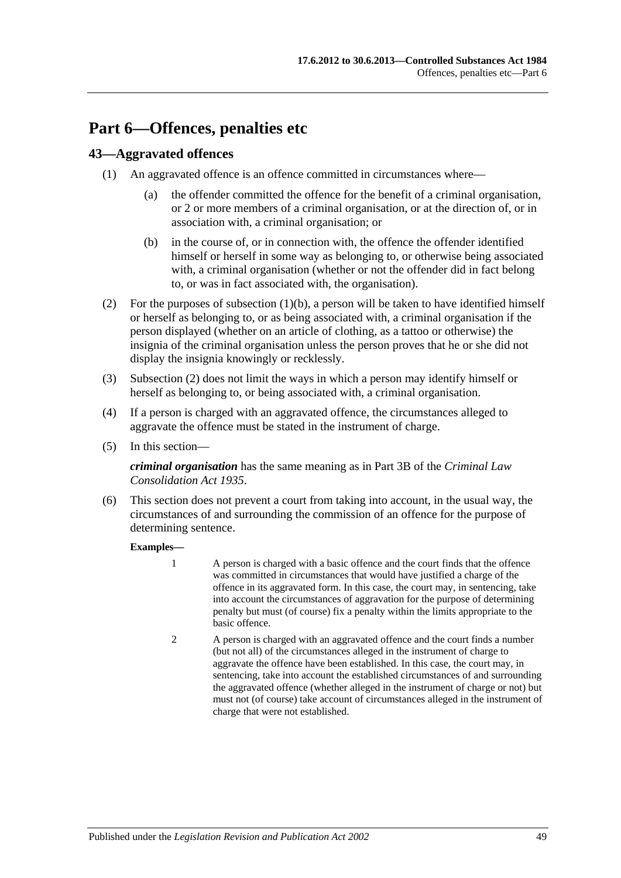# **Part 6—Offences, penalties etc**

## **43—Aggravated offences**

- <span id="page-48-0"></span>(1) An aggravated offence is an offence committed in circumstances where—
	- (a) the offender committed the offence for the benefit of a criminal organisation, or 2 or more members of a criminal organisation, or at the direction of, or in association with, a criminal organisation; or
	- (b) in the course of, or in connection with, the offence the offender identified himself or herself in some way as belonging to, or otherwise being associated with, a criminal organisation (whether or not the offender did in fact belong to, or was in fact associated with, the organisation).
- <span id="page-48-1"></span>(2) For the purposes of [subsection](#page-48-0)  $(1)(b)$ , a person will be taken to have identified himself or herself as belonging to, or as being associated with, a criminal organisation if the person displayed (whether on an article of clothing, as a tattoo or otherwise) the insignia of the criminal organisation unless the person proves that he or she did not display the insignia knowingly or recklessly.
- (3) [Subsection](#page-48-1) (2) does not limit the ways in which a person may identify himself or herself as belonging to, or being associated with, a criminal organisation.
- (4) If a person is charged with an aggravated offence, the circumstances alleged to aggravate the offence must be stated in the instrument of charge.
- (5) In this section—

*criminal organisation* has the same meaning as in Part 3B of the *[Criminal Law](http://www.legislation.sa.gov.au/index.aspx?action=legref&type=act&legtitle=Criminal%20Law%20Consolidation%20Act%201935)  [Consolidation Act](http://www.legislation.sa.gov.au/index.aspx?action=legref&type=act&legtitle=Criminal%20Law%20Consolidation%20Act%201935) 1935*.

(6) This section does not prevent a court from taking into account, in the usual way, the circumstances of and surrounding the commission of an offence for the purpose of determining sentence.

#### **Examples—**

- 1 A person is charged with a basic offence and the court finds that the offence was committed in circumstances that would have justified a charge of the offence in its aggravated form. In this case, the court may, in sentencing, take into account the circumstances of aggravation for the purpose of determining penalty but must (of course) fix a penalty within the limits appropriate to the basic offence.
- 2 A person is charged with an aggravated offence and the court finds a number (but not all) of the circumstances alleged in the instrument of charge to aggravate the offence have been established. In this case, the court may, in sentencing, take into account the established circumstances of and surrounding the aggravated offence (whether alleged in the instrument of charge or not) but must not (of course) take account of circumstances alleged in the instrument of charge that were not established.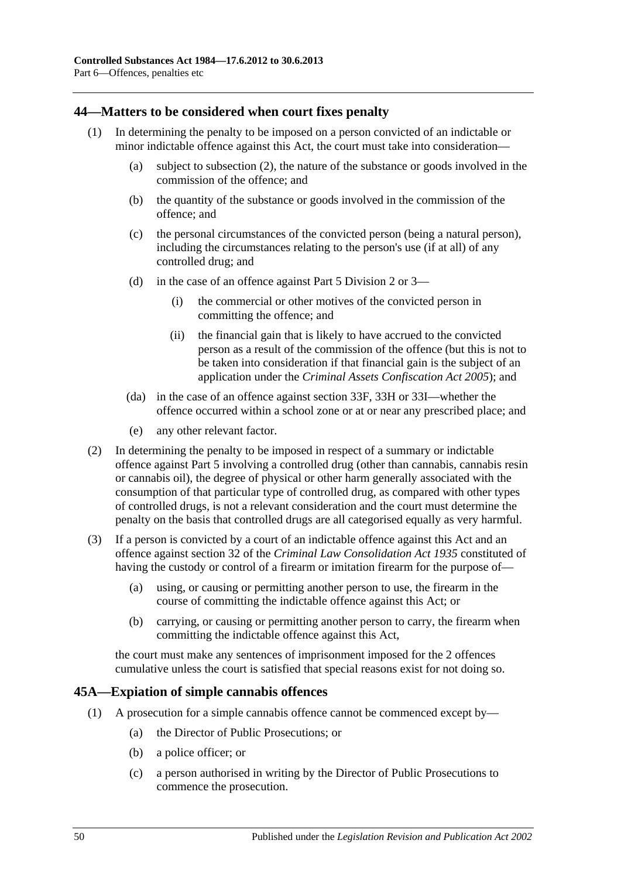### **44—Matters to be considered when court fixes penalty**

- (1) In determining the penalty to be imposed on a person convicted of an indictable or minor indictable offence against this Act, the court must take into consideration—
	- (a) subject to [subsection](#page-49-1) (2), the nature of the substance or goods involved in the commission of the offence; and
	- (b) the quantity of the substance or goods involved in the commission of the offence; and
	- (c) the personal circumstances of the convicted person (being a natural person), including the circumstances relating to the person's use (if at all) of any controlled drug; and
	- (d) in the case of an offence against Part 5 [Division 2](#page-31-2) or [3—](#page-36-0)
		- (i) the commercial or other motives of the convicted person in committing the offence; and
		- (ii) the financial gain that is likely to have accrued to the convicted person as a result of the commission of the offence (but this is not to be taken into consideration if that financial gain is the subject of an application under the *[Criminal Assets Confiscation Act](http://www.legislation.sa.gov.au/index.aspx?action=legref&type=act&legtitle=Criminal%20Assets%20Confiscation%20Act%202005) 2005*); and
	- (da) in the case of an offence against [section](#page-37-1) 33F, [33H](#page-38-0) or [33I—](#page-38-1)whether the offence occurred within a school zone or at or near any prescribed place; and
	- (e) any other relevant factor.
- <span id="page-49-1"></span>(2) In determining the penalty to be imposed in respect of a summary or indictable offence against [Part 5](#page-29-0) involving a controlled drug (other than cannabis, cannabis resin or cannabis oil), the degree of physical or other harm generally associated with the consumption of that particular type of controlled drug, as compared with other types of controlled drugs, is not a relevant consideration and the court must determine the penalty on the basis that controlled drugs are all categorised equally as very harmful.
- (3) If a person is convicted by a court of an indictable offence against this Act and an offence against section 32 of the *[Criminal Law Consolidation Act](http://www.legislation.sa.gov.au/index.aspx?action=legref&type=act&legtitle=Criminal%20Law%20Consolidation%20Act%201935) 1935* constituted of having the custody or control of a firearm or imitation firearm for the purpose of—
	- (a) using, or causing or permitting another person to use, the firearm in the course of committing the indictable offence against this Act; or
	- (b) carrying, or causing or permitting another person to carry, the firearm when committing the indictable offence against this Act,

the court must make any sentences of imprisonment imposed for the 2 offences cumulative unless the court is satisfied that special reasons exist for not doing so.

#### <span id="page-49-0"></span>**45A—Expiation of simple cannabis offences**

- (1) A prosecution for a simple cannabis offence cannot be commenced except by—
	- (a) the Director of Public Prosecutions; or
	- (b) a police officer; or
	- (c) a person authorised in writing by the Director of Public Prosecutions to commence the prosecution.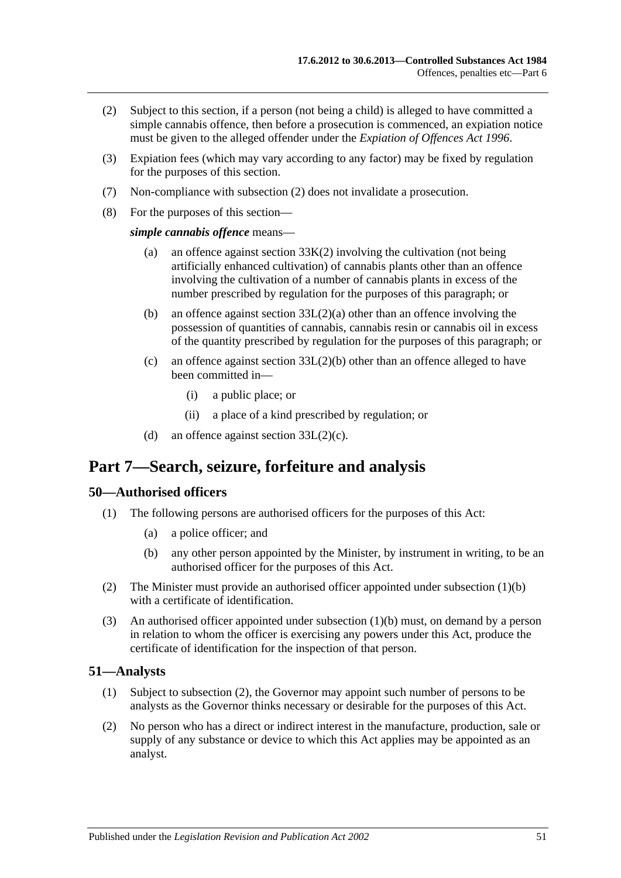- <span id="page-50-0"></span>(2) Subject to this section, if a person (not being a child) is alleged to have committed a simple cannabis offence, then before a prosecution is commenced, an expiation notice must be given to the alleged offender under the *[Expiation of Offences Act](http://www.legislation.sa.gov.au/index.aspx?action=legref&type=act&legtitle=Expiation%20of%20Offences%20Act%201996) 1996*.
- (3) Expiation fees (which may vary according to any factor) may be fixed by regulation for the purposes of this section.
- (7) Non-compliance with [subsection](#page-50-0) (2) does not invalidate a prosecution.
- (8) For the purposes of this section—

*simple cannabis offence* means—

- (a) an offence against [section](#page-39-0) 33K(2) involving the cultivation (not being artificially enhanced cultivation) of cannabis plants other than an offence involving the cultivation of a number of cannabis plants in excess of the number prescribed by regulation for the purposes of this paragraph; or
- (b) an offence against section [33L\(2\)\(a\)](#page-39-1) other than an offence involving the possession of quantities of cannabis, cannabis resin or cannabis oil in excess of the quantity prescribed by regulation for the purposes of this paragraph; or
- (c) an offence against section [33L\(2\)\(b\)](#page-39-2) other than an offence alleged to have been committed in—
	- (i) a public place; or
	- (ii) a place of a kind prescribed by regulation; or
- (d) an offence against section  $33L(2)(c)$ .

# **Part 7—Search, seizure, forfeiture and analysis**

#### **50—Authorised officers**

- <span id="page-50-1"></span>(1) The following persons are authorised officers for the purposes of this Act:
	- (a) a police officer; and
	- (b) any other person appointed by the Minister, by instrument in writing, to be an authorised officer for the purposes of this Act.
- (2) The Minister must provide an authorised officer appointed under [subsection](#page-50-1) (1)(b) with a certificate of identification.
- (3) An authorised officer appointed under [subsection](#page-50-1) (1)(b) must, on demand by a person in relation to whom the officer is exercising any powers under this Act, produce the certificate of identification for the inspection of that person.

#### **51—Analysts**

- (1) Subject to [subsection](#page-50-2) (2), the Governor may appoint such number of persons to be analysts as the Governor thinks necessary or desirable for the purposes of this Act.
- <span id="page-50-2"></span>(2) No person who has a direct or indirect interest in the manufacture, production, sale or supply of any substance or device to which this Act applies may be appointed as an analyst.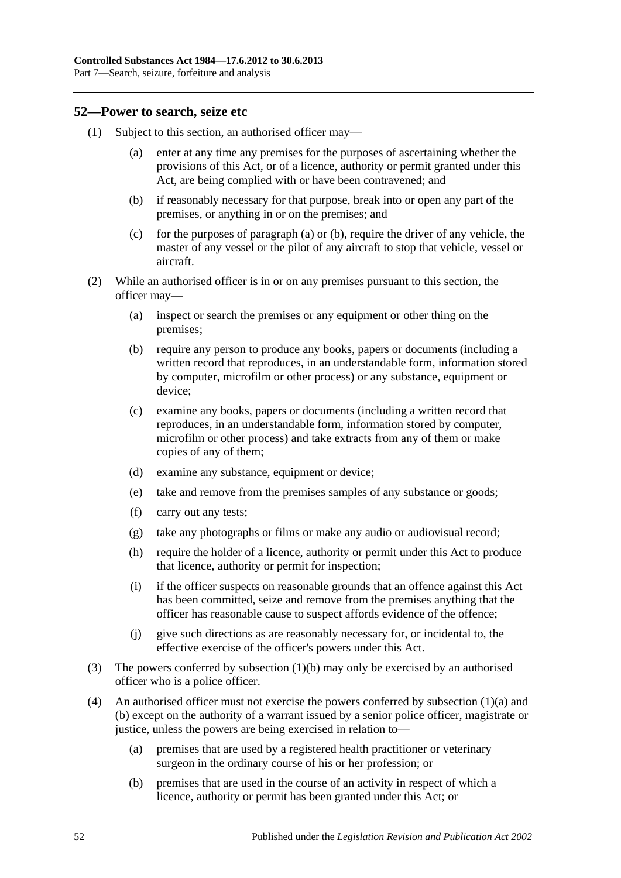Part 7—Search, seizure, forfeiture and analysis

#### <span id="page-51-3"></span>**52—Power to search, seize etc**

- <span id="page-51-1"></span><span id="page-51-0"></span>(1) Subject to this section, an authorised officer may
	- enter at any time any premises for the purposes of ascertaining whether the provisions of this Act, or of a licence, authority or permit granted under this Act, are being complied with or have been contravened; and
	- (b) if reasonably necessary for that purpose, break into or open any part of the premises, or anything in or on the premises; and
	- (c) for the purposes of [paragraph](#page-51-0) (a) or [\(b\),](#page-51-1) require the driver of any vehicle, the master of any vessel or the pilot of any aircraft to stop that vehicle, vessel or aircraft.
- (2) While an authorised officer is in or on any premises pursuant to this section, the officer may—
	- (a) inspect or search the premises or any equipment or other thing on the premises;
	- (b) require any person to produce any books, papers or documents (including a written record that reproduces, in an understandable form, information stored by computer, microfilm or other process) or any substance, equipment or device;
	- (c) examine any books, papers or documents (including a written record that reproduces, in an understandable form, information stored by computer, microfilm or other process) and take extracts from any of them or make copies of any of them;
	- (d) examine any substance, equipment or device;
	- (e) take and remove from the premises samples of any substance or goods;
	- (f) carry out any tests;
	- (g) take any photographs or films or make any audio or audiovisual record;
	- (h) require the holder of a licence, authority or permit under this Act to produce that licence, authority or permit for inspection;
	- (i) if the officer suspects on reasonable grounds that an offence against this Act has been committed, seize and remove from the premises anything that the officer has reasonable cause to suspect affords evidence of the offence;
	- (j) give such directions as are reasonably necessary for, or incidental to, the effective exercise of the officer's powers under this Act.
- (3) The powers conferred by [subsection](#page-51-1) (1)(b) may only be exercised by an authorised officer who is a police officer.
- <span id="page-51-2"></span>(4) An authorised officer must not exercise the powers conferred by [subsection](#page-51-0) (1)(a) and [\(b\)](#page-51-1) except on the authority of a warrant issued by a senior police officer, magistrate or justice, unless the powers are being exercised in relation to—
	- (a) premises that are used by a registered health practitioner or veterinary surgeon in the ordinary course of his or her profession; or
	- (b) premises that are used in the course of an activity in respect of which a licence, authority or permit has been granted under this Act; or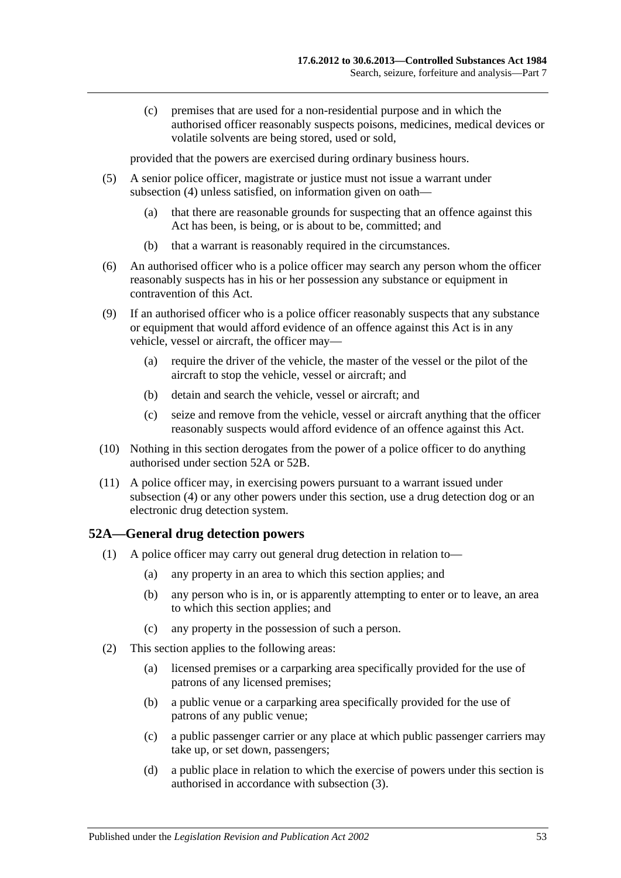(c) premises that are used for a non-residential purpose and in which the authorised officer reasonably suspects poisons, medicines, medical devices or volatile solvents are being stored, used or sold,

provided that the powers are exercised during ordinary business hours.

- (5) A senior police officer, magistrate or justice must not issue a warrant under [subsection](#page-51-2) (4) unless satisfied, on information given on oath—
	- (a) that there are reasonable grounds for suspecting that an offence against this Act has been, is being, or is about to be, committed; and
	- (b) that a warrant is reasonably required in the circumstances.
- (6) An authorised officer who is a police officer may search any person whom the officer reasonably suspects has in his or her possession any substance or equipment in contravention of this Act.
- (9) If an authorised officer who is a police officer reasonably suspects that any substance or equipment that would afford evidence of an offence against this Act is in any vehicle, vessel or aircraft, the officer may—
	- (a) require the driver of the vehicle, the master of the vessel or the pilot of the aircraft to stop the vehicle, vessel or aircraft; and
	- (b) detain and search the vehicle, vessel or aircraft; and
	- (c) seize and remove from the vehicle, vessel or aircraft anything that the officer reasonably suspects would afford evidence of an offence against this Act.
- (10) Nothing in this section derogates from the power of a police officer to do anything authorised under [section](#page-52-0) 52A or [52B.](#page-54-0)
- (11) A police officer may, in exercising powers pursuant to a warrant issued under [subsection](#page-51-2) (4) or any other powers under this section, use a drug detection dog or an electronic drug detection system.

## <span id="page-52-0"></span>**52A—General drug detection powers**

- (1) A police officer may carry out general drug detection in relation to—
	- (a) any property in an area to which this section applies; and
	- (b) any person who is in, or is apparently attempting to enter or to leave, an area to which this section applies; and
	- (c) any property in the possession of such a person.
- (2) This section applies to the following areas:
	- (a) licensed premises or a carparking area specifically provided for the use of patrons of any licensed premises;
	- (b) a public venue or a carparking area specifically provided for the use of patrons of any public venue;
	- (c) a public passenger carrier or any place at which public passenger carriers may take up, or set down, passengers;
	- (d) a public place in relation to which the exercise of powers under this section is authorised in accordance with [subsection](#page-53-0) (3).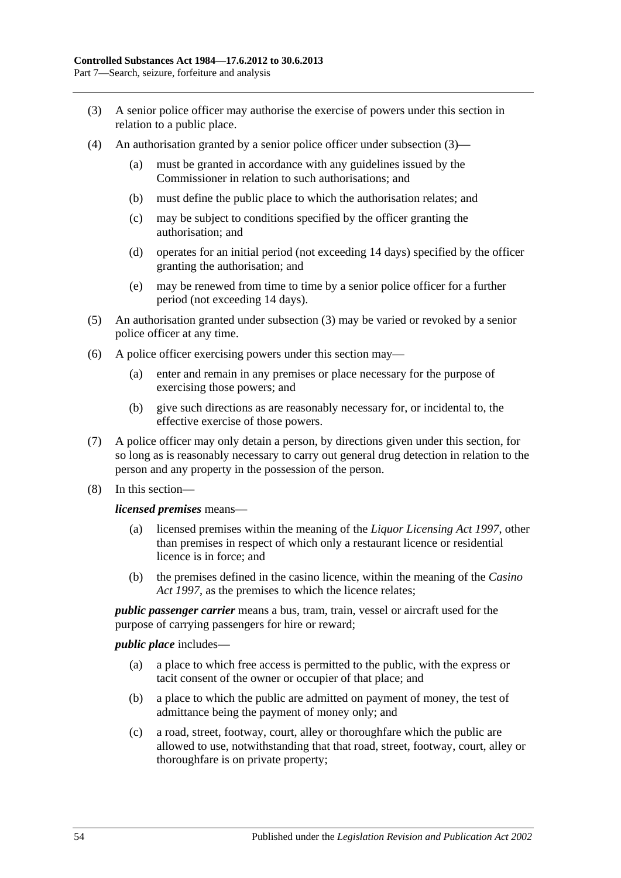- <span id="page-53-0"></span>(3) A senior police officer may authorise the exercise of powers under this section in relation to a public place.
- (4) An authorisation granted by a senior police officer under [subsection](#page-53-0) (3)—
	- (a) must be granted in accordance with any guidelines issued by the Commissioner in relation to such authorisations; and
	- (b) must define the public place to which the authorisation relates; and
	- (c) may be subject to conditions specified by the officer granting the authorisation; and
	- (d) operates for an initial period (not exceeding 14 days) specified by the officer granting the authorisation; and
	- (e) may be renewed from time to time by a senior police officer for a further period (not exceeding 14 days).
- (5) An authorisation granted under [subsection](#page-53-0) (3) may be varied or revoked by a senior police officer at any time.
- (6) A police officer exercising powers under this section may—
	- (a) enter and remain in any premises or place necessary for the purpose of exercising those powers; and
	- (b) give such directions as are reasonably necessary for, or incidental to, the effective exercise of those powers.
- (7) A police officer may only detain a person, by directions given under this section, for so long as is reasonably necessary to carry out general drug detection in relation to the person and any property in the possession of the person.
- (8) In this section—

#### *licensed premises* means—

- licensed premises within the meaning of the *[Liquor Licensing Act](http://www.legislation.sa.gov.au/index.aspx?action=legref&type=act&legtitle=Liquor%20Licensing%20Act%201997) 1997*, other than premises in respect of which only a restaurant licence or residential licence is in force; and
- (b) the premises defined in the casino licence, within the meaning of the *[Casino](http://www.legislation.sa.gov.au/index.aspx?action=legref&type=act&legtitle=Casino%20Act%201997)  Act [1997](http://www.legislation.sa.gov.au/index.aspx?action=legref&type=act&legtitle=Casino%20Act%201997)*, as the premises to which the licence relates;

*public passenger carrier* means a bus, tram, train, vessel or aircraft used for the purpose of carrying passengers for hire or reward;

#### *public place* includes—

- (a) a place to which free access is permitted to the public, with the express or tacit consent of the owner or occupier of that place; and
- (b) a place to which the public are admitted on payment of money, the test of admittance being the payment of money only; and
- (c) a road, street, footway, court, alley or thoroughfare which the public are allowed to use, notwithstanding that that road, street, footway, court, alley or thoroughfare is on private property;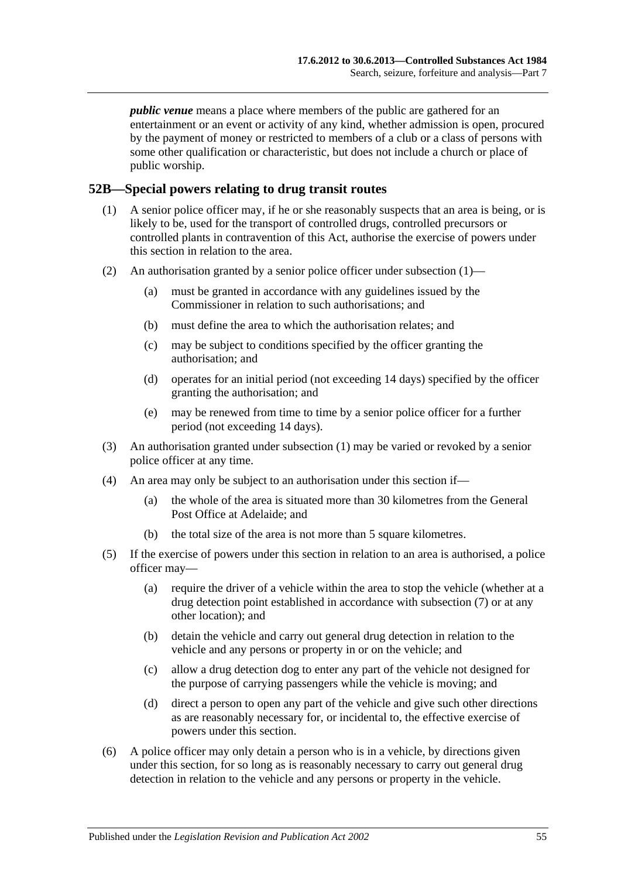*public venue* means a place where members of the public are gathered for an entertainment or an event or activity of any kind, whether admission is open, procured by the payment of money or restricted to members of a club or a class of persons with some other qualification or characteristic, but does not include a church or place of public worship.

#### <span id="page-54-1"></span><span id="page-54-0"></span>**52B—Special powers relating to drug transit routes**

- (1) A senior police officer may, if he or she reasonably suspects that an area is being, or is likely to be, used for the transport of controlled drugs, controlled precursors or controlled plants in contravention of this Act, authorise the exercise of powers under this section in relation to the area.
- (2) An authorisation granted by a senior police officer under [subsection](#page-54-1) (1)—
	- (a) must be granted in accordance with any guidelines issued by the Commissioner in relation to such authorisations; and
	- (b) must define the area to which the authorisation relates; and
	- (c) may be subject to conditions specified by the officer granting the authorisation; and
	- (d) operates for an initial period (not exceeding 14 days) specified by the officer granting the authorisation; and
	- (e) may be renewed from time to time by a senior police officer for a further period (not exceeding 14 days).
- (3) An authorisation granted under [subsection](#page-54-1) (1) may be varied or revoked by a senior police officer at any time.
- (4) An area may only be subject to an authorisation under this section if—
	- (a) the whole of the area is situated more than 30 kilometres from the General Post Office at Adelaide; and
	- (b) the total size of the area is not more than 5 square kilometres.
- (5) If the exercise of powers under this section in relation to an area is authorised, a police officer may—
	- (a) require the driver of a vehicle within the area to stop the vehicle (whether at a drug detection point established in accordance with [subsection](#page-55-0) (7) or at any other location); and
	- (b) detain the vehicle and carry out general drug detection in relation to the vehicle and any persons or property in or on the vehicle; and
	- (c) allow a drug detection dog to enter any part of the vehicle not designed for the purpose of carrying passengers while the vehicle is moving; and
	- (d) direct a person to open any part of the vehicle and give such other directions as are reasonably necessary for, or incidental to, the effective exercise of powers under this section.
- (6) A police officer may only detain a person who is in a vehicle, by directions given under this section, for so long as is reasonably necessary to carry out general drug detection in relation to the vehicle and any persons or property in the vehicle.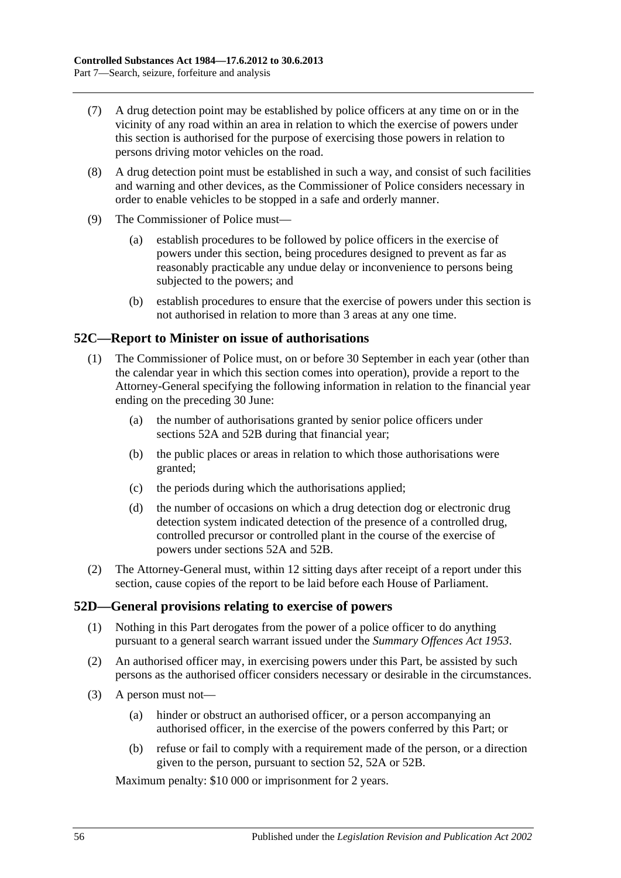- <span id="page-55-0"></span>(7) A drug detection point may be established by police officers at any time on or in the vicinity of any road within an area in relation to which the exercise of powers under this section is authorised for the purpose of exercising those powers in relation to persons driving motor vehicles on the road.
- (8) A drug detection point must be established in such a way, and consist of such facilities and warning and other devices, as the Commissioner of Police considers necessary in order to enable vehicles to be stopped in a safe and orderly manner.
- (9) The Commissioner of Police must—
	- (a) establish procedures to be followed by police officers in the exercise of powers under this section, being procedures designed to prevent as far as reasonably practicable any undue delay or inconvenience to persons being subjected to the powers; and
	- (b) establish procedures to ensure that the exercise of powers under this section is not authorised in relation to more than 3 areas at any one time.

## **52C—Report to Minister on issue of authorisations**

- (1) The Commissioner of Police must, on or before 30 September in each year (other than the calendar year in which this section comes into operation), provide a report to the Attorney-General specifying the following information in relation to the financial year ending on the preceding 30 June:
	- (a) the number of authorisations granted by senior police officers under [sections](#page-52-0) 52A and [52B](#page-54-0) during that financial year;
	- (b) the public places or areas in relation to which those authorisations were granted;
	- (c) the periods during which the authorisations applied;
	- (d) the number of occasions on which a drug detection dog or electronic drug detection system indicated detection of the presence of a controlled drug, controlled precursor or controlled plant in the course of the exercise of powers under [sections](#page-52-0) 52A and [52B.](#page-54-0)
- (2) The Attorney-General must, within 12 sitting days after receipt of a report under this section, cause copies of the report to be laid before each House of Parliament.

## **52D—General provisions relating to exercise of powers**

- (1) Nothing in this Part derogates from the power of a police officer to do anything pursuant to a general search warrant issued under the *[Summary Offences Act](http://www.legislation.sa.gov.au/index.aspx?action=legref&type=act&legtitle=Summary%20Offences%20Act%201953) 1953*.
- (2) An authorised officer may, in exercising powers under this Part, be assisted by such persons as the authorised officer considers necessary or desirable in the circumstances.
- (3) A person must not—
	- (a) hinder or obstruct an authorised officer, or a person accompanying an authorised officer, in the exercise of the powers conferred by this Part; or
	- (b) refuse or fail to comply with a requirement made of the person, or a direction given to the person, pursuant to [section](#page-51-3) 52, [52A](#page-52-0) or [52B.](#page-54-0)

Maximum penalty: \$10 000 or imprisonment for 2 years.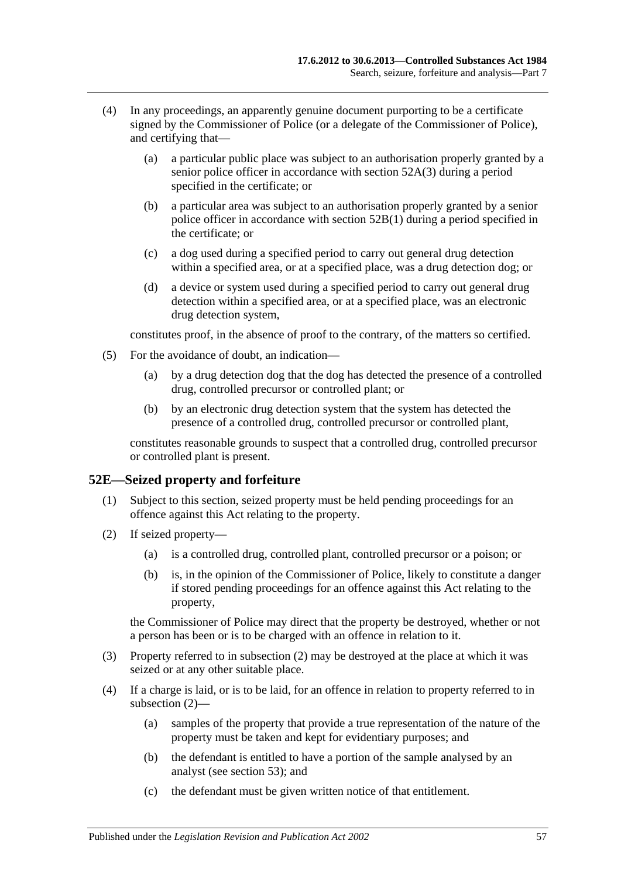- (4) In any proceedings, an apparently genuine document purporting to be a certificate signed by the Commissioner of Police (or a delegate of the Commissioner of Police), and certifying that—
	- (a) a particular public place was subject to an authorisation properly granted by a senior police officer in accordance with [section](#page-53-0) 52A(3) during a period specified in the certificate; or
	- (b) a particular area was subject to an authorisation properly granted by a senior police officer in accordance with [section](#page-54-1) 52B(1) during a period specified in the certificate; or
	- (c) a dog used during a specified period to carry out general drug detection within a specified area, or at a specified place, was a drug detection dog; or
	- (d) a device or system used during a specified period to carry out general drug detection within a specified area, or at a specified place, was an electronic drug detection system,

constitutes proof, in the absence of proof to the contrary, of the matters so certified.

- (5) For the avoidance of doubt, an indication—
	- (a) by a drug detection dog that the dog has detected the presence of a controlled drug, controlled precursor or controlled plant; or
	- (b) by an electronic drug detection system that the system has detected the presence of a controlled drug, controlled precursor or controlled plant,

constitutes reasonable grounds to suspect that a controlled drug, controlled precursor or controlled plant is present.

#### **52E—Seized property and forfeiture**

- (1) Subject to this section, seized property must be held pending proceedings for an offence against this Act relating to the property.
- <span id="page-56-0"></span>(2) If seized property—
	- (a) is a controlled drug, controlled plant, controlled precursor or a poison; or
	- (b) is, in the opinion of the Commissioner of Police, likely to constitute a danger if stored pending proceedings for an offence against this Act relating to the property,

the Commissioner of Police may direct that the property be destroyed, whether or not a person has been or is to be charged with an offence in relation to it.

- (3) Property referred to in [subsection](#page-56-0) (2) may be destroyed at the place at which it was seized or at any other suitable place.
- (4) If a charge is laid, or is to be laid, for an offence in relation to property referred to in [subsection](#page-56-0) (2)—
	- (a) samples of the property that provide a true representation of the nature of the property must be taken and kept for evidentiary purposes; and
	- (b) the defendant is entitled to have a portion of the sample analysed by an analyst (see [section](#page-58-0) 53); and
	- (c) the defendant must be given written notice of that entitlement.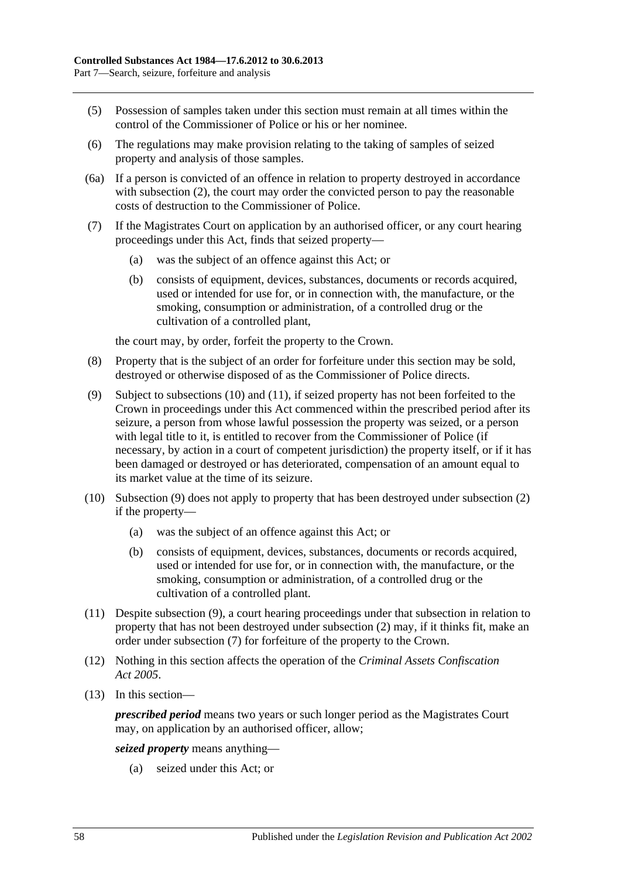- (5) Possession of samples taken under this section must remain at all times within the control of the Commissioner of Police or his or her nominee.
- (6) The regulations may make provision relating to the taking of samples of seized property and analysis of those samples.
- (6a) If a person is convicted of an offence in relation to property destroyed in accordance with [subsection](#page-56-0) (2), the court may order the convicted person to pay the reasonable costs of destruction to the Commissioner of Police.
- <span id="page-57-3"></span>(7) If the Magistrates Court on application by an authorised officer, or any court hearing proceedings under this Act, finds that seized property—
	- (a) was the subject of an offence against this Act; or
	- (b) consists of equipment, devices, substances, documents or records acquired, used or intended for use for, or in connection with, the manufacture, or the smoking, consumption or administration, of a controlled drug or the cultivation of a controlled plant,

the court may, by order, forfeit the property to the Crown.

- (8) Property that is the subject of an order for forfeiture under this section may be sold, destroyed or otherwise disposed of as the Commissioner of Police directs.
- <span id="page-57-2"></span>(9) Subject to [subsections](#page-57-0) (10) and [\(11\),](#page-57-1) if seized property has not been forfeited to the Crown in proceedings under this Act commenced within the prescribed period after its seizure, a person from whose lawful possession the property was seized, or a person with legal title to it, is entitled to recover from the Commissioner of Police (if necessary, by action in a court of competent jurisdiction) the property itself, or if it has been damaged or destroyed or has deteriorated, compensation of an amount equal to its market value at the time of its seizure.
- <span id="page-57-0"></span>(10) [Subsection](#page-57-2) (9) does not apply to property that has been destroyed under [subsection](#page-56-0) (2) if the property—
	- (a) was the subject of an offence against this Act; or
	- (b) consists of equipment, devices, substances, documents or records acquired, used or intended for use for, or in connection with, the manufacture, or the smoking, consumption or administration, of a controlled drug or the cultivation of a controlled plant.
- <span id="page-57-1"></span>(11) Despite [subsection](#page-57-2) (9), a court hearing proceedings under that subsection in relation to property that has not been destroyed under [subsection](#page-56-0) (2) may, if it thinks fit, make an order under [subsection](#page-57-3) (7) for forfeiture of the property to the Crown.
- (12) Nothing in this section affects the operation of the *[Criminal Assets Confiscation](http://www.legislation.sa.gov.au/index.aspx?action=legref&type=act&legtitle=Criminal%20Assets%20Confiscation%20Act%202005)  Act [2005](http://www.legislation.sa.gov.au/index.aspx?action=legref&type=act&legtitle=Criminal%20Assets%20Confiscation%20Act%202005)*.
- (13) In this section—

*prescribed period* means two years or such longer period as the Magistrates Court may, on application by an authorised officer, allow;

*seized property* means anything—

(a) seized under this Act; or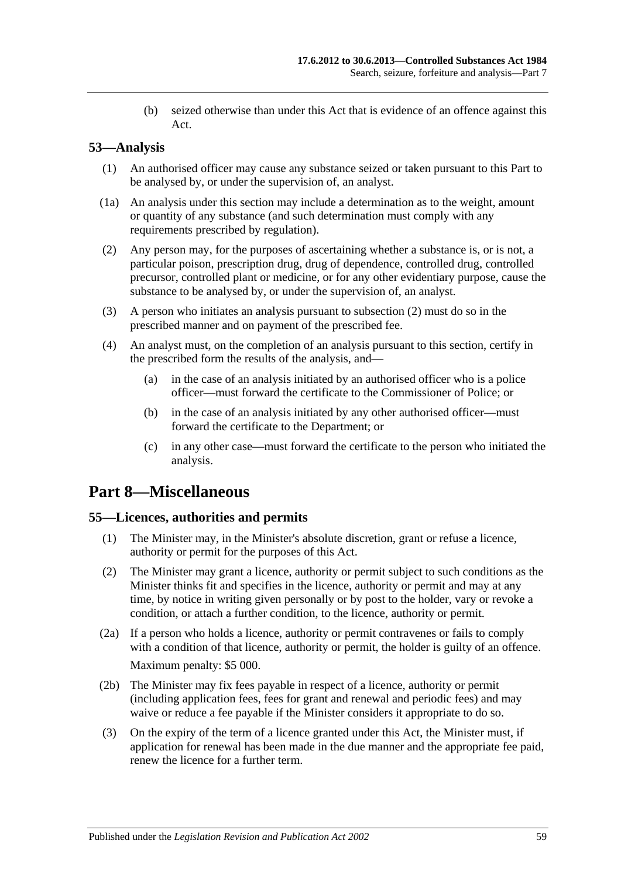(b) seized otherwise than under this Act that is evidence of an offence against this Act.

## <span id="page-58-0"></span>**53—Analysis**

- (1) An authorised officer may cause any substance seized or taken pursuant to this Part to be analysed by, or under the supervision of, an analyst.
- (1a) An analysis under this section may include a determination as to the weight, amount or quantity of any substance (and such determination must comply with any requirements prescribed by regulation).
- <span id="page-58-1"></span>(2) Any person may, for the purposes of ascertaining whether a substance is, or is not, a particular poison, prescription drug, drug of dependence, controlled drug, controlled precursor, controlled plant or medicine, or for any other evidentiary purpose, cause the substance to be analysed by, or under the supervision of, an analyst.
- (3) A person who initiates an analysis pursuant to [subsection](#page-58-1) (2) must do so in the prescribed manner and on payment of the prescribed fee.
- (4) An analyst must, on the completion of an analysis pursuant to this section, certify in the prescribed form the results of the analysis, and—
	- (a) in the case of an analysis initiated by an authorised officer who is a police officer—must forward the certificate to the Commissioner of Police; or
	- (b) in the case of an analysis initiated by any other authorised officer—must forward the certificate to the Department; or
	- (c) in any other case—must forward the certificate to the person who initiated the analysis.

# **Part 8—Miscellaneous**

## **55—Licences, authorities and permits**

- (1) The Minister may, in the Minister's absolute discretion, grant or refuse a licence, authority or permit for the purposes of this Act.
- (2) The Minister may grant a licence, authority or permit subject to such conditions as the Minister thinks fit and specifies in the licence, authority or permit and may at any time, by notice in writing given personally or by post to the holder, vary or revoke a condition, or attach a further condition, to the licence, authority or permit.
- (2a) If a person who holds a licence, authority or permit contravenes or fails to comply with a condition of that licence, authority or permit, the holder is guilty of an offence. Maximum penalty: \$5 000.
- (2b) The Minister may fix fees payable in respect of a licence, authority or permit (including application fees, fees for grant and renewal and periodic fees) and may waive or reduce a fee payable if the Minister considers it appropriate to do so.
- (3) On the expiry of the term of a licence granted under this Act, the Minister must, if application for renewal has been made in the due manner and the appropriate fee paid, renew the licence for a further term.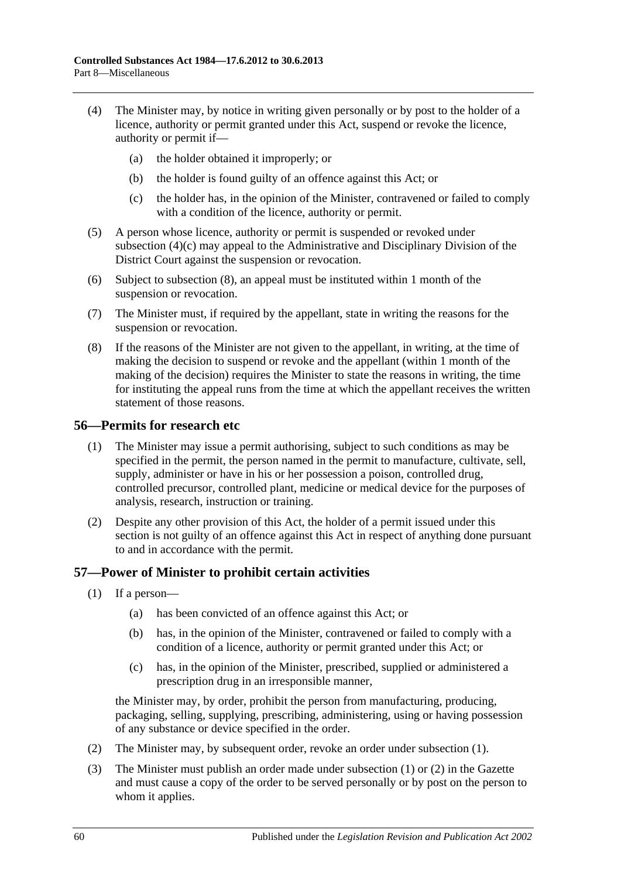- (4) The Minister may, by notice in writing given personally or by post to the holder of a licence, authority or permit granted under this Act, suspend or revoke the licence, authority or permit if—
	- (a) the holder obtained it improperly; or
	- (b) the holder is found guilty of an offence against this Act; or
	- (c) the holder has, in the opinion of the Minister, contravened or failed to comply with a condition of the licence, authority or permit.
- <span id="page-59-0"></span>(5) A person whose licence, authority or permit is suspended or revoked under [subsection](#page-59-0) (4)(c) may appeal to the Administrative and Disciplinary Division of the District Court against the suspension or revocation.
- (6) Subject to [subsection](#page-59-1) (8), an appeal must be instituted within 1 month of the suspension or revocation.
- (7) The Minister must, if required by the appellant, state in writing the reasons for the suspension or revocation.
- <span id="page-59-1"></span>(8) If the reasons of the Minister are not given to the appellant, in writing, at the time of making the decision to suspend or revoke and the appellant (within 1 month of the making of the decision) requires the Minister to state the reasons in writing, the time for instituting the appeal runs from the time at which the appellant receives the written statement of those reasons.

#### **56—Permits for research etc**

- (1) The Minister may issue a permit authorising, subject to such conditions as may be specified in the permit, the person named in the permit to manufacture, cultivate, sell, supply, administer or have in his or her possession a poison, controlled drug, controlled precursor, controlled plant, medicine or medical device for the purposes of analysis, research, instruction or training.
- (2) Despite any other provision of this Act, the holder of a permit issued under this section is not guilty of an offence against this Act in respect of anything done pursuant to and in accordance with the permit.

## <span id="page-59-2"></span>**57—Power of Minister to prohibit certain activities**

- (1) If a person—
	- (a) has been convicted of an offence against this Act; or
	- (b) has, in the opinion of the Minister, contravened or failed to comply with a condition of a licence, authority or permit granted under this Act; or
	- (c) has, in the opinion of the Minister, prescribed, supplied or administered a prescription drug in an irresponsible manner,

the Minister may, by order, prohibit the person from manufacturing, producing, packaging, selling, supplying, prescribing, administering, using or having possession of any substance or device specified in the order.

- <span id="page-59-3"></span>(2) The Minister may, by subsequent order, revoke an order under [subsection](#page-59-2) (1).
- (3) The Minister must publish an order made under [subsection](#page-59-2) (1) or [\(2\)](#page-59-3) in the Gazette and must cause a copy of the order to be served personally or by post on the person to whom it applies.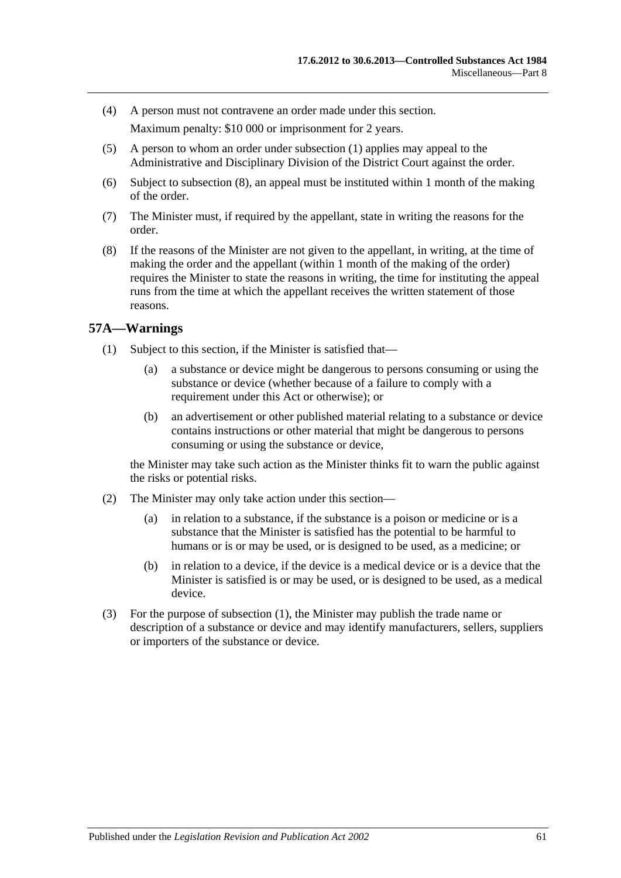- (4) A person must not contravene an order made under this section. Maximum penalty: \$10 000 or imprisonment for 2 years.
- (5) A person to whom an order under [subsection](#page-59-2) (1) applies may appeal to the Administrative and Disciplinary Division of the District Court against the order.
- (6) Subject to [subsection](#page-60-0) (8), an appeal must be instituted within 1 month of the making of the order.
- (7) The Minister must, if required by the appellant, state in writing the reasons for the order.
- <span id="page-60-0"></span>(8) If the reasons of the Minister are not given to the appellant, in writing, at the time of making the order and the appellant (within 1 month of the making of the order) requires the Minister to state the reasons in writing, the time for instituting the appeal runs from the time at which the appellant receives the written statement of those reasons.

## <span id="page-60-1"></span>**57A—Warnings**

- (1) Subject to this section, if the Minister is satisfied that—
	- (a) a substance or device might be dangerous to persons consuming or using the substance or device (whether because of a failure to comply with a requirement under this Act or otherwise); or
	- (b) an advertisement or other published material relating to a substance or device contains instructions or other material that might be dangerous to persons consuming or using the substance or device,

the Minister may take such action as the Minister thinks fit to warn the public against the risks or potential risks.

- (2) The Minister may only take action under this section—
	- (a) in relation to a substance, if the substance is a poison or medicine or is a substance that the Minister is satisfied has the potential to be harmful to humans or is or may be used, or is designed to be used, as a medicine; or
	- (b) in relation to a device, if the device is a medical device or is a device that the Minister is satisfied is or may be used, or is designed to be used, as a medical device.
- (3) For the purpose of [subsection](#page-60-1) (1), the Minister may publish the trade name or description of a substance or device and may identify manufacturers, sellers, suppliers or importers of the substance or device.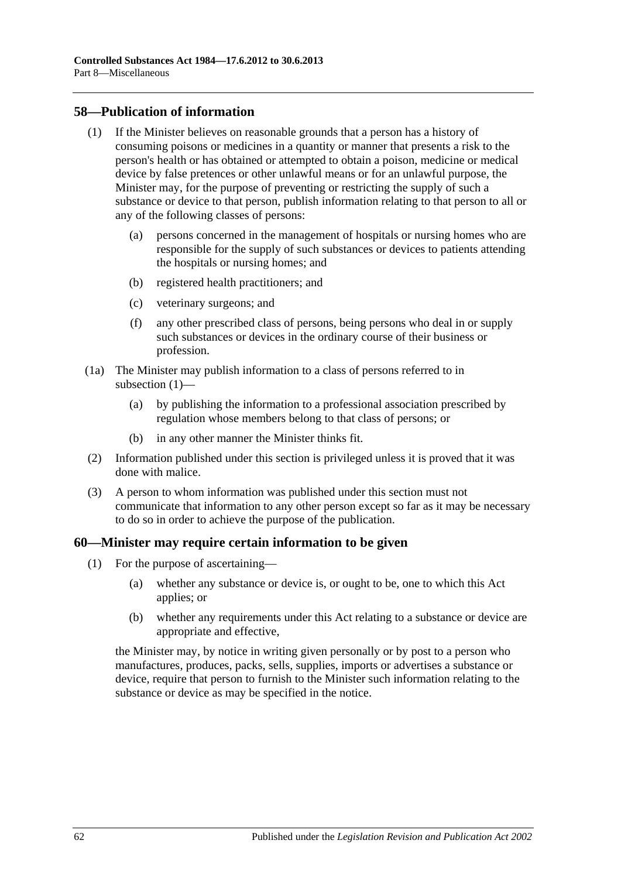### <span id="page-61-0"></span>**58—Publication of information**

- (1) If the Minister believes on reasonable grounds that a person has a history of consuming poisons or medicines in a quantity or manner that presents a risk to the person's health or has obtained or attempted to obtain a poison, medicine or medical device by false pretences or other unlawful means or for an unlawful purpose, the Minister may, for the purpose of preventing or restricting the supply of such a substance or device to that person, publish information relating to that person to all or any of the following classes of persons:
	- (a) persons concerned in the management of hospitals or nursing homes who are responsible for the supply of such substances or devices to patients attending the hospitals or nursing homes; and
	- (b) registered health practitioners; and
	- (c) veterinary surgeons; and
	- (f) any other prescribed class of persons, being persons who deal in or supply such substances or devices in the ordinary course of their business or profession.
- (1a) The Minister may publish information to a class of persons referred to in [subsection](#page-61-0) (1)-
	- (a) by publishing the information to a professional association prescribed by regulation whose members belong to that class of persons; or
	- (b) in any other manner the Minister thinks fit.
- (2) Information published under this section is privileged unless it is proved that it was done with malice.
- (3) A person to whom information was published under this section must not communicate that information to any other person except so far as it may be necessary to do so in order to achieve the purpose of the publication.

## **60—Minister may require certain information to be given**

- (1) For the purpose of ascertaining—
	- (a) whether any substance or device is, or ought to be, one to which this Act applies; or
	- (b) whether any requirements under this Act relating to a substance or device are appropriate and effective,

the Minister may, by notice in writing given personally or by post to a person who manufactures, produces, packs, sells, supplies, imports or advertises a substance or device, require that person to furnish to the Minister such information relating to the substance or device as may be specified in the notice.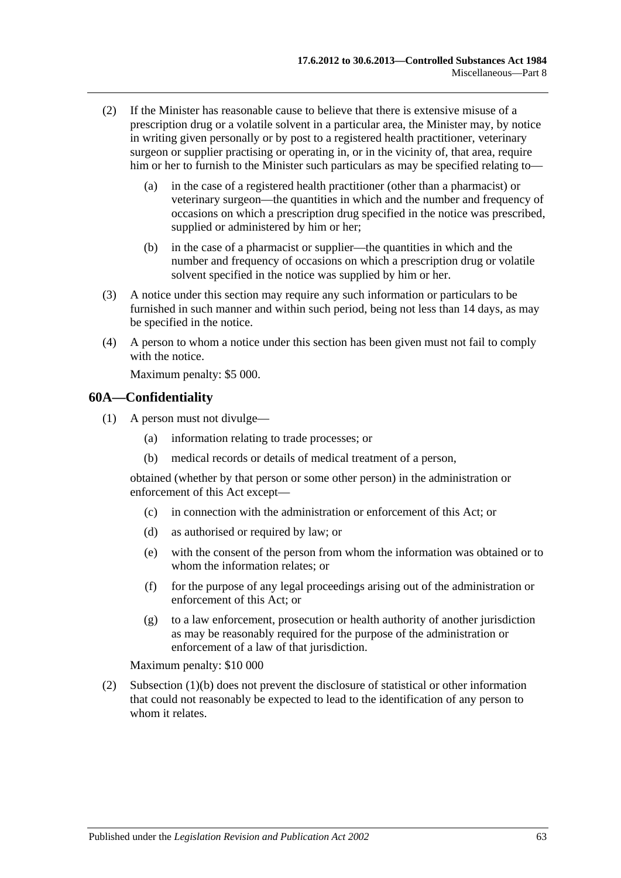- (2) If the Minister has reasonable cause to believe that there is extensive misuse of a prescription drug or a volatile solvent in a particular area, the Minister may, by notice in writing given personally or by post to a registered health practitioner, veterinary surgeon or supplier practising or operating in, or in the vicinity of, that area, require him or her to furnish to the Minister such particulars as may be specified relating to—
	- (a) in the case of a registered health practitioner (other than a pharmacist) or veterinary surgeon—the quantities in which and the number and frequency of occasions on which a prescription drug specified in the notice was prescribed, supplied or administered by him or her;
	- (b) in the case of a pharmacist or supplier—the quantities in which and the number and frequency of occasions on which a prescription drug or volatile solvent specified in the notice was supplied by him or her.
- (3) A notice under this section may require any such information or particulars to be furnished in such manner and within such period, being not less than 14 days, as may be specified in the notice.
- (4) A person to whom a notice under this section has been given must not fail to comply with the notice.

Maximum penalty: \$5 000.

#### **60A—Confidentiality**

- <span id="page-62-0"></span>(1) A person must not divulge—
	- (a) information relating to trade processes; or
	- (b) medical records or details of medical treatment of a person,

obtained (whether by that person or some other person) in the administration or enforcement of this Act except—

- (c) in connection with the administration or enforcement of this Act; or
- (d) as authorised or required by law; or
- (e) with the consent of the person from whom the information was obtained or to whom the information relates; or
- (f) for the purpose of any legal proceedings arising out of the administration or enforcement of this Act; or
- (g) to a law enforcement, prosecution or health authority of another jurisdiction as may be reasonably required for the purpose of the administration or enforcement of a law of that jurisdiction.

Maximum penalty: \$10 000

(2) [Subsection](#page-62-0) (1)(b) does not prevent the disclosure of statistical or other information that could not reasonably be expected to lead to the identification of any person to whom it relates.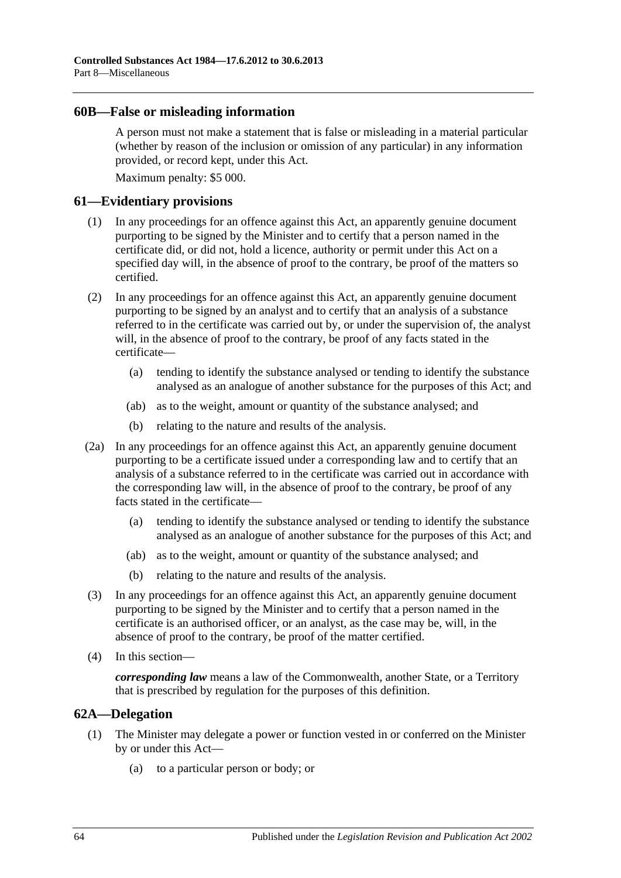#### **60B—False or misleading information**

A person must not make a statement that is false or misleading in a material particular (whether by reason of the inclusion or omission of any particular) in any information provided, or record kept, under this Act.

Maximum penalty: \$5 000.

#### **61—Evidentiary provisions**

- (1) In any proceedings for an offence against this Act, an apparently genuine document purporting to be signed by the Minister and to certify that a person named in the certificate did, or did not, hold a licence, authority or permit under this Act on a specified day will, in the absence of proof to the contrary, be proof of the matters so certified.
- (2) In any proceedings for an offence against this Act, an apparently genuine document purporting to be signed by an analyst and to certify that an analysis of a substance referred to in the certificate was carried out by, or under the supervision of, the analyst will, in the absence of proof to the contrary, be proof of any facts stated in the certificate—
	- (a) tending to identify the substance analysed or tending to identify the substance analysed as an analogue of another substance for the purposes of this Act; and
	- (ab) as to the weight, amount or quantity of the substance analysed; and
	- (b) relating to the nature and results of the analysis.
- (2a) In any proceedings for an offence against this Act, an apparently genuine document purporting to be a certificate issued under a corresponding law and to certify that an analysis of a substance referred to in the certificate was carried out in accordance with the corresponding law will, in the absence of proof to the contrary, be proof of any facts stated in the certificate—
	- (a) tending to identify the substance analysed or tending to identify the substance analysed as an analogue of another substance for the purposes of this Act; and
	- (ab) as to the weight, amount or quantity of the substance analysed; and
	- (b) relating to the nature and results of the analysis.
- (3) In any proceedings for an offence against this Act, an apparently genuine document purporting to be signed by the Minister and to certify that a person named in the certificate is an authorised officer, or an analyst, as the case may be, will, in the absence of proof to the contrary, be proof of the matter certified.
- (4) In this section—

*corresponding law* means a law of the Commonwealth, another State, or a Territory that is prescribed by regulation for the purposes of this definition.

## **62A—Delegation**

- (1) The Minister may delegate a power or function vested in or conferred on the Minister by or under this Act—
	- (a) to a particular person or body; or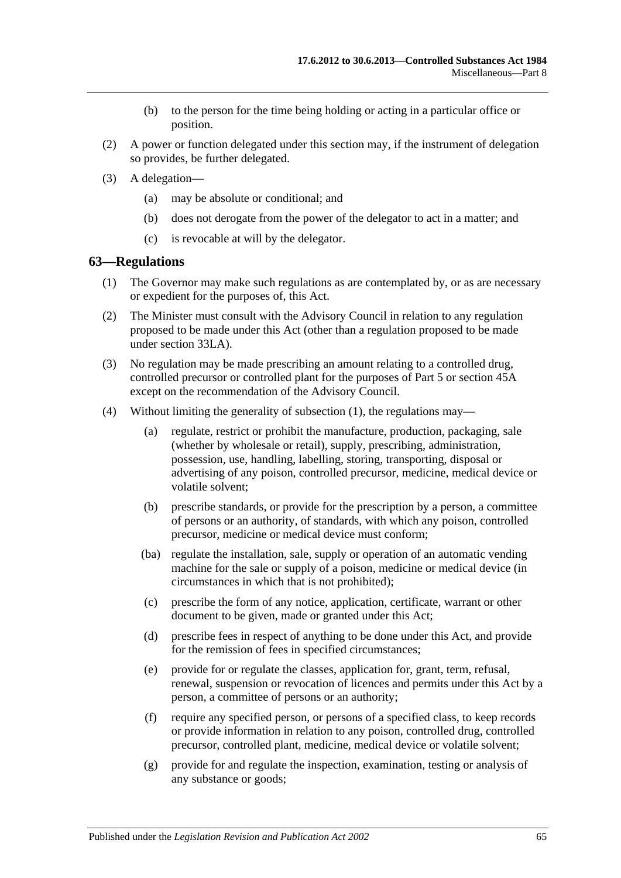- (b) to the person for the time being holding or acting in a particular office or position.
- (2) A power or function delegated under this section may, if the instrument of delegation so provides, be further delegated.
- (3) A delegation—
	- (a) may be absolute or conditional; and
	- (b) does not derogate from the power of the delegator to act in a matter; and
	- (c) is revocable at will by the delegator.

#### <span id="page-64-0"></span>**63—Regulations**

- (1) The Governor may make such regulations as are contemplated by, or as are necessary or expedient for the purposes of, this Act.
- (2) The Minister must consult with the Advisory Council in relation to any regulation proposed to be made under this Act (other than a regulation proposed to be made under [section](#page-40-1) 33LA).
- (3) No regulation may be made prescribing an amount relating to a controlled drug, controlled precursor or controlled plant for the purposes of [Part 5](#page-29-0) or [section](#page-49-0) 45A except on the recommendation of the Advisory Council.
- (4) Without limiting the generality of [subsection](#page-64-0) (1), the regulations may—
	- (a) regulate, restrict or prohibit the manufacture, production, packaging, sale (whether by wholesale or retail), supply, prescribing, administration, possession, use, handling, labelling, storing, transporting, disposal or advertising of any poison, controlled precursor, medicine, medical device or volatile solvent;
	- (b) prescribe standards, or provide for the prescription by a person, a committee of persons or an authority, of standards, with which any poison, controlled precursor, medicine or medical device must conform;
	- (ba) regulate the installation, sale, supply or operation of an automatic vending machine for the sale or supply of a poison, medicine or medical device (in circumstances in which that is not prohibited);
	- (c) prescribe the form of any notice, application, certificate, warrant or other document to be given, made or granted under this Act;
	- (d) prescribe fees in respect of anything to be done under this Act, and provide for the remission of fees in specified circumstances;
	- (e) provide for or regulate the classes, application for, grant, term, refusal, renewal, suspension or revocation of licences and permits under this Act by a person, a committee of persons or an authority;
	- (f) require any specified person, or persons of a specified class, to keep records or provide information in relation to any poison, controlled drug, controlled precursor, controlled plant, medicine, medical device or volatile solvent;
	- (g) provide for and regulate the inspection, examination, testing or analysis of any substance or goods;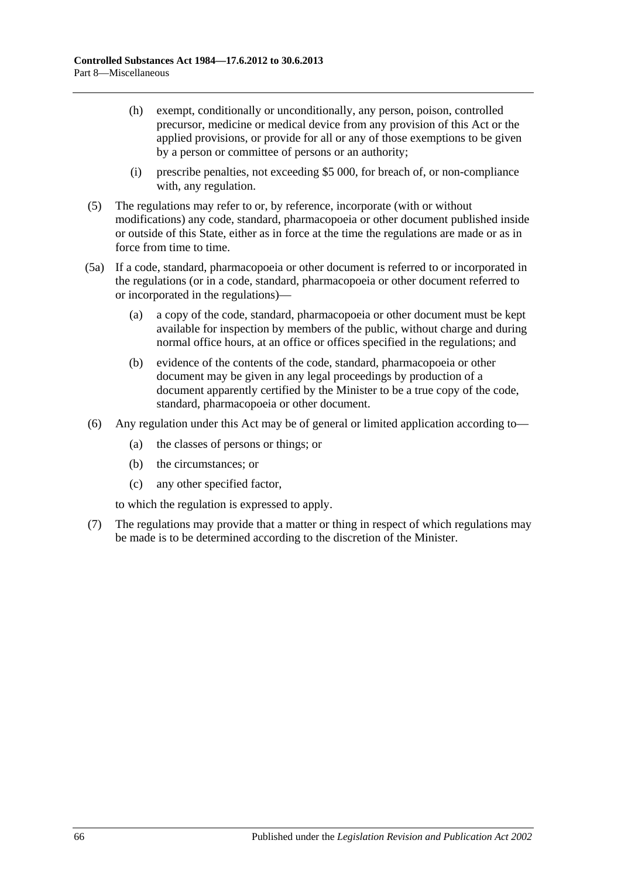- (h) exempt, conditionally or unconditionally, any person, poison, controlled precursor, medicine or medical device from any provision of this Act or the applied provisions, or provide for all or any of those exemptions to be given by a person or committee of persons or an authority;
- (i) prescribe penalties, not exceeding \$5 000, for breach of, or non-compliance with, any regulation.
- (5) The regulations may refer to or, by reference, incorporate (with or without modifications) any code, standard, pharmacopoeia or other document published inside or outside of this State, either as in force at the time the regulations are made or as in force from time to time.
- (5a) If a code, standard, pharmacopoeia or other document is referred to or incorporated in the regulations (or in a code, standard, pharmacopoeia or other document referred to or incorporated in the regulations)—
	- (a) a copy of the code, standard, pharmacopoeia or other document must be kept available for inspection by members of the public, without charge and during normal office hours, at an office or offices specified in the regulations; and
	- (b) evidence of the contents of the code, standard, pharmacopoeia or other document may be given in any legal proceedings by production of a document apparently certified by the Minister to be a true copy of the code, standard, pharmacopoeia or other document.
- (6) Any regulation under this Act may be of general or limited application according to—
	- (a) the classes of persons or things; or
	- (b) the circumstances; or
	- (c) any other specified factor,

to which the regulation is expressed to apply.

(7) The regulations may provide that a matter or thing in respect of which regulations may be made is to be determined according to the discretion of the Minister.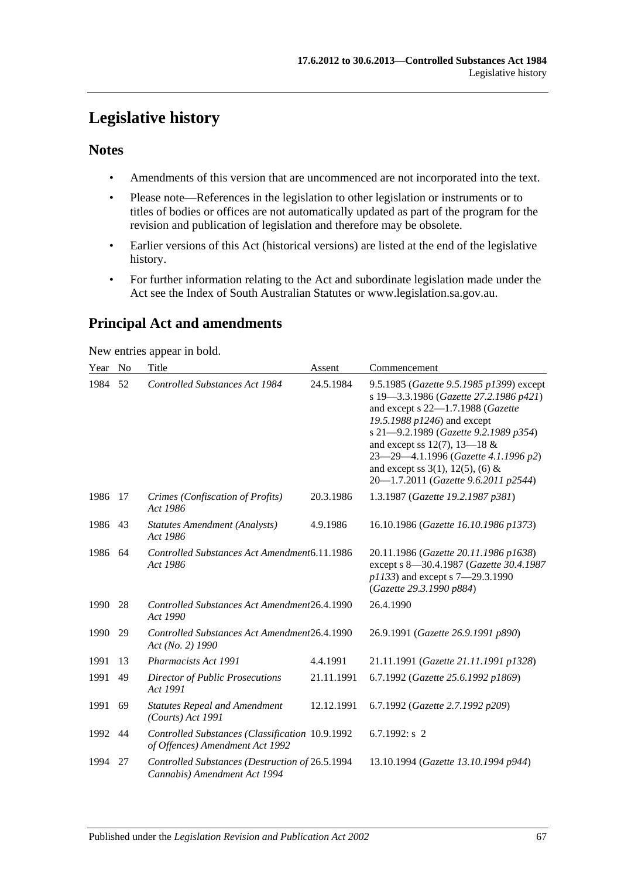# **Legislative history**

## **Notes**

- Amendments of this version that are uncommenced are not incorporated into the text.
- Please note—References in the legislation to other legislation or instruments or to titles of bodies or offices are not automatically updated as part of the program for the revision and publication of legislation and therefore may be obsolete.
- Earlier versions of this Act (historical versions) are listed at the end of the legislative history.
- For further information relating to the Act and subordinate legislation made under the Act see the Index of South Australian Statutes or www.legislation.sa.gov.au.

## **Principal Act and amendments**

New entries appear in bold.

| Year    | N <sub>0</sub> | Title                                                                              | Assent     | Commencement                                                                                                                                                                                                                                                                                                                                                |
|---------|----------------|------------------------------------------------------------------------------------|------------|-------------------------------------------------------------------------------------------------------------------------------------------------------------------------------------------------------------------------------------------------------------------------------------------------------------------------------------------------------------|
| 1984    | 52             | <b>Controlled Substances Act 1984</b>                                              | 24.5.1984  | 9.5.1985 (Gazette 9.5.1985 p1399) except<br>s 19-3.3.1986 (Gazette 27.2.1986 p421)<br>and except s 22-1.7.1988 (Gazette<br>19.5.1988 p1246) and except<br>s 21-9.2.1989 (Gazette 9.2.1989 p354)<br>and except ss 12(7), 13–18 $&$<br>23-29-4.1.1996 (Gazette 4.1.1996 p2)<br>and except ss $3(1)$ , $12(5)$ , (6) &<br>20-1.7.2011 (Gazette 9.6.2011 p2544) |
| 1986    | 17             | Crimes (Confiscation of Profits)<br>Act 1986                                       | 20.3.1986  | 1.3.1987 (Gazette 19.2.1987 p381)                                                                                                                                                                                                                                                                                                                           |
| 1986 43 |                | <b>Statutes Amendment (Analysts)</b><br>Act 1986                                   | 4.9.1986   | 16.10.1986 (Gazette 16.10.1986 p1373)                                                                                                                                                                                                                                                                                                                       |
| 1986 64 |                | Controlled Substances Act Amendment 6.11.1986<br>Act 1986                          |            | 20.11.1986 (Gazette 20.11.1986 p1638)<br>except s 8-30.4.1987 (Gazette 30.4.1987<br>p1133) and except s 7-29.3.1990<br>(Gazette 29.3.1990 p884)                                                                                                                                                                                                             |
| 1990    | 28             | Controlled Substances Act Amendment26.4.1990<br>Act 1990                           |            | 26.4.1990                                                                                                                                                                                                                                                                                                                                                   |
| 1990    | 29             | Controlled Substances Act Amendment26.4.1990<br>Act (No. 2) 1990                   |            | 26.9.1991 (Gazette 26.9.1991 p890)                                                                                                                                                                                                                                                                                                                          |
| 1991    | 13             | <b>Pharmacists Act 1991</b>                                                        | 4.4.1991   | 21.11.1991 (Gazette 21.11.1991 p1328)                                                                                                                                                                                                                                                                                                                       |
| 1991    | 49             | Director of Public Prosecutions<br>Act 1991                                        | 21.11.1991 | 6.7.1992 (Gazette 25.6.1992 p1869)                                                                                                                                                                                                                                                                                                                          |
| 1991    | 69             | <b>Statutes Repeal and Amendment</b><br>$(Courts)$ Act 1991                        | 12.12.1991 | 6.7.1992 (Gazette 2.7.1992 p209)                                                                                                                                                                                                                                                                                                                            |
| 1992    | 44             | Controlled Substances (Classification 10.9.1992<br>of Offences) Amendment Act 1992 |            | 6.7.1992: $s$ 2                                                                                                                                                                                                                                                                                                                                             |
| 1994    | 27             | Controlled Substances (Destruction of 26.5.1994<br>Cannabis) Amendment Act 1994    |            | 13.10.1994 (Gazette 13.10.1994 p944)                                                                                                                                                                                                                                                                                                                        |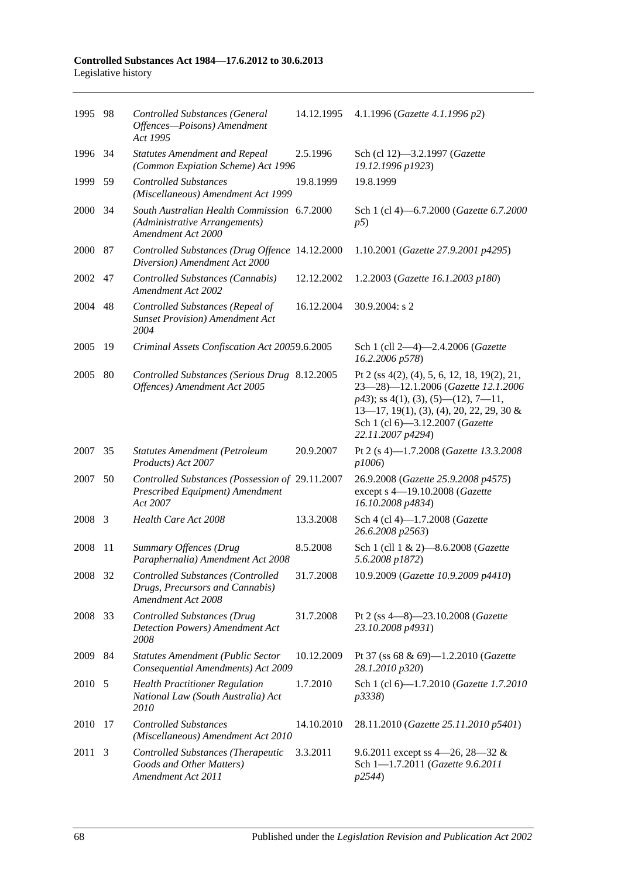#### **Controlled Substances Act 1984—17.6.2012 to 30.6.2013** Legislative history

| 1995 98 |     | <b>Controlled Substances (General</b><br>Offences-Poisons) Amendment<br>Act 1995                   | 14.12.1995 | 4.1.1996 (Gazette 4.1.1996 p2)                                                                                                                                                                                                         |
|---------|-----|----------------------------------------------------------------------------------------------------|------------|----------------------------------------------------------------------------------------------------------------------------------------------------------------------------------------------------------------------------------------|
| 1996 34 |     | <b>Statutes Amendment and Repeal</b><br>(Common Expiation Scheme) Act 1996                         | 2.5.1996   | Sch (cl 12)-3.2.1997 (Gazette<br>19.12.1996 p1923)                                                                                                                                                                                     |
| 1999    | 59  | <b>Controlled Substances</b><br>(Miscellaneous) Amendment Act 1999                                 | 19.8.1999  | 19.8.1999                                                                                                                                                                                                                              |
| 2000    | -34 | South Australian Health Commission 6.7.2000<br>(Administrative Arrangements)<br>Amendment Act 2000 |            | Sch 1 (cl 4)-6.7.2000 (Gazette 6.7.2000<br>p5)                                                                                                                                                                                         |
| 2000 87 |     | Controlled Substances (Drug Offence 14.12.2000<br>Diversion) Amendment Act 2000                    |            | 1.10.2001 (Gazette 27.9.2001 p4295)                                                                                                                                                                                                    |
| 2002 47 |     | Controlled Substances (Cannabis)<br><b>Amendment Act 2002</b>                                      | 12.12.2002 | 1.2.2003 (Gazette 16.1.2003 p180)                                                                                                                                                                                                      |
| 2004    | 48  | Controlled Substances (Repeal of<br><b>Sunset Provision</b> ) Amendment Act<br>2004                | 16.12.2004 | 30.9.2004: s 2                                                                                                                                                                                                                         |
| 2005    | 19  | Criminal Assets Confiscation Act 20059.6.2005                                                      |            | Sch 1 (cll 2-4)-2.4.2006 (Gazette<br>16.2.2006 p578)                                                                                                                                                                                   |
| 2005    | 80  | Controlled Substances (Serious Drug 8.12.2005<br>Offences) Amendment Act 2005                      |            | Pt 2 (ss $4(2)$ , (4), 5, 6, 12, 18, 19(2), 21,<br>23-28)-12.1.2006 (Gazette 12.1.2006<br>$p43$ ; ss 4(1), (3), (5)—(12), 7—11,<br>$13-17$ , 19(1), (3), (4), 20, 22, 29, 30 &<br>Sch 1 (cl 6)-3.12.2007 (Gazette<br>22.11.2007 p4294) |
| 2007 35 |     | <b>Statutes Amendment (Petroleum</b><br>Products) Act 2007                                         | 20.9.2007  | Pt 2 (s 4)-1.7.2008 (Gazette 13.3.2008<br>p1006)                                                                                                                                                                                       |
| 2007    | 50  | Controlled Substances (Possession of 29.11.2007<br>Prescribed Equipment) Amendment<br>Act 2007     |            | 26.9.2008 (Gazette 25.9.2008 p4575)<br>except s 4-19.10.2008 (Gazette<br>16.10.2008 p4834)                                                                                                                                             |
| 2008    | 3   | Health Care Act 2008                                                                               | 13.3.2008  | Sch 4 (cl 4)-1.7.2008 (Gazette<br>26.6.2008 p2563)                                                                                                                                                                                     |
| 2008    | 11  | Summary Offences (Drug<br>Paraphernalia) Amendment Act 2008                                        | 8.5.2008   | Sch 1 (cll 1 & 2)-8.6.2008 (Gazette<br>5.6.2008 p1872)                                                                                                                                                                                 |
| 2008 32 |     | Controlled Substances (Controlled<br>Drugs, Precursors and Cannabis)<br>Amendment Act 2008         | 31.7.2008  | 10.9.2009 (Gazette 10.9.2009 p4410)                                                                                                                                                                                                    |
| 2008    | 33  | <b>Controlled Substances (Drug</b><br>Detection Powers) Amendment Act<br>2008                      | 31.7.2008  | Pt 2 (ss $4-8$ )-23.10.2008 ( <i>Gazette</i><br>23.10.2008 p4931)                                                                                                                                                                      |
| 2009 84 |     | <b>Statutes Amendment (Public Sector</b><br>Consequential Amendments) Act 2009                     | 10.12.2009 | Pt 37 (ss 68 & 69)-1.2.2010 (Gazette<br>28.1.2010 p320)                                                                                                                                                                                |
| 2010 5  |     | <b>Health Practitioner Regulation</b><br>National Law (South Australia) Act<br>2010                | 1.7.2010   | Sch 1 (cl 6)-1.7.2010 (Gazette 1.7.2010<br>p3338)                                                                                                                                                                                      |
| 2010    | 17  | <b>Controlled Substances</b><br>(Miscellaneous) Amendment Act 2010                                 | 14.10.2010 | 28.11.2010 (Gazette 25.11.2010 p5401)                                                                                                                                                                                                  |
| 2011    | 3   | Controlled Substances (Therapeutic<br>Goods and Other Matters)<br>Amendment Act 2011               | 3.3.2011   | 9.6.2011 except ss 4–26, 28–32 &<br>Sch 1-1.7.2011 (Gazette 9.6.2011<br>p2544)                                                                                                                                                         |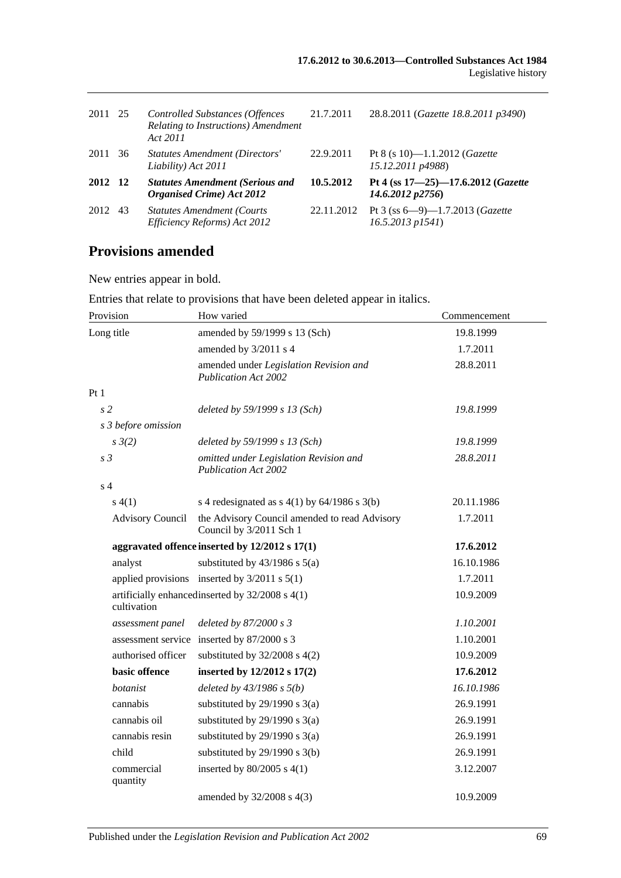| 2011 25 |    | <b>Controlled Substances (Offences</b><br>Relating to Instructions) Amendment<br>Act 2011 | 21.7.2011  | 28.8.2011 (Gazette 18.8.2011 p3490)                                 |
|---------|----|-------------------------------------------------------------------------------------------|------------|---------------------------------------------------------------------|
| 2011    | 36 | Statutes Amendment (Directors'<br>Liability) Act 2011                                     | 22.9.2011  | Pt 8 (s 10)-1.1.2012 ( <i>Gazette</i><br>15.12.2011 p4988)          |
| 2012 12 |    | <b>Statutes Amendment (Serious and</b><br><b>Organised Crime</b> ) Act 2012               | 10.5.2012  | Pt 4 (ss 17-25)-17.6.2012 (Gazette<br>14.6.2012 p2756               |
| 2012    | 43 | <b>Statutes Amendment (Courts)</b><br>Efficiency Reforms) Act 2012                        | 22.11.2012 | Pt 3 (ss $6-9$ )-1.7.2013 ( <i>Gazette</i><br>$16.5.2013$ $p1541$ ) |

## **Provisions amended**

New entries appear in bold.

Entries that relate to provisions that have been deleted appear in italics.

| Provision               | How varied                                                               | Commencement |
|-------------------------|--------------------------------------------------------------------------|--------------|
| Long title              | amended by 59/1999 s 13 (Sch)                                            | 19.8.1999    |
|                         | amended by 3/2011 s 4                                                    | 1.7.2011     |
|                         | amended under Legislation Revision and<br>Publication Act 2002           | 28.8.2011    |
| Pt1                     |                                                                          |              |
| s <sub>2</sub>          | deleted by 59/1999 s 13 (Sch)                                            | 19.8.1999    |
| s 3 before omission     |                                                                          |              |
| $s \frac{3}{2}$         | deleted by 59/1999 s 13 (Sch)                                            | 19.8.1999    |
| s <sub>3</sub>          | omitted under Legislation Revision and<br><b>Publication Act 2002</b>    | 28.8.2011    |
| s <sub>4</sub>          |                                                                          |              |
| s(4(1))                 | s 4 redesignated as $s$ 4(1) by 64/1986 s 3(b)                           | 20.11.1986   |
| <b>Advisory Council</b> | the Advisory Council amended to read Advisory<br>Council by 3/2011 Sch 1 | 1.7.2011     |
|                         | aggravated offence inserted by 12/2012 s 17(1)                           |              |
| analyst                 | substituted by $43/1986$ s $5(a)$                                        | 16.10.1986   |
|                         | applied provisions inserted by $3/2011$ s $5(1)$                         | 1.7.2011     |
| cultivation             | artificially enhanced inserted by 32/2008 s 4(1)                         | 10.9.2009    |
| assessment panel        | deleted by $87/2000 s3$                                                  | 1.10.2001    |
|                         | assessment service inserted by 87/2000 s 3                               | 1.10.2001    |
| authorised officer      | substituted by $32/2008$ s $4(2)$                                        | 10.9.2009    |
| basic offence           | inserted by 12/2012 s 17(2)                                              | 17.6.2012    |
| botanist                | deleted by $43/1986 s 5(b)$                                              | 16.10.1986   |
| cannabis                | substituted by $29/1990$ s $3(a)$                                        | 26.9.1991    |
| cannabis oil            | substituted by $29/1990$ s $3(a)$                                        | 26.9.1991    |
| cannabis resin          | substituted by $29/1990$ s $3(a)$                                        | 26.9.1991    |
| child                   | substituted by $29/1990$ s $3(b)$                                        | 26.9.1991    |
| commercial<br>quantity  | inserted by $80/2005$ s $4(1)$                                           | 3.12.2007    |
|                         | amended by 32/2008 s 4(3)                                                | 10.9.2009    |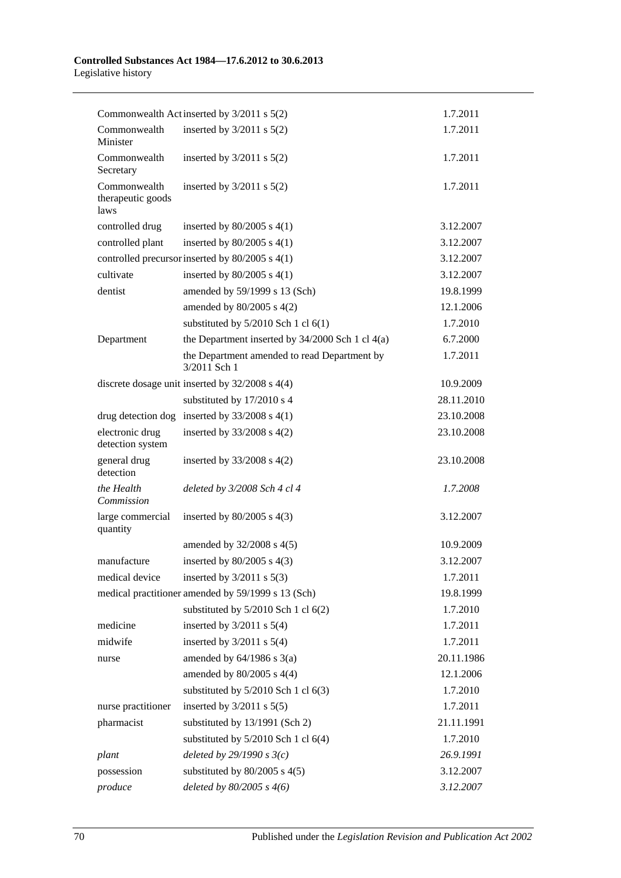#### **Controlled Substances Act 1984—17.6.2012 to 30.6.2013** Legislative history

|                                           | Commonwealth Actinserted by 3/2011 s 5(2)                    | 1.7.2011   |
|-------------------------------------------|--------------------------------------------------------------|------------|
| Commonwealth<br>Minister                  | inserted by $3/2011$ s $5(2)$                                | 1.7.2011   |
| Commonwealth<br>Secretary                 | inserted by $3/2011$ s $5(2)$                                | 1.7.2011   |
| Commonwealth<br>therapeutic goods<br>laws | inserted by $3/2011$ s $5(2)$                                | 1.7.2011   |
| controlled drug                           | inserted by $80/2005$ s $4(1)$                               | 3.12.2007  |
| controlled plant                          | inserted by $80/2005$ s $4(1)$                               | 3.12.2007  |
|                                           | controlled precursor inserted by 80/2005 s 4(1)              | 3.12.2007  |
| cultivate                                 | inserted by $80/2005$ s $4(1)$                               | 3.12.2007  |
| dentist                                   | amended by 59/1999 s 13 (Sch)                                | 19.8.1999  |
|                                           | amended by $80/2005$ s $4(2)$                                | 12.1.2006  |
|                                           | substituted by $5/2010$ Sch 1 cl $6(1)$                      | 1.7.2010   |
| Department                                | the Department inserted by $34/2000$ Sch 1 cl $4(a)$         | 6.7.2000   |
|                                           | the Department amended to read Department by<br>3/2011 Sch 1 | 1.7.2011   |
|                                           | discrete dosage unit inserted by $32/2008$ s $4(4)$          | 10.9.2009  |
|                                           | substituted by 17/2010 s 4                                   | 28.11.2010 |
|                                           | drug detection dog inserted by $33/2008$ s 4(1)              | 23.10.2008 |
| electronic drug<br>detection system       | inserted by $33/2008$ s $4(2)$                               | 23.10.2008 |
| general drug<br>detection                 | inserted by $33/2008$ s $4(2)$                               | 23.10.2008 |
| the Health<br>Commission                  | deleted by 3/2008 Sch 4 cl 4                                 | 1.7.2008   |
| large commercial<br>quantity              | inserted by $80/2005$ s $4(3)$                               | 3.12.2007  |
|                                           | amended by 32/2008 s 4(5)                                    | 10.9.2009  |
| manufacture                               | inserted by $80/2005$ s $4(3)$                               | 3.12.2007  |
| medical device                            | inserted by $3/2011$ s $5(3)$                                | 1.7.2011   |
|                                           | medical practitioner amended by 59/1999 s 13 (Sch)           | 19.8.1999  |
|                                           | substituted by $5/2010$ Sch 1 cl $6(2)$                      | 1.7.2010   |
| medicine                                  | inserted by $3/2011$ s $5(4)$                                | 1.7.2011   |
| midwife                                   | inserted by $3/2011$ s $5(4)$                                | 1.7.2011   |
| nurse                                     | amended by $64/1986$ s $3(a)$                                | 20.11.1986 |
|                                           | amended by $80/2005$ s $4(4)$                                | 12.1.2006  |
|                                           | substituted by $5/2010$ Sch 1 cl $6(3)$                      | 1.7.2010   |
| nurse practitioner                        | inserted by $3/2011$ s $5(5)$                                | 1.7.2011   |
| pharmacist                                | substituted by 13/1991 (Sch 2)                               | 21.11.1991 |
|                                           | substituted by $5/2010$ Sch 1 cl $6(4)$                      | 1.7.2010   |
| plant                                     | deleted by $29/1990 s3(c)$                                   | 26.9.1991  |
| possession                                | substituted by $80/2005$ s $4(5)$                            | 3.12.2007  |
| produce                                   | deleted by $80/2005$ s $4(6)$                                | 3.12.2007  |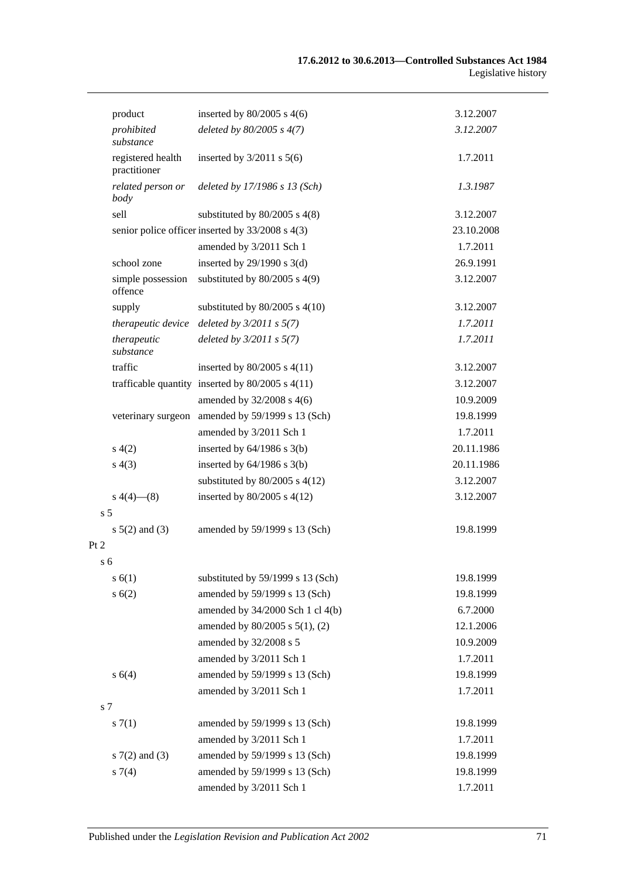|                | product                           | inserted by $80/2005$ s 4(6)                         | 3.12.2007  |
|----------------|-----------------------------------|------------------------------------------------------|------------|
|                | prohibited<br>substance           | deleted by $80/2005$ s $4(7)$                        | 3.12.2007  |
|                | registered health<br>practitioner | inserted by $3/2011$ s $5(6)$                        | 1.7.2011   |
|                | related person or<br>body         | deleted by 17/1986 s 13 (Sch)                        | 1.3.1987   |
|                | sell                              | substituted by $80/2005$ s $4(8)$                    | 3.12.2007  |
|                |                                   | senior police officer inserted by 33/2008 s 4(3)     | 23.10.2008 |
|                |                                   | amended by 3/2011 Sch 1                              | 1.7.2011   |
|                | school zone                       | inserted by $29/1990$ s $3(d)$                       | 26.9.1991  |
|                | simple possession<br>offence      | substituted by $80/2005$ s 4(9)                      | 3.12.2007  |
|                | supply                            | substituted by $80/2005$ s $4(10)$                   | 3.12.2007  |
|                | therapeutic device                | deleted by $3/2011$ s $5(7)$                         | 1.7.2011   |
|                | therapeutic<br>substance          | deleted by $3/2011 s 5(7)$                           | 1.7.2011   |
|                | traffic                           | inserted by $80/2005$ s $4(11)$                      | 3.12.2007  |
|                |                                   | trafficable quantity inserted by $80/2005$ s $4(11)$ | 3.12.2007  |
|                |                                   | amended by 32/2008 s 4(6)                            | 10.9.2009  |
|                | veterinary surgeon                | amended by 59/1999 s 13 (Sch)                        | 19.8.1999  |
|                |                                   | amended by 3/2011 Sch 1                              | 1.7.2011   |
|                | s(4(2)                            | inserted by $64/1986$ s $3(b)$                       | 20.11.1986 |
|                | s(4(3))                           | inserted by $64/1986$ s $3(b)$                       | 20.11.1986 |
|                |                                   | substituted by $80/2005$ s $4(12)$                   | 3.12.2007  |
|                | $s\ 4(4)$ (8)                     | inserted by $80/2005$ s $4(12)$                      | 3.12.2007  |
| s <sub>5</sub> |                                   |                                                      |            |
|                | $s 5(2)$ and (3)                  | amended by 59/1999 s 13 (Sch)                        | 19.8.1999  |
| Pt 2           |                                   |                                                      |            |
| s <sub>6</sub> |                                   |                                                      |            |
|                | s(6(1))                           | substituted by 59/1999 s 13 (Sch)                    | 19.8.1999  |
|                | s(6(2)                            | amended by 59/1999 s 13 (Sch)                        | 19.8.1999  |
|                |                                   | amended by 34/2000 Sch 1 cl 4(b)                     | 6.7.2000   |
|                |                                   | amended by 80/2005 s 5(1), (2)                       | 12.1.2006  |
|                |                                   | amended by 32/2008 s 5                               | 10.9.2009  |
|                |                                   | amended by 3/2011 Sch 1                              | 1.7.2011   |
|                | s 6(4)                            | amended by 59/1999 s 13 (Sch)                        | 19.8.1999  |
|                |                                   | amended by 3/2011 Sch 1                              | 1.7.2011   |
| s 7            |                                   |                                                      |            |
|                | s(7(1))                           | amended by 59/1999 s 13 (Sch)                        | 19.8.1999  |
|                |                                   | amended by 3/2011 Sch 1                              | 1.7.2011   |
|                | $s \, 7(2)$ and (3)               | amended by 59/1999 s 13 (Sch)                        | 19.8.1999  |
|                | $s \, 7(4)$                       | amended by 59/1999 s 13 (Sch)                        | 19.8.1999  |
|                |                                   | amended by 3/2011 Sch 1                              | 1.7.2011   |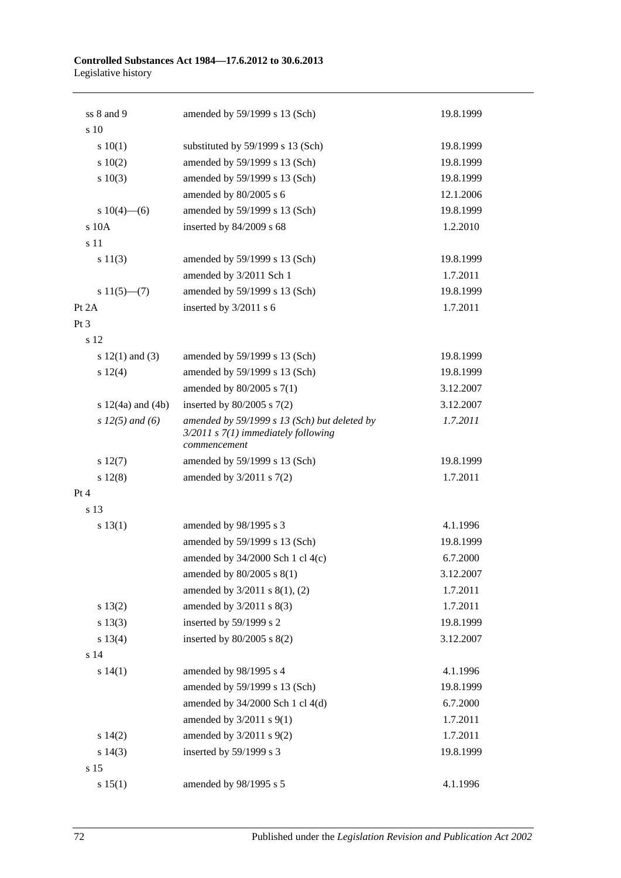#### **Controlled Substances Act 1984—17.6.2012 to 30.6.2013** Legislative history

| ss 8 and 9            | amended by 59/1999 s 13 (Sch)                                                                           | 19.8.1999 |
|-----------------------|---------------------------------------------------------------------------------------------------------|-----------|
| s 10                  |                                                                                                         |           |
| 10(1)                 | substituted by 59/1999 s 13 (Sch)                                                                       | 19.8.1999 |
| 10(2)                 | amended by 59/1999 s 13 (Sch)                                                                           | 19.8.1999 |
| 10(3)                 | amended by 59/1999 s 13 (Sch)                                                                           | 19.8.1999 |
|                       | amended by 80/2005 s 6                                                                                  | 12.1.2006 |
| s $10(4)$ —(6)        | amended by 59/1999 s 13 (Sch)                                                                           | 19.8.1999 |
| s 10A                 | inserted by 84/2009 s 68                                                                                | 1.2.2010  |
| s 11                  |                                                                                                         |           |
| s 11(3)               | amended by 59/1999 s 13 (Sch)                                                                           | 19.8.1999 |
|                       | amended by 3/2011 Sch 1                                                                                 | 1.7.2011  |
| $s 11(5)$ —(7)        | amended by 59/1999 s 13 (Sch)                                                                           | 19.8.1999 |
| Pt 2A                 | inserted by 3/2011 s 6                                                                                  | 1.7.2011  |
| Pt 3                  |                                                                                                         |           |
| s 12                  |                                                                                                         |           |
| s $12(1)$ and $(3)$   | amended by 59/1999 s 13 (Sch)                                                                           | 19.8.1999 |
| s 12(4)               | amended by 59/1999 s 13 (Sch)                                                                           | 19.8.1999 |
|                       | amended by $80/2005$ s $7(1)$                                                                           | 3.12.2007 |
| s $12(4a)$ and $(4b)$ | inserted by $80/2005$ s $7(2)$                                                                          | 3.12.2007 |
| s $12(5)$ and (6)     | amended by 59/1999 s 13 (Sch) but deleted by<br>$3/2011$ s $7(1)$ immediately following<br>commencement | 1.7.2011  |
| s 12(7)               | amended by 59/1999 s 13 (Sch)                                                                           | 19.8.1999 |
| s 12(8)               | amended by $3/2011$ s $7(2)$                                                                            | 1.7.2011  |
| Pt 4                  |                                                                                                         |           |
| s 13                  |                                                                                                         |           |
| s 13(1)               | amended by 98/1995 s 3                                                                                  | 4.1.1996  |
|                       | amended by 59/1999 s 13 (Sch)                                                                           | 19.8.1999 |
|                       | amended by 34/2000 Sch 1 cl 4(c)                                                                        | 6.7.2000  |
|                       | amended by 80/2005 s 8(1)                                                                               | 3.12.2007 |
|                       | amended by 3/2011 s 8(1), (2)                                                                           | 1.7.2011  |
| s 13(2)               | amended by $3/2011$ s $8(3)$                                                                            | 1.7.2011  |
| s 13(3)               | inserted by 59/1999 s 2                                                                                 | 19.8.1999 |
| s 13(4)               | inserted by $80/2005$ s $8(2)$                                                                          | 3.12.2007 |
| s 14                  |                                                                                                         |           |
| s 14(1)               | amended by 98/1995 s 4                                                                                  | 4.1.1996  |
|                       | amended by 59/1999 s 13 (Sch)                                                                           | 19.8.1999 |
|                       | amended by 34/2000 Sch 1 cl 4(d)                                                                        | 6.7.2000  |
|                       | amended by $3/2011$ s $9(1)$                                                                            | 1.7.2011  |
| s 14(2)               | amended by 3/2011 s 9(2)                                                                                | 1.7.2011  |
| s 14(3)               | inserted by 59/1999 s 3                                                                                 | 19.8.1999 |
| s 15                  |                                                                                                         |           |
| s 15(1)               | amended by 98/1995 s 5                                                                                  | 4.1.1996  |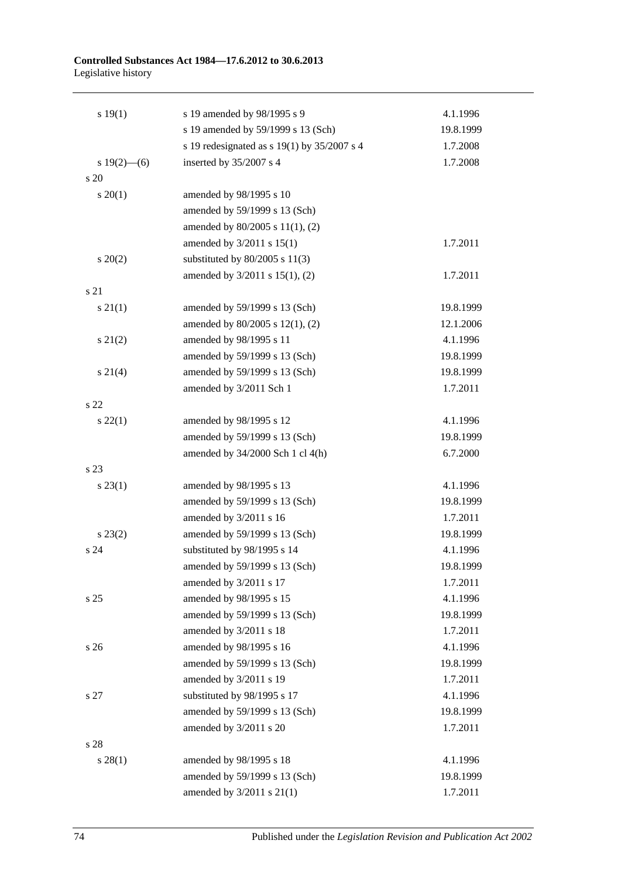#### **Controlled Substances Act 1984—17.6.2012 to 30.6.2013** Legislative history

| 19(1)             | s 19 amended by 98/1995 s 9                 | 4.1.1996  |
|-------------------|---------------------------------------------|-----------|
|                   | s 19 amended by 59/1999 s 13 (Sch)          | 19.8.1999 |
|                   | s 19 redesignated as s 19(1) by 35/2007 s 4 | 1.7.2008  |
| $s 19(2)$ (6)     | inserted by 35/2007 s 4                     | 1.7.2008  |
| s 20              |                                             |           |
| $s \ 20(1)$       | amended by 98/1995 s 10                     |           |
|                   | amended by 59/1999 s 13 (Sch)               |           |
|                   | amended by 80/2005 s 11(1), (2)             |           |
|                   | amended by 3/2011 s 15(1)                   | 1.7.2011  |
| $\frac{20(2)}{2}$ | substituted by $80/2005$ s $11(3)$          |           |
|                   | amended by 3/2011 s 15(1), (2)              | 1.7.2011  |
| s 21              |                                             |           |
| $s\ 21(1)$        | amended by 59/1999 s 13 (Sch)               | 19.8.1999 |
|                   | amended by 80/2005 s 12(1), (2)             | 12.1.2006 |
| $s\ 21(2)$        | amended by 98/1995 s 11                     | 4.1.1996  |
|                   | amended by 59/1999 s 13 (Sch)               | 19.8.1999 |
| $s \, 21(4)$      | amended by 59/1999 s 13 (Sch)               | 19.8.1999 |
|                   | amended by 3/2011 Sch 1                     | 1.7.2011  |
| s 22              |                                             |           |
| $s\,22(1)$        | amended by 98/1995 s 12                     | 4.1.1996  |
|                   | amended by 59/1999 s 13 (Sch)               | 19.8.1999 |
|                   | amended by 34/2000 Sch 1 cl 4(h)            | 6.7.2000  |
| s 23              |                                             |           |
| $s\,23(1)$        | amended by 98/1995 s 13                     | 4.1.1996  |
|                   | amended by 59/1999 s 13 (Sch)               | 19.8.1999 |
|                   | amended by 3/2011 s 16                      | 1.7.2011  |
| $s\,23(2)$        | amended by 59/1999 s 13 (Sch)               | 19.8.1999 |
| s 24              | substituted by 98/1995 s 14                 | 4.1.1996  |
|                   | amended by 59/1999 s 13 (Sch)               | 19.8.1999 |
|                   | amended by 3/2011 s 17                      | 1.7.2011  |
| s <sub>25</sub>   | amended by 98/1995 s 15                     | 4.1.1996  |
|                   | amended by 59/1999 s 13 (Sch)               | 19.8.1999 |
|                   | amended by 3/2011 s 18                      | 1.7.2011  |
| s <sub>26</sub>   | amended by 98/1995 s 16                     | 4.1.1996  |
|                   | amended by 59/1999 s 13 (Sch)               | 19.8.1999 |
|                   | amended by 3/2011 s 19                      | 1.7.2011  |
| s 27              | substituted by 98/1995 s 17                 | 4.1.1996  |
|                   | amended by 59/1999 s 13 (Sch)               | 19.8.1999 |
|                   | amended by 3/2011 s 20                      | 1.7.2011  |
| s 28              |                                             |           |
| $s\,28(1)$        | amended by 98/1995 s 18                     | 4.1.1996  |
|                   | amended by 59/1999 s 13 (Sch)               | 19.8.1999 |
|                   | amended by 3/2011 s 21(1)                   | 1.7.2011  |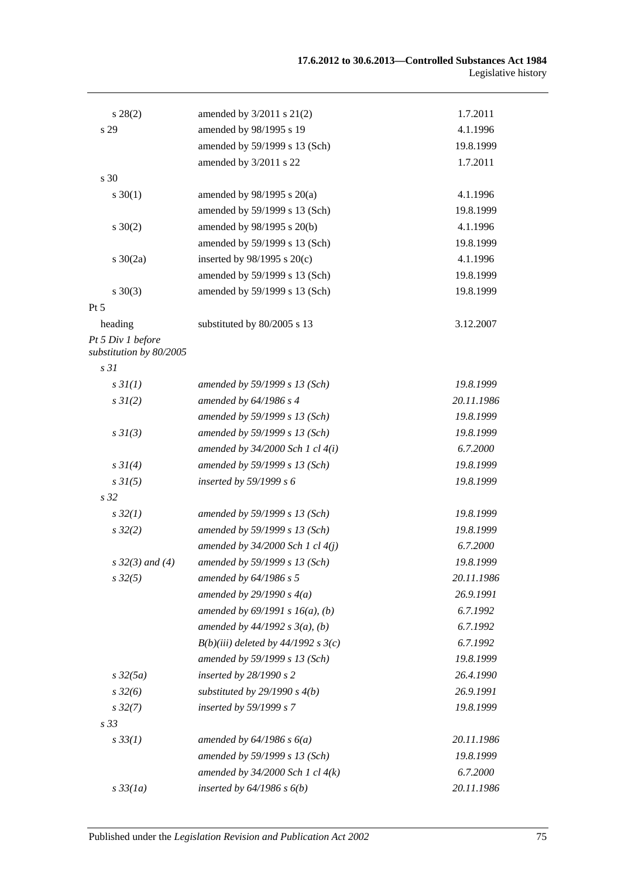| $s\,28(2)$                                   | amended by $3/2011$ s $21(2)$         | 1.7.2011   |
|----------------------------------------------|---------------------------------------|------------|
| s 29                                         | amended by 98/1995 s 19               | 4.1.1996   |
|                                              | amended by 59/1999 s 13 (Sch)         | 19.8.1999  |
|                                              | amended by 3/2011 s 22                | 1.7.2011   |
| s 30                                         |                                       |            |
| $s \ 30(1)$                                  | amended by $98/1995$ s $20(a)$        | 4.1.1996   |
|                                              | amended by 59/1999 s 13 (Sch)         | 19.8.1999  |
| $s \ 30(2)$                                  | amended by 98/1995 s 20(b)            | 4.1.1996   |
|                                              | amended by 59/1999 s 13 (Sch)         | 19.8.1999  |
| $s \ 30(2a)$                                 | inserted by $98/1995$ s $20(c)$       | 4.1.1996   |
|                                              | amended by 59/1999 s 13 (Sch)         | 19.8.1999  |
| $s \ 30(3)$                                  | amended by 59/1999 s 13 (Sch)         | 19.8.1999  |
| $Pt\,5$                                      |                                       |            |
| heading                                      | substituted by 80/2005 s 13           | 3.12.2007  |
| Pt 5 Div 1 before<br>substitution by 80/2005 |                                       |            |
| s <sub>31</sub>                              |                                       |            |
| s3I(1)                                       | amended by 59/1999 s 13 (Sch)         | 19.8.1999  |
| $s \, 3I(2)$                                 | amended by $64/1986 s 4$              | 20.11.1986 |
|                                              | amended by 59/1999 s 13 (Sch)         | 19.8.1999  |
| $s \frac{3I(3)}{3}$                          | amended by 59/1999 s 13 (Sch)         | 19.8.1999  |
|                                              | amended by $34/2000$ Sch 1 cl $4(i)$  | 6.7.2000   |
| $s \, 3I(4)$                                 | amended by 59/1999 s 13 (Sch)         | 19.8.1999  |
| $s \, 3I(5)$                                 | inserted by $59/1999 s 6$             | 19.8.1999  |
| s <sub>32</sub>                              |                                       |            |
| $s\,32(1)$                                   | amended by 59/1999 s 13 (Sch)         | 19.8.1999  |
| $s\,32(2)$                                   | amended by 59/1999 s 13 (Sch)         | 19.8.1999  |
|                                              | amended by $34/2000$ Sch 1 cl $4(j)$  | 6.7.2000   |
| $s \, 32(3)$ and (4)                         | amended by 59/1999 s 13 (Sch)         | 19.8.1999  |
| $s\,32(5)$                                   | amended by 64/1986 s 5                | 20.11.1986 |
|                                              | amended by $29/1990 s 4(a)$           | 26.9.1991  |
|                                              | amended by $69/1991 s 16(a)$ , (b)    | 6.7.1992   |
|                                              | amended by $44/1992 s 3(a), (b)$      | 6.7.1992   |
|                                              | $B(b)(iii)$ deleted by 44/1992 s 3(c) | 6.7.1992   |
|                                              | amended by 59/1999 s 13 (Sch)         | 19.8.1999  |
| $s\,32(5a)$                                  | inserted by $28/1990 s 2$             | 26.4.1990  |
| $s\,32(6)$                                   | substituted by $29/1990 s 4(b)$       | 26.9.1991  |
| $s\,32(7)$                                   | inserted by 59/1999 s 7               | 19.8.1999  |
| s <sub>33</sub>                              |                                       |            |
| $s \, 33(1)$                                 | amended by $64/1986 s 6(a)$           | 20.11.1986 |
|                                              | amended by 59/1999 s 13 (Sch)         | 19.8.1999  |
|                                              | amended by $34/2000$ Sch 1 cl $4(k)$  | 6.7.2000   |
| $s\,33(1a)$                                  | inserted by $64/1986$ s $6(b)$        | 20.11.1986 |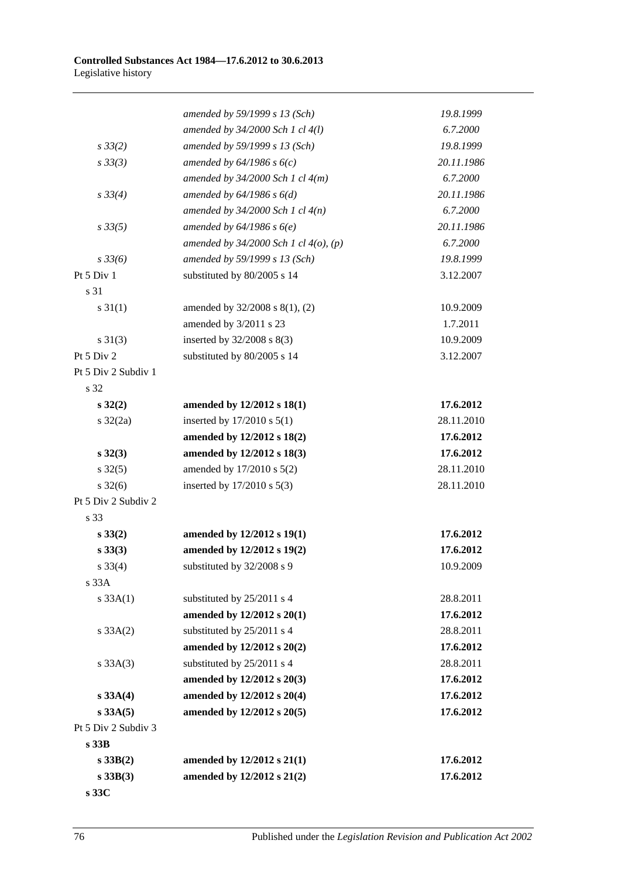|                     | amended by 59/1999 s 13 (Sch)              | 19.8.1999  |
|---------------------|--------------------------------------------|------------|
|                     | amended by 34/2000 Sch 1 cl 4(l)           | 6.7.2000   |
| $s \, 33(2)$        | amended by 59/1999 s 13 (Sch)              | 19.8.1999  |
| $s \, 33(3)$        | amended by $64/1986 s 6(c)$                | 20.11.1986 |
|                     | amended by $34/2000$ Sch 1 cl $4(m)$       | 6.7.2000   |
| $s \, 33(4)$        | amended by $64/1986 s 6(d)$                | 20.11.1986 |
|                     | amended by $34/2000$ Sch 1 cl $4(n)$       | 6.7.2000   |
| $s \, 33(5)$        | amended by $64/1986 s 6(e)$                | 20.11.1986 |
|                     | amended by $34/2000$ Sch 1 cl $4(o)$ , (p) | 6.7.2000   |
| $s \frac{33}{6}$    | amended by 59/1999 s 13 (Sch)              | 19.8.1999  |
| Pt 5 Div 1          | substituted by 80/2005 s 14                | 3.12.2007  |
| s 31                |                                            |            |
| $s \, 31(1)$        | amended by 32/2008 s 8(1), (2)             | 10.9.2009  |
|                     | amended by 3/2011 s 23                     | 1.7.2011   |
| $s \ 31(3)$         | inserted by $32/2008$ s $8(3)$             | 10.9.2009  |
| Pt 5 Div 2          | substituted by 80/2005 s 14                | 3.12.2007  |
| Pt 5 Div 2 Subdiv 1 |                                            |            |
| s 32                |                                            |            |
| $s\,32(2)$          | amended by 12/2012 s 18(1)                 | 17.6.2012  |
| $s \frac{32}{2a}$   | inserted by $17/2010$ s $5(1)$             | 28.11.2010 |
|                     | amended by 12/2012 s 18(2)                 | 17.6.2012  |
| $s\,32(3)$          | amended by 12/2012 s 18(3)                 | 17.6.2012  |
| $s \, 32(5)$        | amended by 17/2010 s 5(2)                  | 28.11.2010 |
| $s \, 32(6)$        | inserted by 17/2010 s 5(3)                 | 28.11.2010 |
| Pt 5 Div 2 Subdiv 2 |                                            |            |
| s 33                |                                            |            |
| $s\,33(2)$          | amended by 12/2012 s 19(1)                 | 17.6.2012  |
| $s\,33(3)$          | amended by 12/2012 s 19(2)                 | 17.6.2012  |
| $s \; 33(4)$        | substituted by 32/2008 s 9                 | 10.9.2009  |
| s 33A               |                                            |            |
| $s \, 33A(1)$       | substituted by 25/2011 s 4                 | 28.8.2011  |
|                     | amended by 12/2012 s 20(1)                 | 17.6.2012  |
| $s \, 33A(2)$       | substituted by 25/2011 s 4                 | 28.8.2011  |
|                     | amended by 12/2012 s 20(2)                 | 17.6.2012  |
| $s \, 33A(3)$       | substituted by 25/2011 s 4                 | 28.8.2011  |
|                     | amended by 12/2012 s 20(3)                 | 17.6.2012  |
| s 33A(4)            | amended by 12/2012 s 20(4)                 | 17.6.2012  |
| $s$ 33A $(5)$       | amended by 12/2012 s 20(5)                 | 17.6.2012  |
| Pt 5 Div 2 Subdiv 3 |                                            |            |
| s33B                |                                            |            |
| s 33B(2)            | amended by 12/2012 s 21(1)                 | 17.6.2012  |
| $s$ 33B(3)          | amended by 12/2012 s 21(2)                 | 17.6.2012  |
|                     |                                            |            |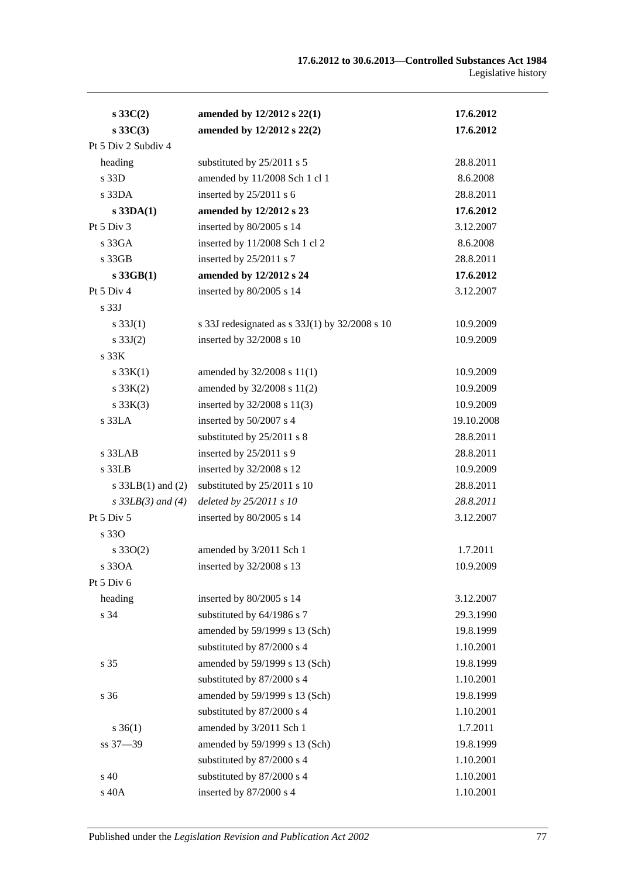| $s \, 33C(2)$          | amended by 12/2012 s 22(1)                     | 17.6.2012  |
|------------------------|------------------------------------------------|------------|
| $s\,33C(3)$            | amended by 12/2012 s 22(2)                     | 17.6.2012  |
| Pt 5 Div 2 Subdiv 4    |                                                |            |
| heading                | substituted by 25/2011 s 5                     | 28.8.2011  |
| s 33D                  | amended by 11/2008 Sch 1 cl 1                  | 8.6.2008   |
| $s$ 33DA               | inserted by 25/2011 s 6                        | 28.8.2011  |
| $s$ 33DA $(1)$         | amended by 12/2012 s 23                        | 17.6.2012  |
| Pt $5$ Div $3$         | inserted by 80/2005 s 14                       | 3.12.2007  |
| s 33GA                 | inserted by 11/2008 Sch 1 cl 2                 | 8.6.2008   |
| s 33GB                 | inserted by 25/2011 s 7                        | 28.8.2011  |
| $s$ 33GB $(1)$         | amended by 12/2012 s 24                        | 17.6.2012  |
| Pt 5 Div 4             | inserted by 80/2005 s 14                       | 3.12.2007  |
| s <sub>33J</sub>       |                                                |            |
| s $33J(1)$             | s 33J redesignated as s 33J(1) by 32/2008 s 10 | 10.9.2009  |
| s $33J(2)$             | inserted by 32/2008 s 10                       | 10.9.2009  |
| s 33K                  |                                                |            |
| s $33K(1)$             | amended by 32/2008 s 11(1)                     | 10.9.2009  |
| $s \, 33K(2)$          | amended by 32/2008 s 11(2)                     | 10.9.2009  |
| $s \, 33K(3)$          | inserted by 32/2008 s 11(3)                    | 10.9.2009  |
| s 33LA                 | inserted by 50/2007 s 4                        | 19.10.2008 |
|                        | substituted by 25/2011 s 8                     | 28.8.2011  |
| s 33LAB                | inserted by 25/2011 s 9                        | 28.8.2011  |
| s 33LB                 | inserted by 32/2008 s 12                       | 10.9.2009  |
| s $33LB(1)$ and $(2)$  | substituted by 25/2011 s 10                    | 28.8.2011  |
| $s \, 33LB(3)$ and (4) | deleted by 25/2011 s 10                        | 28.8.2011  |
| Pt $5$ Div $5$         | inserted by 80/2005 s 14                       | 3.12.2007  |
| s 330                  |                                                |            |
| $s \, 33O(2)$          | amended by 3/2011 Sch 1                        | 1.7.2011   |
| s 330A                 | inserted by 32/2008 s 13                       | 10.9.2009  |
| Pt 5 Div 6             |                                                |            |
| heading                | inserted by 80/2005 s 14                       | 3.12.2007  |
| s 34                   | substituted by 64/1986 s 7                     | 29.3.1990  |
|                        | amended by 59/1999 s 13 (Sch)                  | 19.8.1999  |
|                        | substituted by 87/2000 s 4                     | 1.10.2001  |
| s 35                   | amended by 59/1999 s 13 (Sch)                  | 19.8.1999  |
|                        | substituted by 87/2000 s 4                     | 1.10.2001  |
| s 36                   | amended by 59/1999 s 13 (Sch)                  | 19.8.1999  |
|                        | substituted by 87/2000 s 4                     | 1.10.2001  |
| $s \, 36(1)$           | amended by 3/2011 Sch 1                        | 1.7.2011   |
| ss 37-39               | amended by 59/1999 s 13 (Sch)                  | 19.8.1999  |
|                        | substituted by 87/2000 s 4                     | 1.10.2001  |
| s 40                   | substituted by 87/2000 s 4                     | 1.10.2001  |
| s 40A                  | inserted by 87/2000 s 4                        | 1.10.2001  |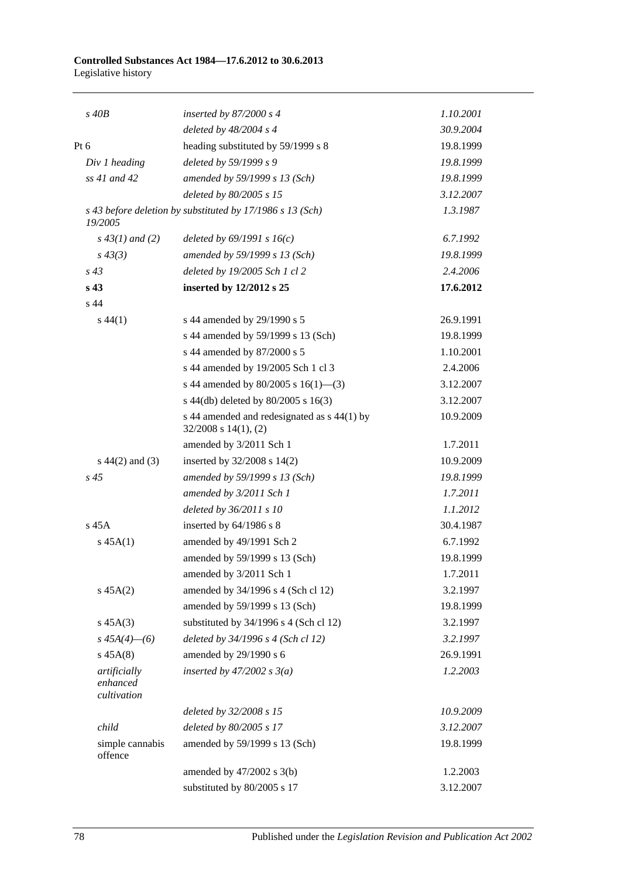#### **Controlled Substances Act 1984—17.6.2012 to 30.6.2013** Legislative history

| $s$ 40 $B$                              | inserted by $87/2000 s 4$                                                | 1.10.2001 |
|-----------------------------------------|--------------------------------------------------------------------------|-----------|
|                                         | deleted by $48/2004$ s 4                                                 | 30.9.2004 |
| $Pt\ 6$                                 | heading substituted by 59/1999 s 8                                       | 19.8.1999 |
| Div 1 heading                           | deleted by 59/1999 s 9                                                   | 19.8.1999 |
| ss 41 and 42                            | amended by 59/1999 s 13 (Sch)                                            | 19.8.1999 |
|                                         | deleted by 80/2005 s 15                                                  | 3.12.2007 |
| 19/2005                                 | s 43 before deletion by substituted by 17/1986 s 13 (Sch)                | 1.3.1987  |
| $s\,43(1)$ and (2)                      | deleted by $69/1991 s 16(c)$                                             | 6.7.1992  |
| $s\,43(3)$                              | amended by 59/1999 s 13 (Sch)                                            | 19.8.1999 |
| $s\,43$                                 | deleted by 19/2005 Sch 1 cl 2                                            | 2.4.2006  |
| s <sub>43</sub>                         | inserted by 12/2012 s 25                                                 | 17.6.2012 |
| s <sub>44</sub>                         |                                                                          |           |
| $s\,44(1)$                              | s 44 amended by 29/1990 s 5                                              | 26.9.1991 |
|                                         | s 44 amended by 59/1999 s 13 (Sch)                                       | 19.8.1999 |
|                                         | s 44 amended by 87/2000 s 5                                              | 1.10.2001 |
|                                         | s 44 amended by 19/2005 Sch 1 cl 3                                       | 2.4.2006  |
|                                         | s 44 amended by 80/2005 s 16(1)–(3)                                      | 3.12.2007 |
|                                         | s 44(db) deleted by 80/2005 s 16(3)                                      | 3.12.2007 |
|                                         | s 44 amended and redesignated as s 44(1) by<br>$32/2008$ s $14(1)$ , (2) | 10.9.2009 |
|                                         | amended by 3/2011 Sch 1                                                  | 1.7.2011  |
| $s\ 44(2)$ and (3)                      | inserted by $32/2008$ s $14(2)$                                          | 10.9.2009 |
| $s\,45$                                 | amended by 59/1999 s 13 (Sch)                                            | 19.8.1999 |
|                                         | amended by 3/2011 Sch 1                                                  | 1.7.2011  |
|                                         | deleted by 36/2011 s 10                                                  | 1.1.2012  |
| $s$ 45 $A$                              | inserted by $64/1986$ s 8                                                | 30.4.1987 |
| s 45A(1)                                | amended by 49/1991 Sch 2                                                 | 6.7.1992  |
|                                         | amended by 59/1999 s 13 (Sch)                                            | 19.8.1999 |
|                                         | amended by 3/2011 Sch 1                                                  | 1.7.2011  |
| $s\,45A(2)$                             | amended by 34/1996 s 4 (Sch cl 12)                                       | 3.2.1997  |
|                                         | amended by 59/1999 s 13 (Sch)                                            | 19.8.1999 |
| $s\,45A(3)$                             | substituted by 34/1996 s 4 (Sch cl 12)                                   | 3.2.1997  |
| $s\,45A(4)$ - (6)                       | deleted by 34/1996 s 4 (Sch cl 12)                                       | 3.2.1997  |
| $s\,45A(8)$                             | amended by 29/1990 s 6                                                   | 26.9.1991 |
| artificially<br>enhanced<br>cultivation | inserted by $47/2002$ s $3(a)$                                           | 1.2.2003  |
|                                         | deleted by 32/2008 s 15                                                  | 10.9.2009 |
| child                                   | deleted by 80/2005 s 17                                                  | 3.12.2007 |
| simple cannabis<br>offence              | amended by 59/1999 s 13 (Sch)                                            | 19.8.1999 |
|                                         | amended by 47/2002 s 3(b)                                                | 1.2.2003  |
|                                         | substituted by 80/2005 s 17                                              | 3.12.2007 |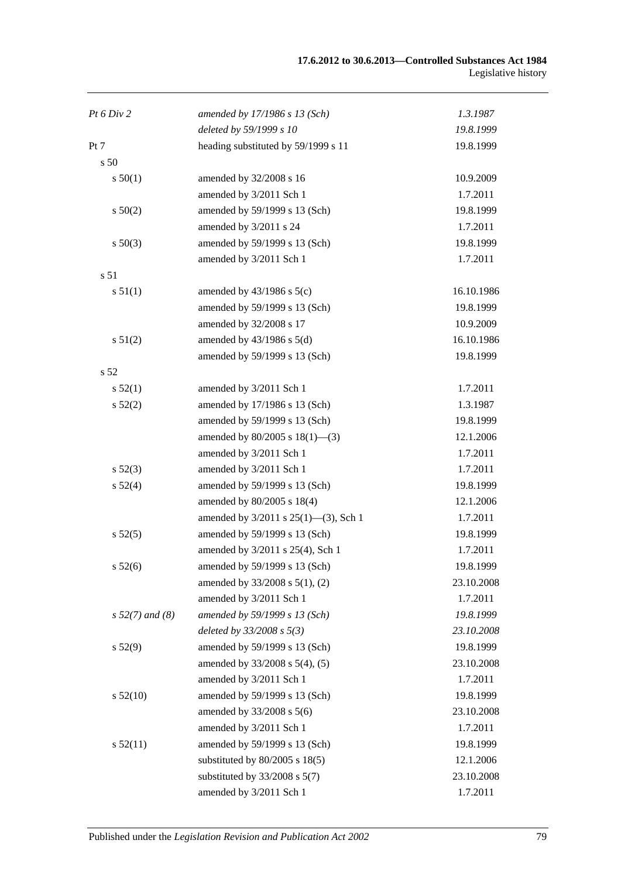| Pt 6 Div 2        | amended by 17/1986 s 13 (Sch)             | 1.3.1987   |
|-------------------|-------------------------------------------|------------|
|                   | deleted by 59/1999 s 10                   | 19.8.1999  |
| Pt 7              | heading substituted by 59/1999 s 11       | 19.8.1999  |
| s <sub>50</sub>   |                                           |            |
| s 50(1)           | amended by 32/2008 s 16                   | 10.9.2009  |
|                   | amended by 3/2011 Sch 1                   | 1.7.2011   |
| s 50(2)           | amended by 59/1999 s 13 (Sch)             | 19.8.1999  |
|                   | amended by 3/2011 s 24                    | 1.7.2011   |
| $s\ 50(3)$        | amended by 59/1999 s 13 (Sch)             | 19.8.1999  |
|                   | amended by 3/2011 Sch 1                   | 1.7.2011   |
| s 51              |                                           |            |
| s 51(1)           | amended by $43/1986$ s $5(c)$             | 16.10.1986 |
|                   | amended by 59/1999 s 13 (Sch)             | 19.8.1999  |
|                   | amended by 32/2008 s 17                   | 10.9.2009  |
| s 51(2)           | amended by $43/1986$ s $5(d)$             | 16.10.1986 |
|                   | amended by 59/1999 s 13 (Sch)             | 19.8.1999  |
| s <sub>52</sub>   |                                           |            |
| s 52(1)           | amended by 3/2011 Sch 1                   | 1.7.2011   |
| s 52(2)           | amended by 17/1986 s 13 (Sch)             | 1.3.1987   |
|                   | amended by 59/1999 s 13 (Sch)             | 19.8.1999  |
|                   | amended by $80/2005$ s $18(1)$ —(3)       | 12.1.2006  |
|                   | amended by 3/2011 Sch 1                   | 1.7.2011   |
| s 52(3)           | amended by 3/2011 Sch 1                   | 1.7.2011   |
| s 52(4)           | amended by 59/1999 s 13 (Sch)             | 19.8.1999  |
|                   | amended by 80/2005 s 18(4)                | 12.1.2006  |
|                   | amended by $3/2011$ s $25(1)$ —(3), Sch 1 | 1.7.2011   |
| s 52(5)           | amended by 59/1999 s 13 (Sch)             | 19.8.1999  |
|                   | amended by 3/2011 s 25(4), Sch 1          | 1.7.2011   |
| $s\,52(6)$        | amended by 59/1999 s 13 (Sch)             | 19.8.1999  |
|                   | amended by $33/2008$ s $5(1)$ , (2)       | 23.10.2008 |
|                   | amended by 3/2011 Sch 1                   | 1.7.2011   |
| $s 52(7)$ and (8) | amended by 59/1999 s 13 (Sch)             | 19.8.1999  |
|                   | deleted by $33/2008 s 5(3)$               | 23.10.2008 |
| s 52(9)           | amended by 59/1999 s 13 (Sch)             | 19.8.1999  |
|                   | amended by 33/2008 s 5(4), (5)            | 23.10.2008 |
|                   | amended by 3/2011 Sch 1                   | 1.7.2011   |
| s 52(10)          | amended by 59/1999 s 13 (Sch)             | 19.8.1999  |
|                   | amended by 33/2008 s 5(6)                 | 23.10.2008 |
|                   | amended by 3/2011 Sch 1                   | 1.7.2011   |
| s 52(11)          | amended by 59/1999 s 13 (Sch)             | 19.8.1999  |
|                   | substituted by $80/2005$ s $18(5)$        | 12.1.2006  |
|                   | substituted by $33/2008$ s $5(7)$         | 23.10.2008 |
|                   | amended by 3/2011 Sch 1                   | 1.7.2011   |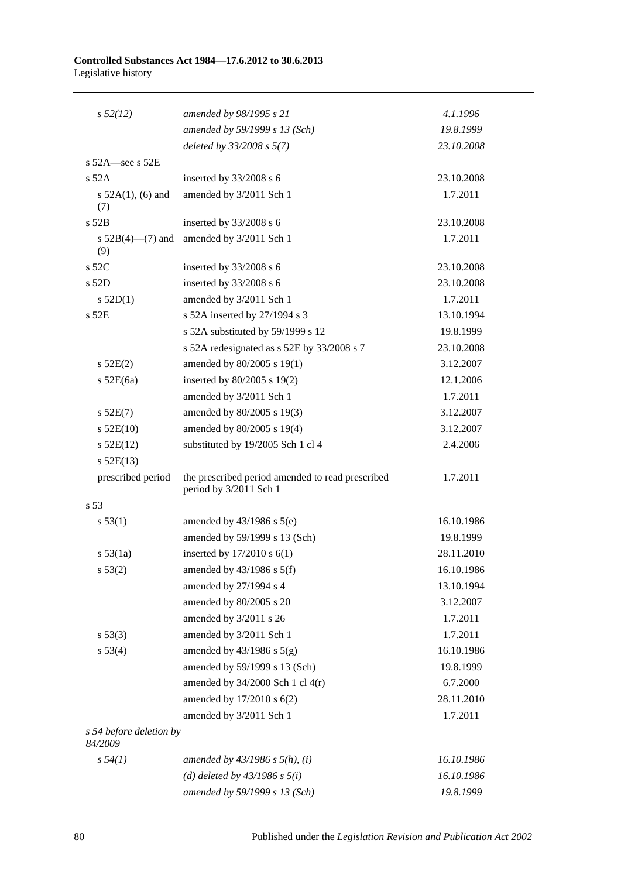#### **Controlled Substances Act 1984—17.6.2012 to 30.6.2013** Legislative history

| $s\,52(12)$                        | amended by 98/1995 s 21                                                    | 4.1.1996   |
|------------------------------------|----------------------------------------------------------------------------|------------|
|                                    | amended by 59/1999 s 13 (Sch)                                              | 19.8.1999  |
|                                    | deleted by $33/2008 s 5(7)$                                                | 23.10.2008 |
| s $52A$ -see s $52E$               |                                                                            |            |
| $s$ 52A                            | inserted by $33/2008$ s 6                                                  | 23.10.2008 |
| s $52A(1)$ , (6) and<br>(7)        | amended by 3/2011 Sch 1                                                    | 1.7.2011   |
| s 52B                              | inserted by 33/2008 s 6                                                    | 23.10.2008 |
| s $52B(4)$ —(7) and<br>(9)         | amended by 3/2011 Sch 1                                                    | 1.7.2011   |
| $s$ 52 $C$                         | inserted by $33/2008$ s 6                                                  | 23.10.2008 |
| $s$ 52D                            | inserted by 33/2008 s 6                                                    | 23.10.2008 |
| $s$ 52D(1)                         | amended by 3/2011 Sch 1                                                    | 1.7.2011   |
| s 52E                              | s 52A inserted by 27/1994 s 3                                              | 13.10.1994 |
|                                    | s 52A substituted by 59/1999 s 12                                          | 19.8.1999  |
|                                    | s 52A redesignated as s 52E by 33/2008 s 7                                 | 23.10.2008 |
| s 52E(2)                           | amended by 80/2005 s 19(1)                                                 | 3.12.2007  |
| $s$ 52E(6a)                        | inserted by $80/2005$ s 19(2)                                              | 12.1.2006  |
|                                    | amended by 3/2011 Sch 1                                                    | 1.7.2011   |
| $s$ 52E(7)                         | amended by 80/2005 s 19(3)                                                 | 3.12.2007  |
| $s$ 52E(10)                        | amended by 80/2005 s 19(4)                                                 | 3.12.2007  |
| $s$ 52E(12)                        | substituted by 19/2005 Sch 1 cl 4                                          | 2.4.2006   |
| $s$ 52E(13)                        |                                                                            |            |
| prescribed period                  | the prescribed period amended to read prescribed<br>period by 3/2011 Sch 1 | 1.7.2011   |
| s 53                               |                                                                            |            |
| s 53(1)                            | amended by $43/1986$ s $5(e)$                                              | 16.10.1986 |
|                                    | amended by 59/1999 s 13 (Sch)                                              | 19.8.1999  |
| s 53(1a)                           | inserted by $17/2010$ s $6(1)$                                             | 28.11.2010 |
| s 53(2)                            | amended by $43/1986$ s $5(f)$                                              | 16.10.1986 |
|                                    | amended by 27/1994 s 4                                                     | 13.10.1994 |
|                                    | amended by 80/2005 s 20                                                    | 3.12.2007  |
|                                    | amended by 3/2011 s 26                                                     | 1.7.2011   |
| s 53(3)                            | amended by 3/2011 Sch 1                                                    | 1.7.2011   |
| s 53(4)                            | amended by $43/1986$ s $5(g)$                                              | 16.10.1986 |
|                                    | amended by 59/1999 s 13 (Sch)                                              | 19.8.1999  |
|                                    | amended by $34/2000$ Sch 1 cl $4(r)$                                       | 6.7.2000   |
|                                    | amended by 17/2010 s 6(2)                                                  | 28.11.2010 |
|                                    | amended by 3/2011 Sch 1                                                    | 1.7.2011   |
| s 54 before deletion by<br>84/2009 |                                                                            |            |
| $s\,54(1)$                         | amended by $43/1986$ s $5(h)$ , (i)                                        | 16.10.1986 |
|                                    | (d) deleted by $43/1986 s 5(i)$                                            | 16.10.1986 |
|                                    | amended by 59/1999 s 13 (Sch)                                              | 19.8.1999  |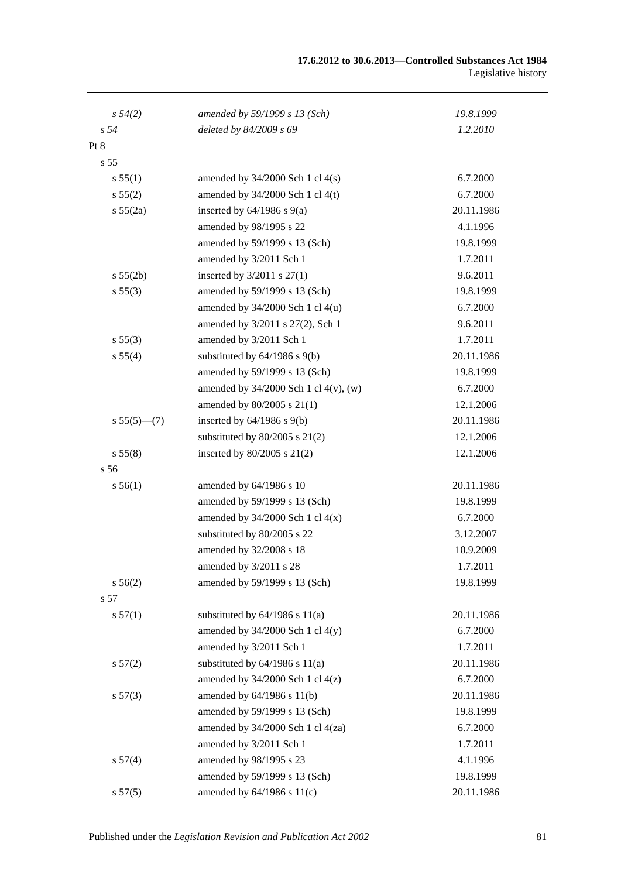| $s\,54(2)$      | amended by 59/1999 s 13 (Sch)              | 19.8.1999  |
|-----------------|--------------------------------------------|------------|
| s <sub>54</sub> | deleted by 84/2009 s 69                    | 1.2.2010   |
| Pt 8            |                                            |            |
| s <sub>55</sub> |                                            |            |
| s 55(1)         | amended by $34/2000$ Sch 1 cl $4(s)$       | 6.7.2000   |
| s 55(2)         | amended by $34/2000$ Sch 1 cl $4(t)$       | 6.7.2000   |
| s 55(2a)        | inserted by $64/1986$ s $9(a)$             | 20.11.1986 |
|                 | amended by 98/1995 s 22                    | 4.1.1996   |
|                 | amended by 59/1999 s 13 (Sch)              | 19.8.1999  |
|                 | amended by 3/2011 Sch 1                    | 1.7.2011   |
| s 55(2b)        | inserted by $3/2011$ s $27(1)$             | 9.6.2011   |
| s 55(3)         | amended by 59/1999 s 13 (Sch)              | 19.8.1999  |
|                 | amended by $34/2000$ Sch 1 cl $4(u)$       | 6.7.2000   |
|                 | amended by 3/2011 s 27(2), Sch 1           | 9.6.2011   |
| s 55(3)         | amended by 3/2011 Sch 1                    | 1.7.2011   |
| s 55(4)         | substituted by $64/1986$ s $9(b)$          | 20.11.1986 |
|                 | amended by 59/1999 s 13 (Sch)              | 19.8.1999  |
|                 | amended by $34/2000$ Sch 1 cl $4(v)$ , (w) | 6.7.2000   |
|                 | amended by 80/2005 s 21(1)                 | 12.1.2006  |
| $s 55(5)$ - (7) | inserted by $64/1986$ s $9(b)$             | 20.11.1986 |
|                 | substituted by $80/2005$ s $21(2)$         | 12.1.2006  |
| s 55(8)         | inserted by $80/2005$ s $21(2)$            | 12.1.2006  |
| s 56            |                                            |            |
| s 56(1)         | amended by 64/1986 s 10                    | 20.11.1986 |
|                 | amended by 59/1999 s 13 (Sch)              | 19.8.1999  |
|                 | amended by $34/2000$ Sch 1 cl $4(x)$       | 6.7.2000   |
|                 | substituted by 80/2005 s 22                | 3.12.2007  |
|                 | amended by 32/2008 s 18                    | 10.9.2009  |
|                 | amended by $3/2011$ s 28                   | 1.7.2011   |
| s 56(2)         | amended by 59/1999 s 13 (Sch)              | 19.8.1999  |
| s 57            |                                            |            |
| s 57(1)         | substituted by $64/1986$ s $11(a)$         | 20.11.1986 |
|                 | amended by $34/2000$ Sch 1 cl $4(y)$       | 6.7.2000   |
|                 | amended by 3/2011 Sch 1                    | 1.7.2011   |
| s 57(2)         | substituted by $64/1986$ s $11(a)$         | 20.11.1986 |
|                 | amended by $34/2000$ Sch 1 cl $4(z)$       | 6.7.2000   |
| s 57(3)         | amended by 64/1986 s 11(b)                 | 20.11.1986 |
|                 | amended by 59/1999 s 13 (Sch)              | 19.8.1999  |
|                 | amended by 34/2000 Sch 1 cl 4(za)          | 6.7.2000   |
|                 | amended by 3/2011 Sch 1                    | 1.7.2011   |
| s 57(4)         | amended by 98/1995 s 23                    | 4.1.1996   |
|                 | amended by 59/1999 s 13 (Sch)              | 19.8.1999  |
| s 57(5)         | amended by 64/1986 s 11(c)                 | 20.11.1986 |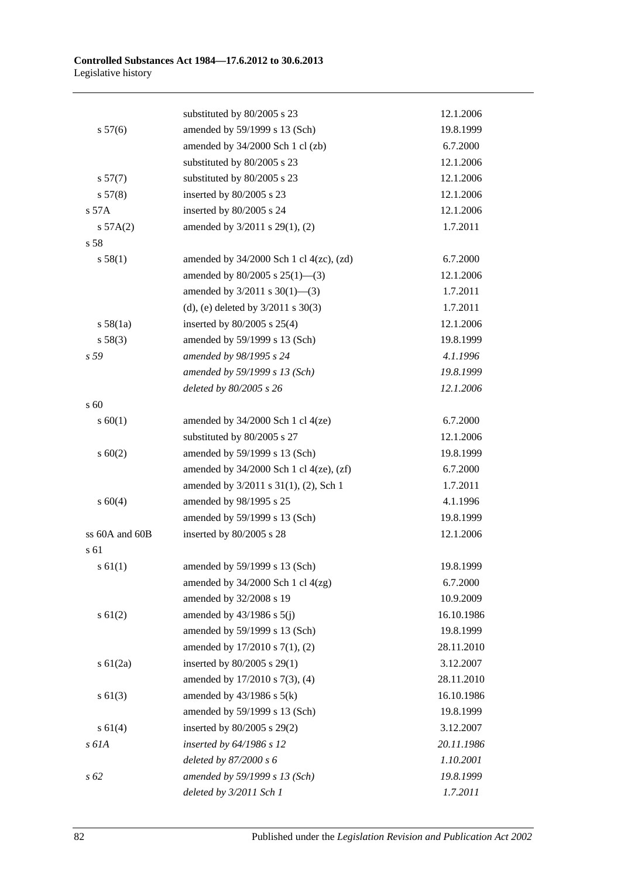|                | substituted by 80/2005 s 23                    | 12.1.2006  |
|----------------|------------------------------------------------|------------|
| s 57(6)        | amended by 59/1999 s 13 (Sch)                  | 19.8.1999  |
|                | amended by 34/2000 Sch 1 cl (zb)               | 6.7.2000   |
|                | substituted by 80/2005 s 23                    | 12.1.2006  |
| s 57(7)        | substituted by 80/2005 s 23                    | 12.1.2006  |
| s 57(8)        | inserted by 80/2005 s 23                       | 12.1.2006  |
| s 57A          | inserted by 80/2005 s 24                       | 12.1.2006  |
| s 57A(2)       | amended by 3/2011 s 29(1), (2)                 | 1.7.2011   |
| s 58           |                                                |            |
| s 58(1)        | amended by $34/2000$ Sch 1 cl $4(zc)$ , $(zd)$ | 6.7.2000   |
|                | amended by $80/2005$ s $25(1)$ —(3)            | 12.1.2006  |
|                | amended by $3/2011$ s $30(1)$ —(3)             | 1.7.2011   |
|                | (d), (e) deleted by $3/2011$ s $30(3)$         | 1.7.2011   |
| s 58(1a)       | inserted by $80/2005$ s $25(4)$                | 12.1.2006  |
| s 58(3)        | amended by 59/1999 s 13 (Sch)                  | 19.8.1999  |
| s 59           | amended by 98/1995 s 24                        | 4.1.1996   |
|                | amended by 59/1999 s 13 (Sch)                  | 19.8.1999  |
|                | deleted by 80/2005 s 26                        | 12.1.2006  |
| s 60           |                                                |            |
| s 60(1)        | amended by $34/2000$ Sch 1 cl $4(ze)$          | 6.7.2000   |
|                | substituted by 80/2005 s 27                    | 12.1.2006  |
| $s \ 60(2)$    | amended by 59/1999 s 13 (Sch)                  | 19.8.1999  |
|                | amended by $34/2000$ Sch 1 cl $4(ze)$ , $(zf)$ | 6.7.2000   |
|                | amended by 3/2011 s 31(1), (2), Sch 1          | 1.7.2011   |
| $s\ 60(4)$     | amended by 98/1995 s 25                        | 4.1.1996   |
|                | amended by 59/1999 s 13 (Sch)                  | 19.8.1999  |
| ss 60A and 60B | inserted by 80/2005 s 28                       | 12.1.2006  |
| s 61           |                                                |            |
| $s \, 61(1)$   | amended by 59/1999 s 13 (Sch)                  | 19.8.1999  |
|                | amended by $34/2000$ Sch 1 cl $4(zg)$          | 6.7.2000   |
|                | amended by 32/2008 s 19                        | 10.9.2009  |
| $s \ 61(2)$    | amended by $43/1986$ s $5(j)$                  | 16.10.1986 |
|                | amended by 59/1999 s 13 (Sch)                  | 19.8.1999  |
|                | amended by 17/2010 s 7(1), (2)                 | 28.11.2010 |
| $s \ 61(2a)$   | inserted by 80/2005 s 29(1)                    | 3.12.2007  |
|                | amended by 17/2010 s 7(3), (4)                 | 28.11.2010 |
| $s \ 61(3)$    | amended by $43/1986$ s $5(k)$                  | 16.10.1986 |
|                | amended by 59/1999 s 13 (Sch)                  | 19.8.1999  |
| $s \ 61(4)$    | inserted by 80/2005 s 29(2)                    | 3.12.2007  |
| s 61A          | inserted by 64/1986 s 12                       | 20.11.1986 |
|                | deleted by 87/2000 s 6                         | 1.10.2001  |
| s 62           | amended by 59/1999 s 13 (Sch)                  | 19.8.1999  |
|                | deleted by 3/2011 Sch 1                        | 1.7.2011   |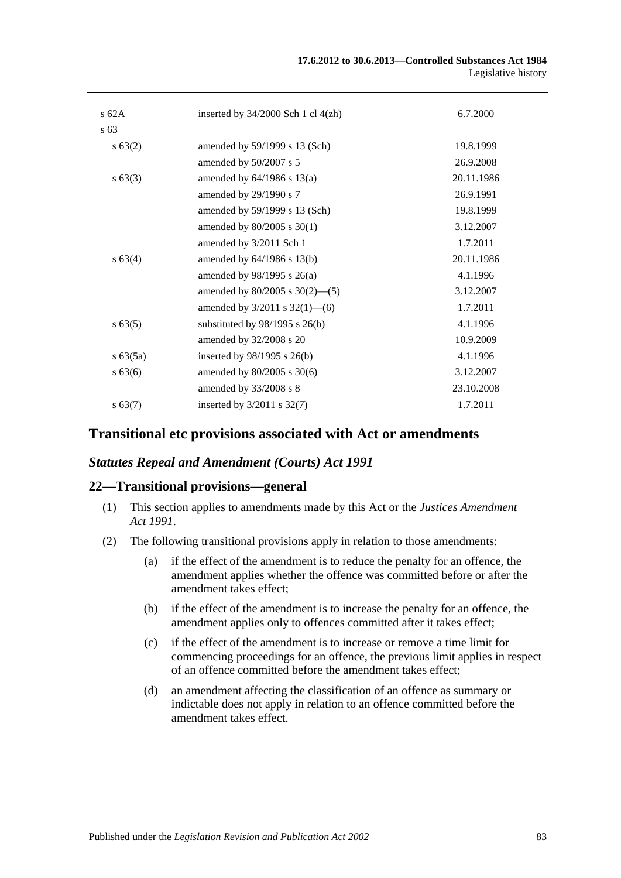| s62A         | inserted by $34/2000$ Sch 1 cl $4(zh)$ | 6.7.2000   |
|--------------|----------------------------------------|------------|
| s 63         |                                        |            |
| s 63(2)      | amended by 59/1999 s 13 (Sch)          | 19.8.1999  |
|              | amended by 50/2007 s 5                 | 26.9.2008  |
| $s \, 63(3)$ | amended by $64/1986$ s $13(a)$         | 20.11.1986 |
|              | amended by 29/1990 s 7                 | 26.9.1991  |
|              | amended by 59/1999 s 13 (Sch)          | 19.8.1999  |
|              | amended by 80/2005 s 30(1)             | 3.12.2007  |
|              | amended by 3/2011 Sch 1                | 1.7.2011   |
| s 63(4)      | amended by $64/1986$ s $13(b)$         | 20.11.1986 |
|              | amended by $98/1995$ s $26(a)$         | 4.1.1996   |
|              | amended by $80/2005$ s $30(2)$ —(5)    | 3.12.2007  |
|              | amended by $3/2011$ s $32(1)$ —(6)     | 1.7.2011   |
| $s\,63(5)$   | substituted by $98/1995$ s $26(b)$     | 4.1.1996   |
|              | amended by 32/2008 s 20                | 10.9.2009  |
| $s\,63(5a)$  | inserted by $98/1995$ s $26(b)$        | 4.1.1996   |
| $s\,63(6)$   | amended by 80/2005 s 30(6)             | 3.12.2007  |
|              | amended by 33/2008 s 8                 | 23.10.2008 |
| s 63(7)      | inserted by $3/2011$ s $32(7)$         | 1.7.2011   |
|              |                                        |            |

## **Transitional etc provisions associated with Act or amendments**

## *Statutes Repeal and Amendment (Courts) Act 1991*

#### **22—Transitional provisions—general**

- (1) This section applies to amendments made by this Act or the *[Justices Amendment](http://www.legislation.sa.gov.au/index.aspx?action=legref&type=act&legtitle=Justices%20Amendment%20Act%201991)  Act [1991](http://www.legislation.sa.gov.au/index.aspx?action=legref&type=act&legtitle=Justices%20Amendment%20Act%201991)*.
- (2) The following transitional provisions apply in relation to those amendments:
	- (a) if the effect of the amendment is to reduce the penalty for an offence, the amendment applies whether the offence was committed before or after the amendment takes effect;
	- (b) if the effect of the amendment is to increase the penalty for an offence, the amendment applies only to offences committed after it takes effect;
	- (c) if the effect of the amendment is to increase or remove a time limit for commencing proceedings for an offence, the previous limit applies in respect of an offence committed before the amendment takes effect;
	- (d) an amendment affecting the classification of an offence as summary or indictable does not apply in relation to an offence committed before the amendment takes effect.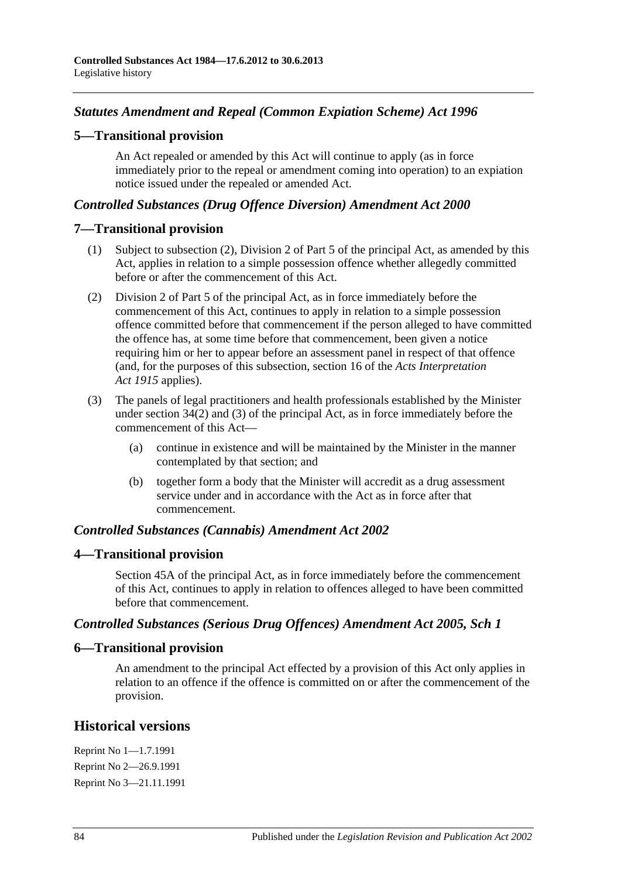# *Statutes Amendment and Repeal (Common Expiation Scheme) Act 1996*

## **5—Transitional provision**

An Act repealed or amended by this Act will continue to apply (as in force immediately prior to the repeal or amendment coming into operation) to an expiation notice issued under the repealed or amended Act.

## *Controlled Substances (Drug Offence Diversion) Amendment Act 2000*

## **7—Transitional provision**

- (1) Subject to subsection (2), Division 2 of Part 5 of the principal Act, as amended by this Act, applies in relation to a simple possession offence whether allegedly committed before or after the commencement of this Act.
- (2) Division 2 of Part 5 of the principal Act, as in force immediately before the commencement of this Act, continues to apply in relation to a simple possession offence committed before that commencement if the person alleged to have committed the offence has, at some time before that commencement, been given a notice requiring him or her to appear before an assessment panel in respect of that offence (and, for the purposes of this subsection, section 16 of the *[Acts Interpretation](http://www.legislation.sa.gov.au/index.aspx?action=legref&type=act&legtitle=Acts%20Interpretation%20Act%201915)  Act [1915](http://www.legislation.sa.gov.au/index.aspx?action=legref&type=act&legtitle=Acts%20Interpretation%20Act%201915)* applies).
- (3) The panels of legal practitioners and health professionals established by the Minister under section 34(2) and (3) of the principal Act, as in force immediately before the commencement of this Act—
	- (a) continue in existence and will be maintained by the Minister in the manner contemplated by that section; and
	- (b) together form a body that the Minister will accredit as a drug assessment service under and in accordance with the Act as in force after that commencement.

## *Controlled Substances (Cannabis) Amendment Act 2002*

## **4—Transitional provision**

Section 45A of the principal Act, as in force immediately before the commencement of this Act, continues to apply in relation to offences alleged to have been committed before that commencement.

## *Controlled Substances (Serious Drug Offences) Amendment Act 2005, Sch 1*

## **6—Transitional provision**

An amendment to the principal Act effected by a provision of this Act only applies in relation to an offence if the offence is committed on or after the commencement of the provision.

# **Historical versions**

Reprint No 1—1.7.1991 Reprint No 2—26.9.1991 Reprint No 3—21.11.1991